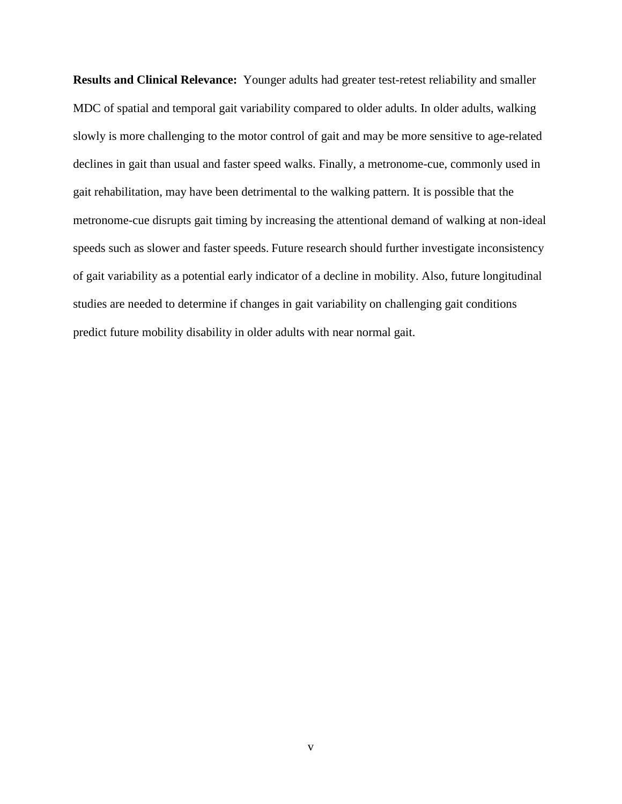**Results and Clinical Relevance:** Younger adults had greater test-retest reliability and smaller MDC of spatial and temporal gait variability compared to older adults. In older adults, walking slowly is more challenging to the motor control of gait and may be more sensitive to age-related declines in gait than usual and faster speed walks. Finally, a metronome-cue, commonly used in gait rehabilitation, may have been detrimental to the walking pattern. It is possible that the metronome-cue disrupts gait timing by increasing the attentional demand of walking at non-ideal speeds such as slower and faster speeds. Future research should further investigate inconsistency of gait variability as a potential early indicator of a decline in mobility. Also, future longitudinal studies are needed to determine if changes in gait variability on challenging gait conditions predict future mobility disability in older adults with near normal gait.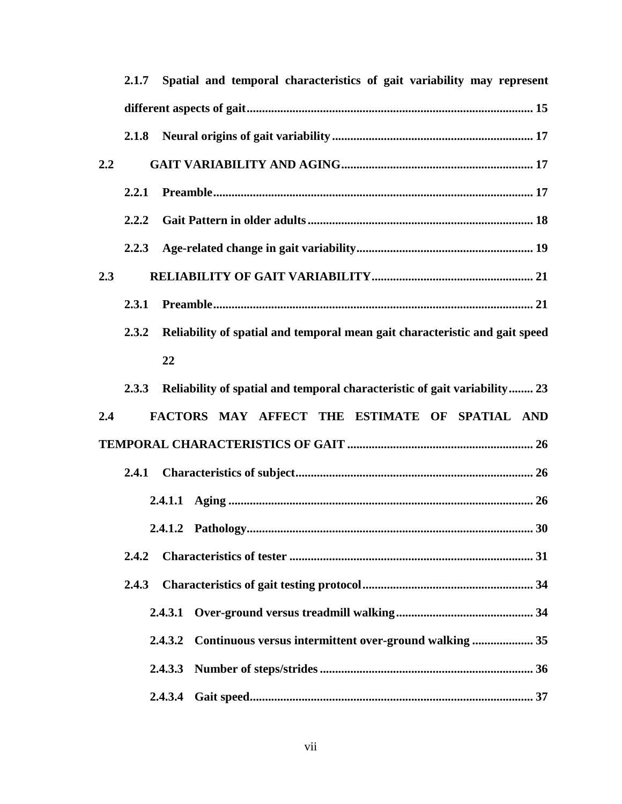|     |       | 2.1.7 Spatial and temporal characteristics of gait variability may represent |
|-----|-------|------------------------------------------------------------------------------|
|     |       |                                                                              |
|     | 2.1.8 |                                                                              |
| 2.2 |       |                                                                              |
|     | 2.2.1 |                                                                              |
|     | 2.2.2 |                                                                              |
|     | 2.2.3 |                                                                              |
| 2.3 |       |                                                                              |
|     | 2.3.1 |                                                                              |
|     | 2.3.2 | Reliability of spatial and temporal mean gait characteristic and gait speed  |
|     |       | 22                                                                           |
|     | 2.3.3 | Reliability of spatial and temporal characteristic of gait variability 23    |
| 2.4 |       | FACTORS MAY AFFECT THE ESTIMATE OF SPATIAL AND                               |
|     |       |                                                                              |
|     | 2.4.1 |                                                                              |
|     |       |                                                                              |
|     |       |                                                                              |
|     | 2.4.2 |                                                                              |
|     | 2.4.3 |                                                                              |
|     |       | 2.4.3.1                                                                      |
|     |       | Continuous versus intermittent over-ground walking  35<br>2.4.3.2            |
|     |       |                                                                              |
|     |       | 2.4.3.4                                                                      |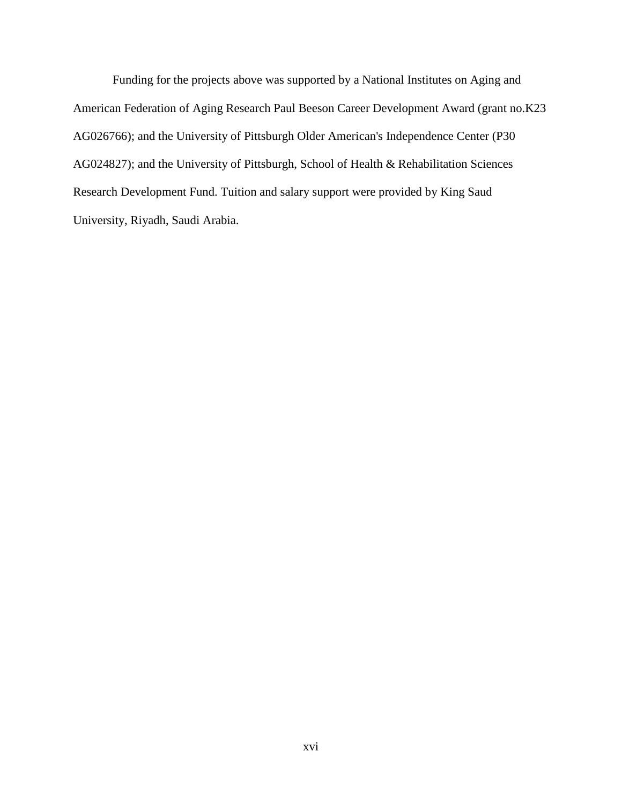Funding for the projects above was supported by a National Institutes on Aging and American Federation of Aging Research Paul Beeson Career Development Award (grant no.K23 AG026766); and the University of Pittsburgh Older American's Independence Center (P30 AG024827); and the University of Pittsburgh, School of Health & Rehabilitation Sciences Research Development Fund. Tuition and salary support were provided by King Saud University, Riyadh, Saudi Arabia.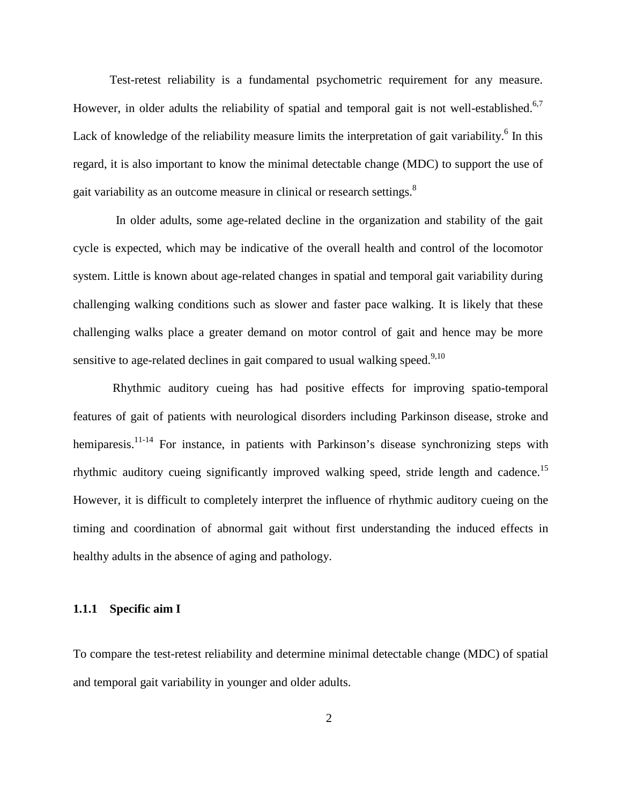Test-retest reliability is a fundamental psychometric requirement for any measure. However, in older adults the reliability of spatial and temporal gait is not well-established.<sup>6,[7](#page-117-1)</sup> Lack of knowledge of the reliability measure limits the interpretation of gait variability.<sup>[6](#page-117-0)</sup> In this regard, it is also important to know the minimal detectable change (MDC) to support the use of gait variability as an outcome measure in clinical or research settings.<sup>8</sup>

 In older adults, some age-related decline in the organization and stability of the gait cycle is expected, which may be indicative of the overall health and control of the locomotor system. Little is known about age-related changes in spatial and temporal gait variability during challenging walking conditions such as slower and faster pace walking. It is likely that these challenging walks place a greater demand on motor control of gait and hence may be more sensitive to age-related declines in gait compared to usual walking speed.<sup>9[,10](#page-117-4)</sup>

Rhythmic auditory cueing has had positive effects for improving spatio-temporal features of gait of patients with neurological disorders including Parkinson disease, stroke and hemiparesis.<sup>11-14</sup> For instance, in patients with Parkinson's disease synchronizing steps with rhythmic auditory cueing significantly improved walking speed, stride length and cadence.<sup>15</sup> However, it is difficult to completely interpret the influence of rhythmic auditory cueing on the timing and coordination of abnormal gait without first understanding the induced effects in healthy adults in the absence of aging and pathology.

## **1.1.1 Specific aim I**

To compare the test-retest reliability and determine minimal detectable change (MDC) of spatial and temporal gait variability in younger and older adults.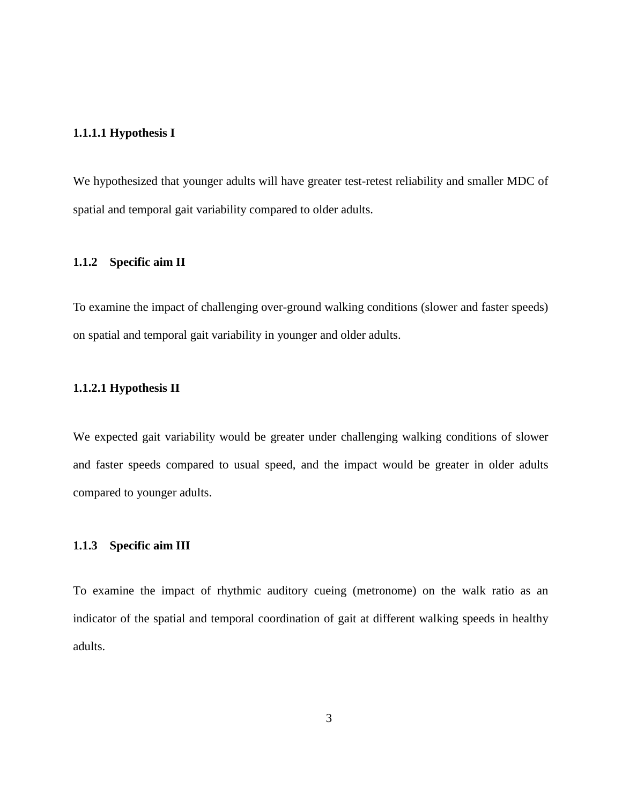### **1.1.1.1 Hypothesis I**

We hypothesized that younger adults will have greater test-retest reliability and smaller MDC of spatial and temporal gait variability compared to older adults.

# **1.1.2 Specific aim II**

To examine the impact of challenging over-ground walking conditions (slower and faster speeds) on spatial and temporal gait variability in younger and older adults.

### **1.1.2.1 Hypothesis II**

We expected gait variability would be greater under challenging walking conditions of slower and faster speeds compared to usual speed, and the impact would be greater in older adults compared to younger adults.

### **1.1.3 Specific aim III**

To examine the impact of rhythmic auditory cueing (metronome) on the walk ratio as an indicator of the spatial and temporal coordination of gait at different walking speeds in healthy adults.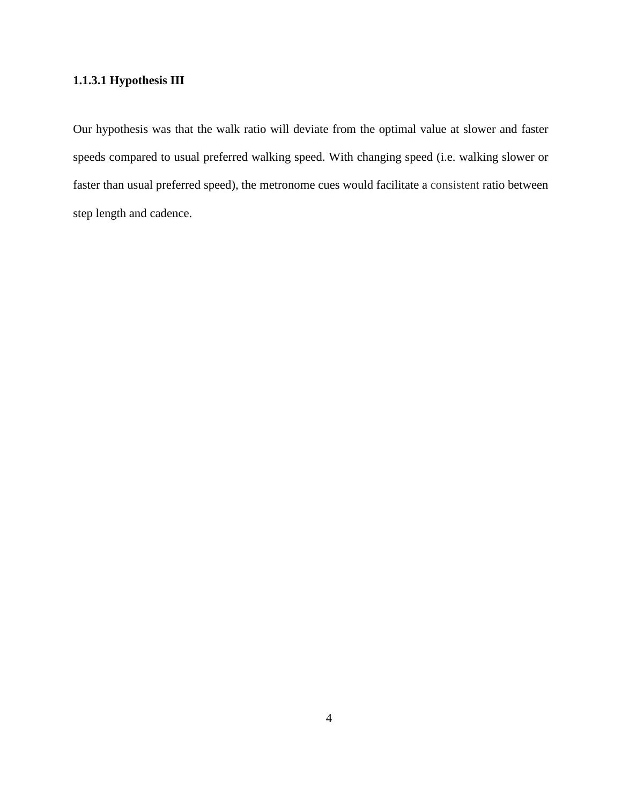# **1.1.3.1 Hypothesis III**

Our hypothesis was that the walk ratio will deviate from the optimal value at slower and faster speeds compared to usual preferred walking speed. With changing speed (i.e. walking slower or faster than usual preferred speed), the metronome cues would facilitate a consistent ratio between step length and cadence.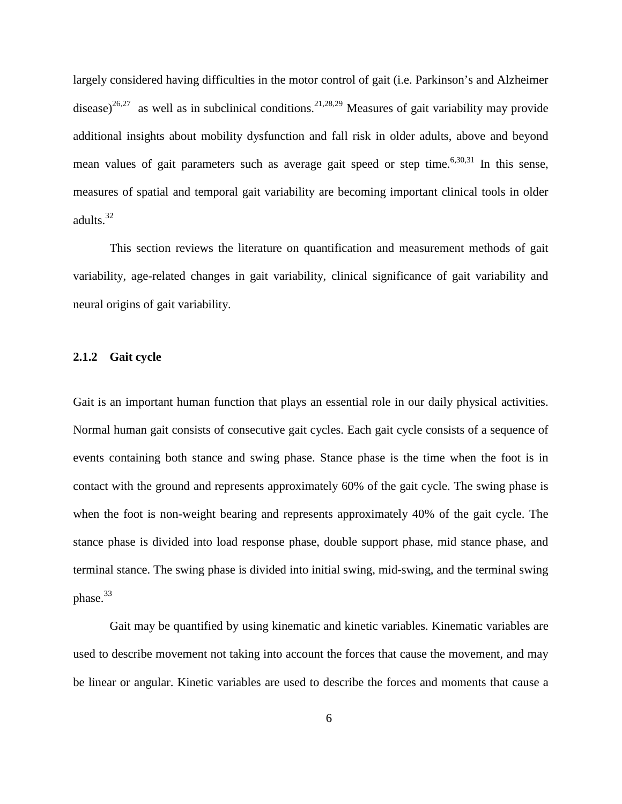largely considered having difficulties in the motor control of gait (i.e. Parkinson's and Alzheimer disease)<sup>26,[27](#page-119-1)</sup> as well as in subclinical conditions.<sup>[21,](#page-118-2)[28,](#page-119-2)[29](#page-119-3)</sup> Measures of gait variability may provide additional insights about mobility dysfunction and fall risk in older adults, above and beyond mean values of gait parameters such as average gait speed or step time.<sup>[6](#page-117-0)[,30](#page-119-4)[,31](#page-119-5)</sup> In this sense, measures of spatial and temporal gait variability are becoming important clinical tools in older adults. [32](#page-119-6)

This section reviews the literature on quantification and measurement methods of gait variability, age-related changes in gait variability, clinical significance of gait variability and neural origins of gait variability.

### **2.1.2 Gait cycle**

Gait is an important human function that plays an essential role in our daily physical activities. Normal human gait consists of consecutive gait cycles. Each gait cycle consists of a sequence of events containing both stance and swing phase. Stance phase is the time when the foot is in contact with the ground and represents approximately 60% of the gait cycle. The swing phase is when the foot is non-weight bearing and represents approximately 40% of the gait cycle. The stance phase is divided into load response phase, double support phase, mid stance phase, and terminal stance. The swing phase is divided into initial swing, mid-swing, and the terminal swing phase. [33](#page-119-7)

Gait may be quantified by using kinematic and kinetic variables. Kinematic variables are used to describe movement not taking into account the forces that cause the movement, and may be linear or angular. Kinetic variables are used to describe the forces and moments that cause a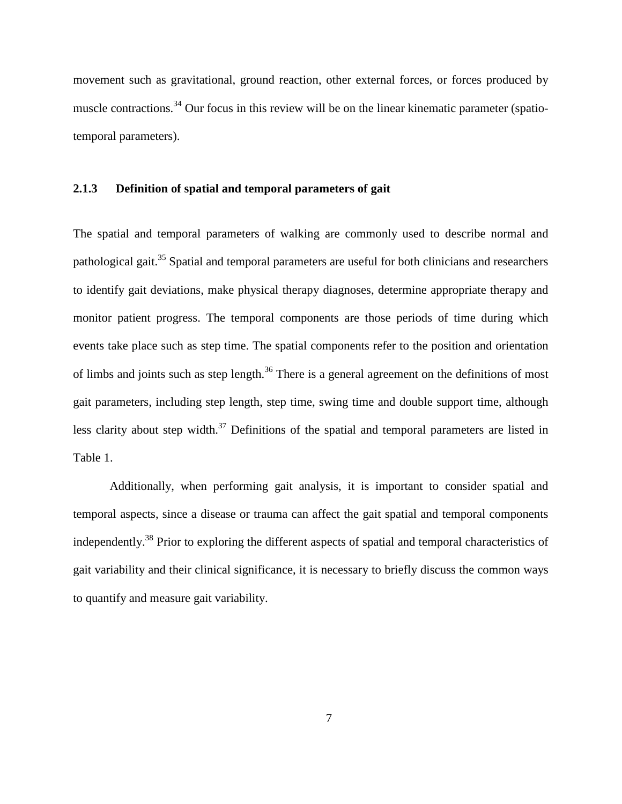movement such as gravitational, ground reaction, other external forces, or forces produced by muscle contractions.<sup>[34](#page-119-8)</sup> Our focus in this review will be on the linear kinematic parameter (spatiotemporal parameters).

### **2.1.3 Definition of spatial and temporal parameters of gait**

The spatial and temporal parameters of walking are commonly used to describe normal and pathological gait.<sup>[35](#page-119-9)</sup> Spatial and temporal parameters are useful for both clinicians and researchers to identify gait deviations, make physical therapy diagnoses, determine appropriate therapy and monitor patient progress. The temporal components are those periods of time during which events take place such as step time. The spatial components refer to the position and orientation of limbs and joints such as step length.<sup>[36](#page-119-10)</sup> There is a general agreement on the definitions of most gait parameters, including step length, step time, swing time and double support time, although less clarity about step width.<sup>[37](#page-119-11)</sup> Definitions of the spatial and temporal parameters are listed in Table 1.

Additionally, when performing gait analysis, it is important to consider spatial and temporal aspects, since a disease or trauma can affect the gait spatial and temporal components independently.<sup>[38](#page-119-12)</sup> Prior to exploring the different aspects of spatial and temporal characteristics of gait variability and their clinical significance, it is necessary to briefly discuss the common ways to quantify and measure gait variability.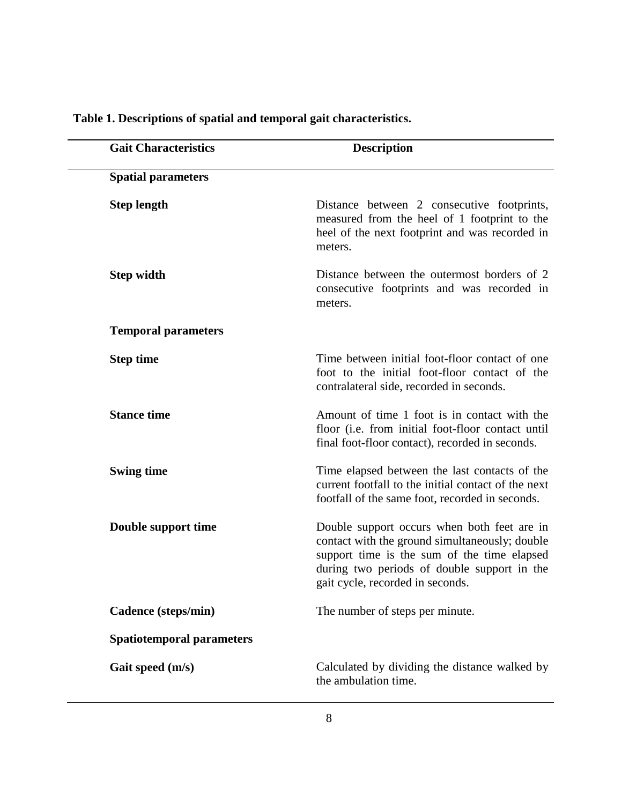| <b>Gait Characteristics</b>      | <b>Description</b>                                                                                                                                                                                                              |
|----------------------------------|---------------------------------------------------------------------------------------------------------------------------------------------------------------------------------------------------------------------------------|
| <b>Spatial parameters</b>        |                                                                                                                                                                                                                                 |
| <b>Step length</b>               | Distance between 2 consecutive footprints,<br>measured from the heel of 1 footprint to the<br>heel of the next footprint and was recorded in<br>meters.                                                                         |
| <b>Step width</b>                | Distance between the outermost borders of 2<br>consecutive footprints and was recorded in<br>meters.                                                                                                                            |
| <b>Temporal parameters</b>       |                                                                                                                                                                                                                                 |
| <b>Step time</b>                 | Time between initial foot-floor contact of one<br>foot to the initial foot-floor contact of the<br>contralateral side, recorded in seconds.                                                                                     |
| <b>Stance time</b>               | Amount of time 1 foot is in contact with the<br>floor (i.e. from initial foot-floor contact until<br>final foot-floor contact), recorded in seconds.                                                                            |
| <b>Swing time</b>                | Time elapsed between the last contacts of the<br>current footfall to the initial contact of the next<br>footfall of the same foot, recorded in seconds.                                                                         |
| Double support time              | Double support occurs when both feet are in<br>contact with the ground simultaneously; double<br>support time is the sum of the time elapsed<br>during two periods of double support in the<br>gait cycle, recorded in seconds. |
| Cadence (steps/min)              | The number of steps per minute.                                                                                                                                                                                                 |
| <b>Spatiotemporal parameters</b> |                                                                                                                                                                                                                                 |
| Gait speed (m/s)                 | Calculated by dividing the distance walked by<br>the ambulation time.                                                                                                                                                           |

# **Table 1. Descriptions of spatial and temporal gait characteristics.**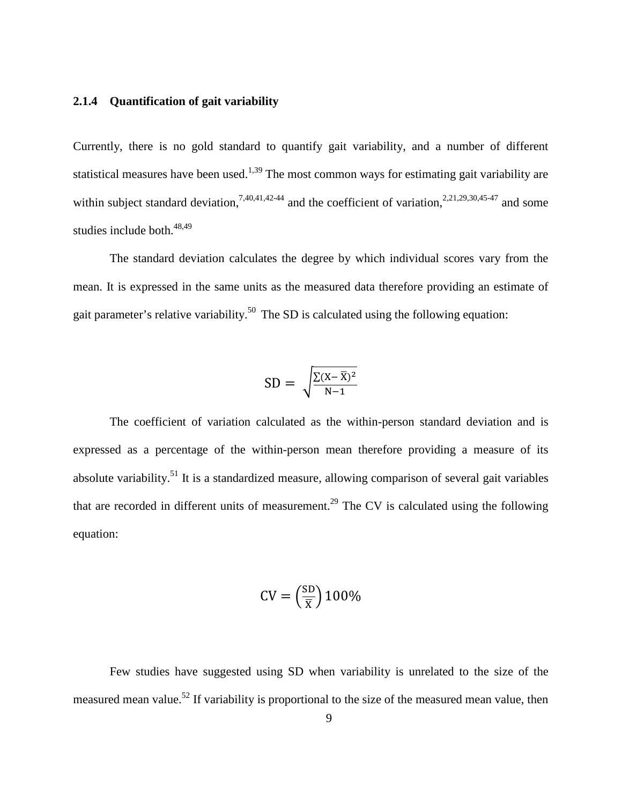### **2.1.4 Quantification of gait variability**

Currently, there is no gold standard to quantify gait variability, and a number of different statistical measures have been used.<sup>[1,](#page-117-5)[39](#page-120-0)</sup> The most common ways for estimating gait variability are within subject standard deviation,<sup>[7](#page-117-1)[,40](#page-120-1)[,41](#page-120-2)[,42-44](#page-120-3)</sup> and the coefficient of variation,<sup>[2,](#page-117-6)[21,](#page-118-2)[29,](#page-119-3)[30,](#page-119-4)[45-47](#page-120-4)</sup> and some studies include both. [48](#page-120-5)[,49](#page-120-6)

The standard deviation calculates the degree by which individual scores vary from the mean. It is expressed in the same units as the measured data therefore providing an estimate of gait parameter's relative variability.<sup>[50](#page-120-7)</sup> The SD is calculated using the following equation:

$$
SD = \sqrt{\frac{\Sigma (X - \overline{X})^2}{N-1}}
$$

The coefficient of variation calculated as the within-person standard deviation and is expressed as a percentage of the within-person mean therefore providing a measure of its absolute variability.<sup>[51](#page-120-8)</sup> It is a standardized measure, allowing comparison of several gait variables that are recorded in different units of measurement.<sup>[29](#page-119-3)</sup> The CV is calculated using the following equation:

$$
CV = \left(\frac{SD}{\overline{X}}\right)100\%
$$

Few studies have suggested using SD when variability is unrelated to the size of the measured mean value.<sup>[52](#page-120-9)</sup> If variability is proportional to the size of the measured mean value, then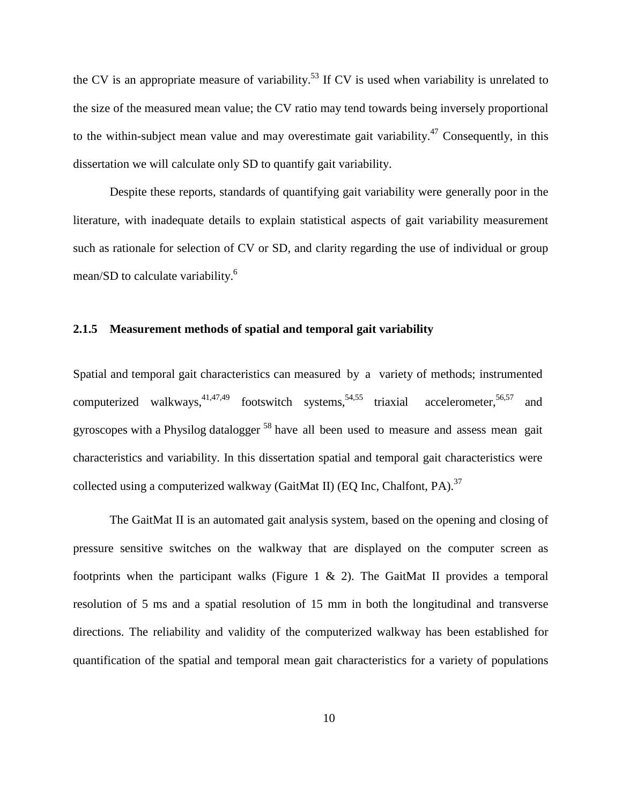the CV is an appropriate measure of variability.<sup>[53](#page-121-0)</sup> If CV is used when variability is unrelated to the size of the measured mean value; the CV ratio may tend towards being inversely proportional to the within-subject mean value and may overestimate gait variability.<sup>[47](#page-120-10)</sup> Consequently, in this dissertation we will calculate only SD to quantify gait variability.

Despite these reports, standards of quantifying gait variability were generally poor in the literature, with inadequate details to explain statistical aspects of gait variability measurement such as rationale for selection of CV or SD, and clarity regarding the use of individual or group mean/SD to calculate variability.<sup>[6](#page-117-0)</sup>

### **2.1.5 Measurement methods of spatial and temporal gait variability**

Spatial and temporal gait characteristics can measured by a variety of methods; instrumented computerized walkways,  $41,47,49$  $41,47,49$  $41,47,49$  footswitch systems,  $54,55$  $54,55$  triaxial accelerometer,  $56,57$  $56,57$  and gyroscopes with a Physilog datalogger [58](#page-121-5) have all been used to measure and assess mean gait characteristics and variability. In this dissertation spatial and temporal gait characteristics were collected using a computerized walkway (GaitMat II) (EQ Inc, Chalfont, PA).<sup>[37](#page-119-11)</sup>

The GaitMat II is an automated gait analysis system, based on the opening and closing of pressure sensitive switches on the walkway that are displayed on the computer screen as footprints when the participant walks (Figure 1  $\&$  2). The GaitMat II provides a temporal resolution of 5 ms and a spatial resolution of 15 mm in both the longitudinal and transverse directions. The reliability and validity of the computerized walkway has been established for quantification of the spatial and temporal mean gait characteristics for a variety of populations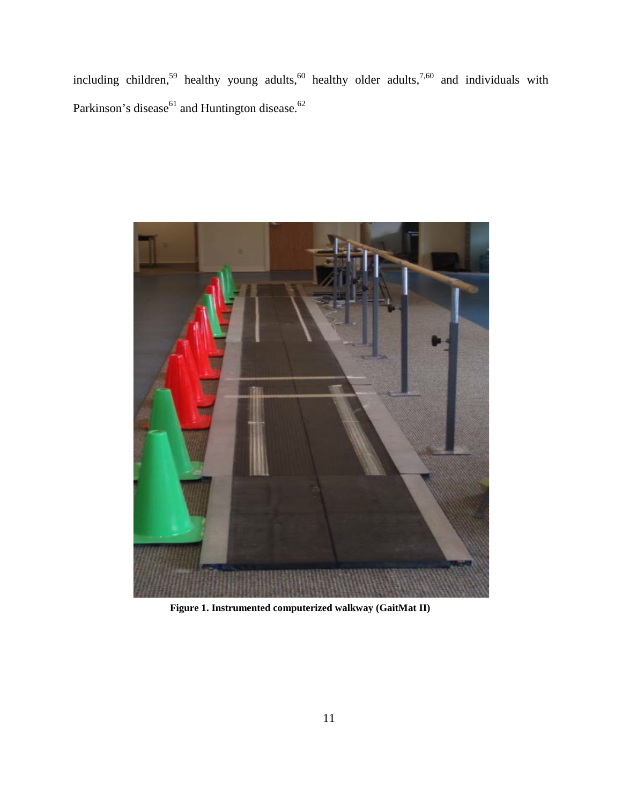including children,<sup>[59](#page-121-6)</sup> healthy young adults,<sup>[60](#page-121-7)</sup> healthy older adults,<sup>[7](#page-117-1)[,60](#page-121-7)</sup> and individuals with Parkinson's disease $^{61}$  and Huntington disease.<sup>[62](#page-121-9)</sup>



**Figure 1. Instrumented computerized walkway (GaitMat II)**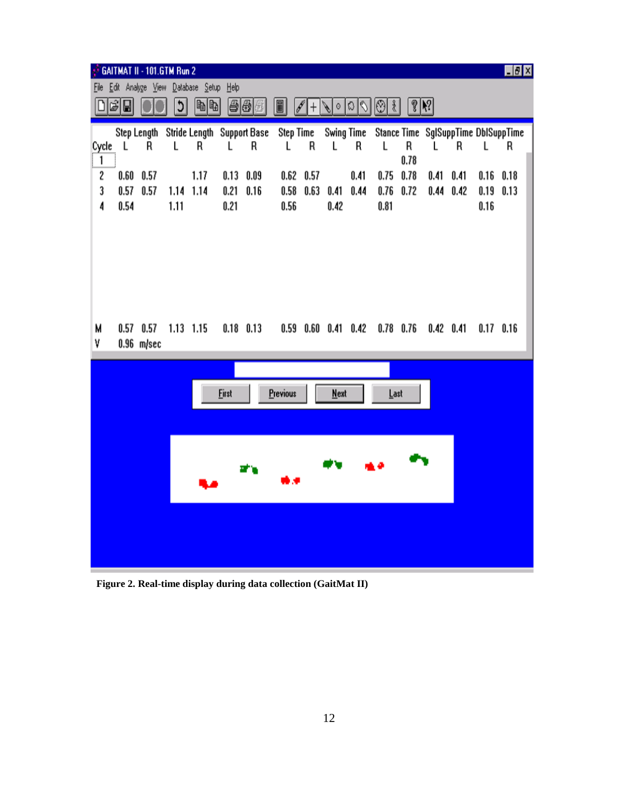|                                                                                                                                                        |              | GAITMAT II - 101.GTM Run 2 |           |                                  |              |      |                |      |                             |      |      |             |             |      |      | H <sub>2</sub>                      |
|--------------------------------------------------------------------------------------------------------------------------------------------------------|--------------|----------------------------|-----------|----------------------------------|--------------|------|----------------|------|-----------------------------|------|------|-------------|-------------|------|------|-------------------------------------|
| <b>File</b>                                                                                                                                            |              |                            |           | Edit Analyze View Database Setup | Help         |      |                |      |                             |      |      |             |             |      |      |                                     |
| $\sqrt[6]{\binom{1}{2}}$<br>G EI<br>$ \mathbb{B} \mathbb{B} $<br>日日日<br>t,<br>$ \mathbb{O} $<br>$\frac{2}{3}$<br>$\boxed{\blacksquare}$<br>2<br>∖∣া≎∣⊗ |              |                            |           |                                  |              |      |                |      |                             |      |      |             |             |      |      |                                     |
|                                                                                                                                                        |              |                            |           |                                  |              |      |                |      |                             |      |      |             |             |      |      |                                     |
|                                                                                                                                                        | $\mathsf{L}$ | Step Length                |           | Stride Length Support Base       |              | R    | Step Time<br>L | R    | Swing Time                  |      |      | R           |             |      |      | Stance Time SglSuppTime DblSuppTime |
| Cycle<br>1                                                                                                                                             |              | R                          | L         | R                                | L            |      |                |      | L                           | R    | L    | 0.78        | L           | R    | L    | R                                   |
| 2                                                                                                                                                      | 0.60         | 0.57                       |           | 1.17                             | 0.13         | 0.09 | 0.62           | 0.57 |                             | 0.41 | 0.75 | 0.78        | 0.41        | 0.41 | 0.16 | 0.18                                |
| 3                                                                                                                                                      | 0.57         | 0.57                       | 1.14      | 1.14                             | 0.21         | 0.16 | 0.58           | 0.63 | 0.41                        | 0.44 | 0.76 | 0.72        | 0.44        | 0.42 | 0.19 | 0.13                                |
| 4                                                                                                                                                      | 0.54         |                            | 1.11      |                                  | 0.21         |      | 0.56           |      | 0.42                        |      | 0.81 |             |             |      | 0.16 |                                     |
|                                                                                                                                                        |              |                            |           |                                  |              |      |                |      |                             |      |      |             |             |      |      |                                     |
|                                                                                                                                                        |              |                            |           |                                  |              |      |                |      |                             |      |      |             |             |      |      |                                     |
|                                                                                                                                                        |              |                            |           |                                  |              |      |                |      |                             |      |      |             |             |      |      |                                     |
|                                                                                                                                                        |              |                            |           |                                  |              |      |                |      |                             |      |      |             |             |      |      |                                     |
|                                                                                                                                                        |              |                            |           |                                  |              |      |                |      |                             |      |      |             |             |      |      |                                     |
|                                                                                                                                                        |              |                            |           |                                  |              |      |                |      |                             |      |      |             |             |      |      |                                     |
|                                                                                                                                                        |              |                            |           |                                  |              |      |                |      |                             |      |      |             |             |      |      |                                     |
| M                                                                                                                                                      |              | $0.57$ 0.57                | 1.13 1.15 |                                  | $0.18$ 0.13  |      |                |      | $0.59$ $0.60$ $0.41$ $0.42$ |      |      | $0.78$ 0.76 | $0.42$ 0.41 |      |      | $0.17$ 0.16                         |
| ٧                                                                                                                                                      |              | $0.96$ m/sec               |           |                                  |              |      |                |      |                             |      |      |             |             |      |      |                                     |
|                                                                                                                                                        |              |                            |           |                                  |              |      |                |      |                             |      |      |             |             |      |      |                                     |
|                                                                                                                                                        |              |                            |           |                                  |              |      |                |      |                             |      |      |             |             |      |      |                                     |
|                                                                                                                                                        |              |                            |           |                                  | <b>First</b> |      | Previous       |      | <b>Next</b>                 |      | Last |             |             |      |      |                                     |
|                                                                                                                                                        |              |                            |           |                                  |              |      |                |      |                             |      |      |             |             |      |      |                                     |
|                                                                                                                                                        |              |                            |           |                                  |              |      |                |      |                             |      |      |             |             |      |      |                                     |
|                                                                                                                                                        |              |                            |           |                                  |              |      |                |      |                             |      |      |             |             |      |      |                                     |
|                                                                                                                                                        |              |                            |           |                                  |              |      |                |      |                             |      |      |             |             |      |      |                                     |
|                                                                                                                                                        |              |                            |           |                                  |              |      |                |      |                             |      |      |             |             |      |      |                                     |
|                                                                                                                                                        |              |                            |           |                                  |              |      |                |      |                             |      |      |             |             |      |      |                                     |
|                                                                                                                                                        |              |                            |           |                                  |              |      |                |      |                             |      |      |             |             |      |      |                                     |
|                                                                                                                                                        |              |                            |           |                                  |              |      |                |      |                             |      |      |             |             |      |      |                                     |
|                                                                                                                                                        |              |                            |           |                                  |              |      |                |      |                             |      |      |             |             |      |      |                                     |
|                                                                                                                                                        |              |                            |           |                                  |              |      |                |      |                             |      |      |             |             |      |      |                                     |

**Figure 2. Real-time display during data collection (GaitMat II) Figure 2. Real-time display during data collection (GaitMat II)**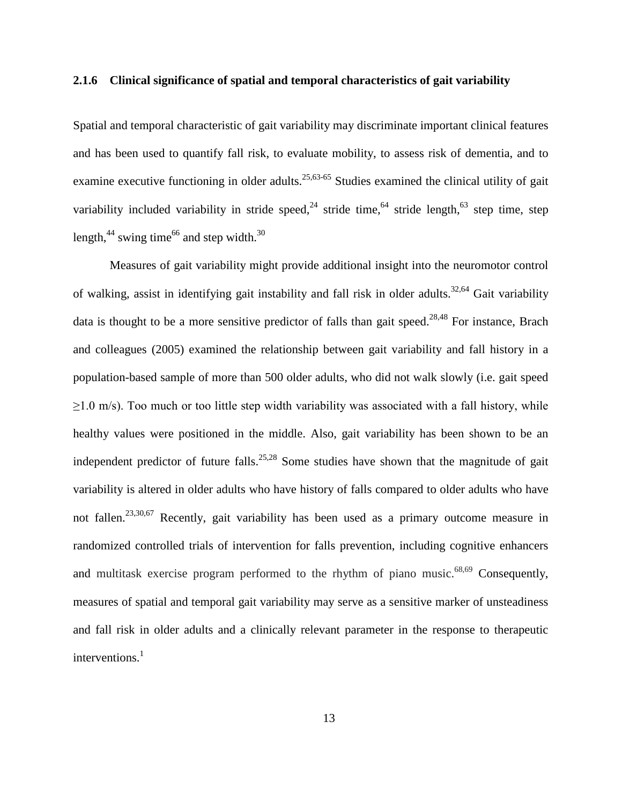### **2.1.6 Clinical significance of spatial and temporal characteristics of gait variability**

Spatial and temporal characteristic of gait variability may discriminate important clinical features and has been used to quantify fall risk, to evaluate mobility, to assess risk of dementia, and to examine executive functioning in older adults.<sup>[25,](#page-119-13)[63-65](#page-121-10)</sup> Studies examined the clinical utility of gait variability included variability in stride speed,  $24$  stride time,  $64$  stride length,  $63$  step time, step length,  $44$  swing time  $66$  and step width.  $30$ 

Measures of gait variability might provide additional insight into the neuromotor control of walking, assist in identifying gait instability and fall risk in older adults.<sup>[32](#page-119-6)[,64](#page-121-11)</sup> Gait variability data is thought to be a more sensitive predictor of falls than gait speed.<sup>[28,](#page-119-2)[48](#page-120-5)</sup> For instance, Brach and colleagues (2005) examined the relationship between gait variability and fall history in a population-based sample of more than 500 older adults, who did not walk slowly (i.e. gait speed  $\geq$ 1.0 m/s). Too much or too little step width variability was associated with a fall history, while healthy values were positioned in the middle. Also, gait variability has been shown to be an independent predictor of future falls.<sup>[25,](#page-119-13)[28](#page-119-2)</sup> Some studies have shown that the magnitude of gait variability is altered in older adults who have history of falls compared to older adults who have not fallen.<sup>[23,](#page-118-4)[30,](#page-119-4)[67](#page-122-1)</sup> Recently, gait variability has been used as a primary outcome measure in randomized controlled trials of intervention for falls prevention, including cognitive enhancers and multitask exercise program performed to the rhythm of piano music.<sup>[68,](#page-122-2)[69](#page-122-3)</sup> Consequently, measures of spatial and temporal gait variability may serve as a sensitive marker of unsteadiness and fall risk in older adults and a clinically relevant parameter in the response to therapeutic interventions[.](#page-117-5) 1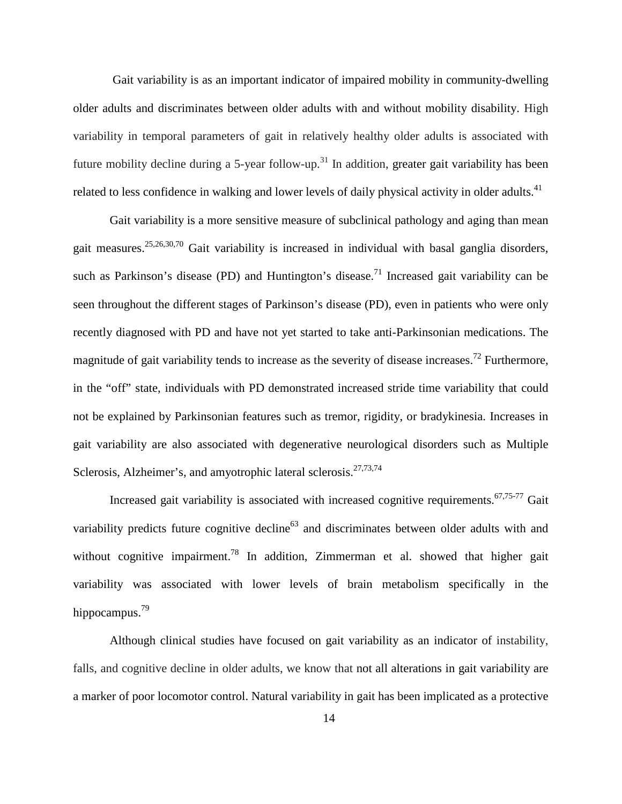Gait variability is as an important indicator of impaired mobility in community-dwelling older adults and discriminates between older adults with and without mobility disability. High variability in temporal parameters of gait in relatively healthy older adults is associated with future mobility decline during a 5-year follow-up.<sup>[31](#page-119-5)</sup> In addition, greater gait variability has been related to less confidence in walking and lower levels of daily physical activity in older adults.<sup>[41](#page-120-2)</sup>

Gait variability is a more sensitive measure of subclinical pathology and aging than mean gait measures.<sup>[25,](#page-119-13)[26,](#page-119-0)[30,](#page-119-4)[70](#page-122-4)</sup> Gait variability is increased in individual with basal ganglia disorders, such as Parkinson's disease (PD) and Huntington's disease.<sup>[71](#page-122-5)</sup> Increased gait variability can be seen throughout the different stages of Parkinson's disease (PD), even in patients who were only recently diagnosed with PD and have not yet started to take anti-Parkinsonian medications. The magnitude of gait variability tends to increase as the severity of disease increases.<sup>[72](#page-122-6)</sup> Furthermore, in the "off" state, individuals with PD demonstrated increased stride time variability that could not be explained by Parkinsonian features such as tremor, rigidity, or bradykinesia. Increases in gait variability are also associated with degenerative neurological disorders such as Multiple Sclerosis, Alzheimer's, and amyotrophic lateral sclerosis.<sup>[27](#page-119-1)[,73](#page-122-7)[,74](#page-122-8)</sup>

Increased gait variability is associated with increased cognitive requirements.<sup>[67,](#page-122-1)[75-77](#page-122-9)</sup> Gait variability predicts future cognitive decline<sup>63</sup> and discriminates between older adults with and without cognitive impairment.<sup>[78](#page-122-10)</sup> In addition, Zimmerman et al. showed that higher gait variability was associated with lower levels of brain metabolism specifically in the hippocampus.<sup>79</sup>

Although clinical studies have focused on gait variability as an indicator of instability, falls, and cognitive decline in older adults, we know that not all alterations in gait variability are a marker of poor locomotor control. Natural variability in gait has been implicated as a protective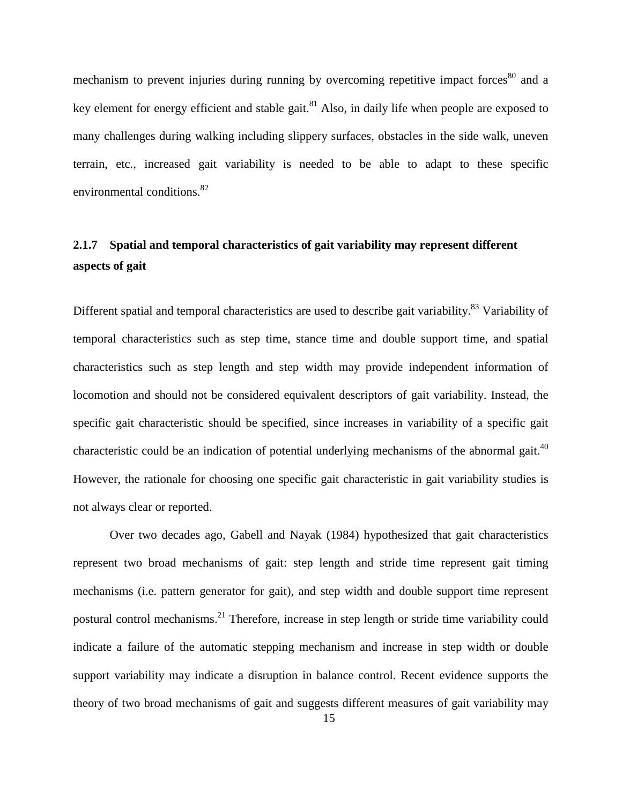mechanism to prevent injuries during running by overcoming repetitive impact forces<sup>[80](#page-123-1)</sup> and a key element for energy efficient and stable gait.<sup>[81](#page-123-2)</sup> Also, in daily life when people are exposed to many challenges during walking including slippery surfaces, obstacles in the side walk, uneven terrain, etc., increased gait variability is needed to be able to adapt to these specific environmental conditions.<sup>[82](#page-123-3)</sup>

# <span id="page-30-0"></span>**2.1.7 Spatial and temporal characteristics of gait variability may represent different aspects of gait**

Different spatial and temporal characteristics are used to describe gait variability.<sup>[83](#page-123-4)</sup> Variability of temporal characteristics such as step time, stance time and double support time, and spatial characteristics such as step length and step width may provide independent information of locomotion and should not be considered equivalent descriptors of gait variability. Instead, the specific gait characteristic should be specified, since increases in variability of a specific gait characteristic could be an indication of potential underlying mechanisms of the abnormal gait.<sup>[40](#page-120-1)</sup> However, the rationale for choosing one specific gait characteristic in gait variability studies is not always clear or reported.

Over two decades ago, Gabell and Nayak (1984) hypothesized that gait characteristics represent two broad mechanisms of gait: step length and stride time represent gait timing mechanisms (i.e. pattern generator for gait), and step width and double support time represent postural control mechanisms[.21](#page-118-2) Therefore, increase in step length or stride time variability could indicate a failure of the automatic stepping mechanism and increase in step width or double support variability may indicate a disruption in balance control. Recent evidence supports the theory of two broad mechanisms of gait and suggests different measures of gait variability may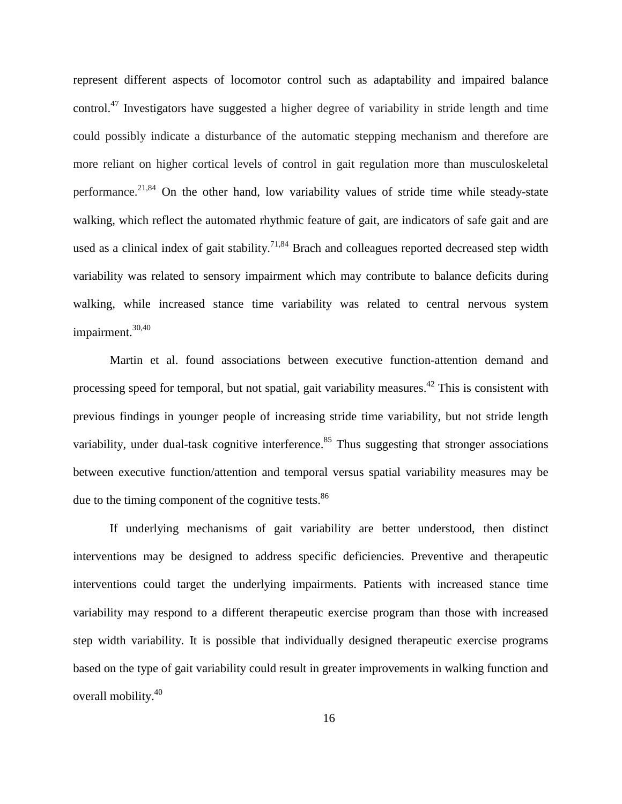represent different aspects of locomotor control such as adaptability and impaired balance control.<sup>[47](#page-120-10)</sup> Investigators have suggested a higher degree of variability in stride length and time could possibly indicate a disturbance of the automatic stepping mechanism and therefore are more reliant on higher cortical levels of control in gait regulation more than musculoskeletal performance.<sup>[21,](#page-118-2)[84](#page-123-5)</sup> On the other hand, low variability values of stride time while steady-state walking, which reflect the automated rhythmic feature of gait, are indicators of safe gait and are used as a clinical index of gait stability.<sup>[71](#page-122-5)[,84](#page-123-5)</sup> Brach and colleagues reported decreased step width variability was related to sensory impairment which may contribute to balance deficits during walking, while increased stance time variability was related to central nervous system impairment. [30,](#page-119-4)[40](#page-120-1)

Martin et al. found associations between executive function-attention demand and processing speed for temporal, but not spatial, gait variability measures.<sup>42</sup> This is consistent with previous findings in younger people of increasing stride time variability, but not stride length variability, under dual-task cognitive interference.<sup>[85](#page-123-6)</sup> Thus suggesting that stronger associations between executive function/attention and temporal versus spatial variability measures may be due to the timing component of the cognitive tests.<sup>[86](#page-123-7)</sup>

If underlying mechanisms of gait variability are better understood, then distinct interventions may be designed to address specific deficiencies. Preventive and therapeutic interventions could target the underlying impairments. Patients with increased stance time variability may respond to a different therapeutic exercise program than those with increased step width variability. It is possible that individually designed therapeutic exercise programs based on the type of gait variability could result in greater improvements in walking function and overall mobility. [40](#page-120-1)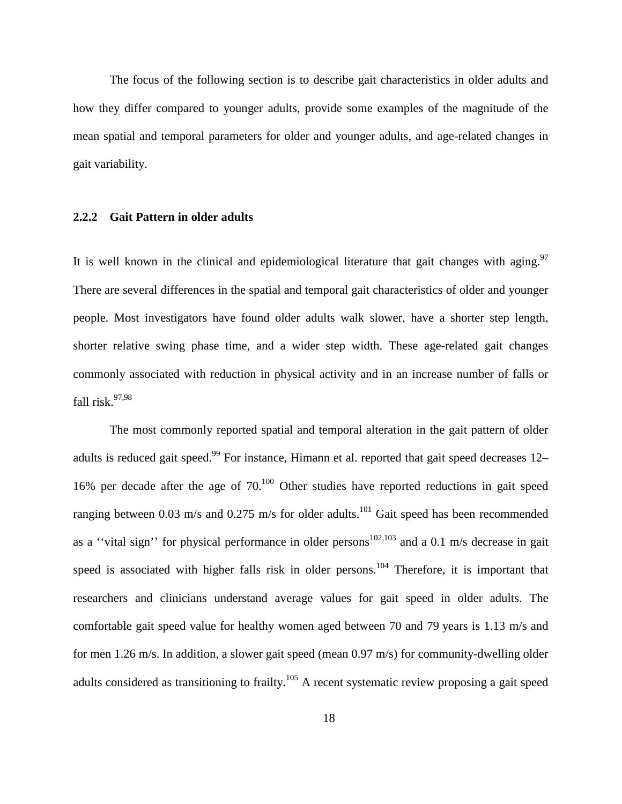The focus of the following section is to describe gait characteristics in older adults and how they differ compared to younger adults, provide some examples of the magnitude of the mean spatial and temporal parameters for older and younger adults, and age-related changes in gait variability.

### <span id="page-33-0"></span>**2.2.2 Gait Pattern in older adults**

It is well known in the clinical and epidemiological literature that gait changes with aging.<sup>[97](#page-124-0)</sup> There are several differences in the spatial and temporal gait characteristics of older and younger people. Most investigators have found older adults walk slower, have a shorter step length, shorter relative swing phase time, and a wider step width. These age-related gait changes commonly associated with reduction in physical activity and in an increase number of falls or fall risk. [97](#page-124-0)[,98](#page-124-1)

The most commonly reported spatial and temporal alteration in the gait pattern of older adults is reduced gait speed.<sup>[99](#page-124-2)</sup> For instance, Himann et al. reported that gait speed decreases 12– 16% per decade after the age of  $70^{100}$  Other studies have reported reductions in gait speed ranging between 0.03 m/s and 0.275 m/s for older adults.<sup>[101](#page-124-4)</sup> Gait speed has been recommended as a "vital sign" for physical performance in older persons<sup>[102](#page-124-5)[,103](#page-124-6)</sup> and a 0.1 m/s decrease in gait speed is associated with higher falls risk in older persons.<sup>[104](#page-124-7)</sup> Therefore, it is important that researchers and clinicians understand average values for gait speed in older adults. The comfortable gait speed value for healthy women aged between 70 and 79 years is 1.13 m/s and for men 1.26 m/s. In addition, a slower gait speed (mean 0.97 m/s) for community-dwelling older adults considered as transitioning to frailty.<sup>[105](#page-124-8)</sup> A recent systematic review proposing a gait speed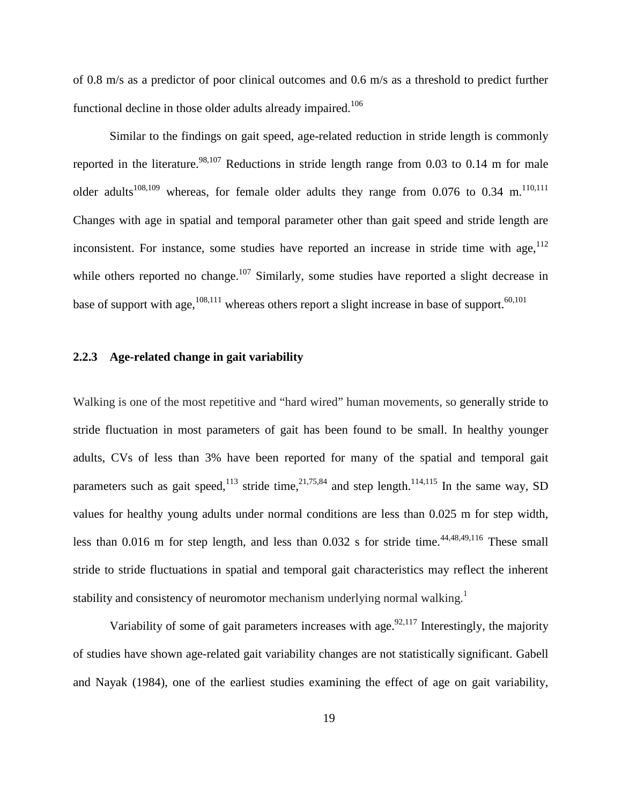of 0.8 m/s as a predictor of poor clinical outcomes and 0.6 m/s as a threshold to predict further functional decline in those older adults already impaired.<sup>[106](#page-125-0)</sup>

Similar to the findings on gait speed, age-related reduction in stride length is commonly reported in the literature.<sup>[98,](#page-124-1)[107](#page-125-1)</sup> Reductions in stride length range from 0.03 to 0.14 m for male older adults<sup>[108,](#page-125-2)[109](#page-125-3)</sup> whereas, for female older adults they range from 0.076 to 0.34 m.<sup>110[,111](#page-125-5)</sup> Changes with age in spatial and temporal parameter other than gait speed and stride length are inconsistent. For instance, some studies have reported an increase in stride time with age,  $112$ while others reported no change.<sup>[107](#page-125-1)</sup> Similarly, some studies have reported a slight decrease in base of support with age,  $^{108,111}$  $^{108,111}$  $^{108,111}$  $^{108,111}$  whereas others report a slight increase in base of support.  $^{60,101}$  $^{60,101}$  $^{60,101}$  $^{60,101}$ 

### <span id="page-34-0"></span>**2.2.3 Age-related change in gait variability**

Walking is one of the most repetitive and "hard wired" human movements, so generally stride to stride fluctuation in most parameters of gait has been found to be small. In healthy younger adults, CVs of less than 3% have been reported for many of the spatial and temporal gait parameters such as gait speed,  $113$  stride time,  $21,75,84$  $21,75,84$  $21,75,84$  and step length.  $114,115$  $114,115$  In the same way, SD values for healthy young adults under normal conditions are less than 0.025 m for step width, less than 0.016 m for step length, and less than 0.032 s for stride time.<sup>[44,](#page-120-11)[48,](#page-120-5)[49,](#page-120-6)[116](#page-125-10)</sup> These small stride to stride fluctuations in spatial and temporal gait characteristics may reflect the inherent stability and consistency of neuromotor mechanism underlying normal walking.<sup>[1](#page-117-5)</sup>

Variability of some of gait parameters increases with age.<sup>[92,](#page-124-9)[117](#page-125-11)</sup> Interestingly, the majority of studies have shown age-related gait variability changes are not statistically significant. Gabell and Nayak (1984), one of the earliest studies examining the effect of age on gait variability,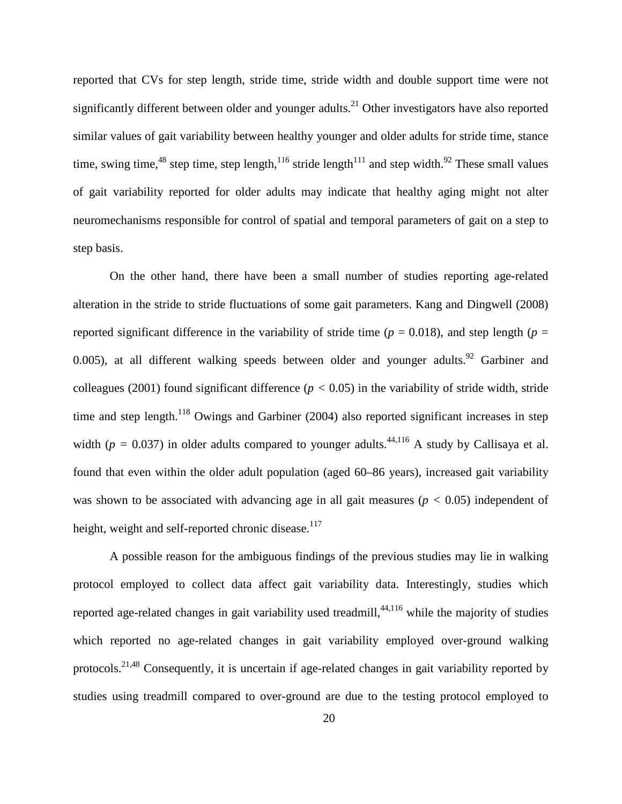reported that CVs for step length, stride time, stride width and double support time were not significantly different between older and younger adults.<sup>21</sup> Other investigators have also reported similar values of gait variability between healthy younger and older adults for stride time, stance time, swing time, <sup>[48](#page-120-5)</sup> step time, step length,  $116$  stride length  $111$  and step width. <sup>[92](#page-124-9)</sup> These small values of gait variability reported for older adults may indicate that healthy aging might not alter neuromechanisms responsible for control of spatial and temporal parameters of gait on a step to step basis.

On the other hand, there have been a small number of studies reporting age-related alteration in the stride to stride fluctuations of some gait parameters. Kang and Dingwell (2008) reported significant difference in the variability of stride time ( $p = 0.018$ ), and step length ( $p =$ 0.005), at all different walking speeds between older and younger adults. <sup>[92](#page-124-9)</sup> Garbiner and colleagues (2001) found significant difference ( $p < 0.05$ ) in the variability of stride width, stride time and step length.<sup>[118](#page-125-12)</sup> Owings and Garbiner (2004) also reported significant increases in step width ( $p = 0.037$ ) in older adults compared to younger adults.<sup>44[,116](#page-125-10)</sup> A study by Callisaya et al. found that even within the older adult population (aged 60–86 years), increased gait variability was shown to be associated with advancing age in all gait measures ( $p < 0.05$ ) independent of height, weight and self-reported chronic disease.<sup>117</sup>

A possible reason for the ambiguous findings of the previous studies may lie in walking protocol employed to collect data affect gait variability data. Interestingly, studies which reported age-related changes in gait variability used treadmill, <sup>[44,](#page-120-11)[116](#page-125-10)</sup> while the majority of studies which reported no age-related changes in gait variability employed over-ground walking protocols.<sup>[21,](#page-118-2)[48](#page-120-5)</sup> Consequently, it is uncertain if age-related changes in gait variability reported by studies using treadmill compared to over-ground are due to the testing protocol employed to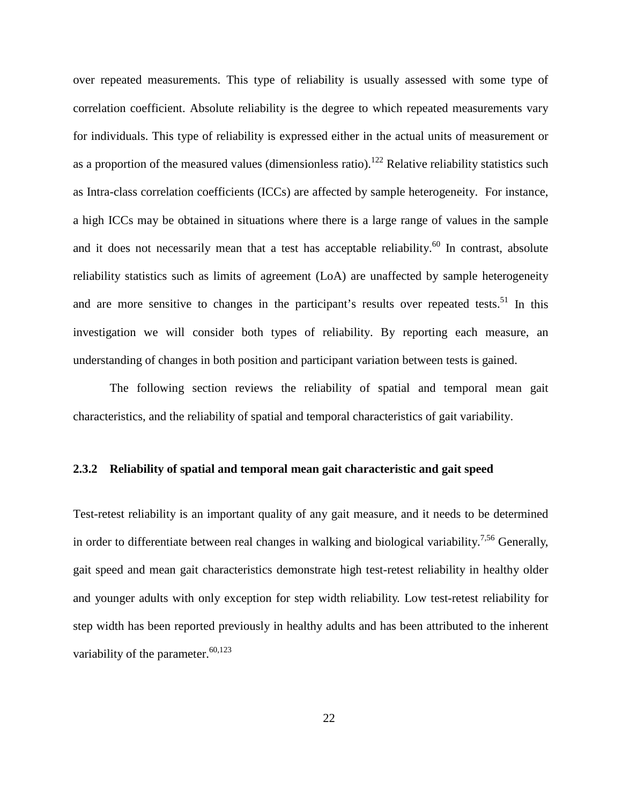over repeated measurements. This type of reliability is usually assessed with some type of correlation coefficient. Absolute reliability is the degree to which repeated measurements vary for individuals. This type of reliability is expressed either in the actual units of measurement or as a proportion of the measured values (dimensionless ratio).<sup>122</sup> Relative reliability statistics such as Intra-class correlation coefficients (ICCs) are affected by sample heterogeneity. For instance, a high ICCs may be obtained in situations where there is a large range of values in the sample and it does not necessarily mean that a test has acceptable reliability.<sup>[60](#page-121-0)</sup> In contrast, absolute reliability statistics such as limits of agreement (LoA) are unaffected by sample heterogeneity and are more sensitive to changes in the participant's results over repeated tests.<sup>[51](#page-120-0)</sup> In this investigation we will consider both types of reliability. By reporting each measure, an understanding of changes in both position and participant variation between tests is gained.

The following section reviews the reliability of spatial and temporal mean gait characteristics, and the reliability of spatial and temporal characteristics of gait variability.

#### **2.3.2 Reliability of spatial and temporal mean gait characteristic and gait speed**

Test-retest reliability is an important quality of any gait measure, and it needs to be determined in order to differentiate between real changes in walking and biological variability.<sup>[7](#page-117-0)[,56](#page-121-1)</sup> Generally, gait speed and mean gait characteristics demonstrate high test-retest reliability in healthy older and younger adults with only exception for step width reliability. Low test-retest reliability for step width has been reported previously in healthy adults and has been attributed to the inherent variability of the parameter.<sup>[60](#page-121-0)[,123](#page-126-1)</sup>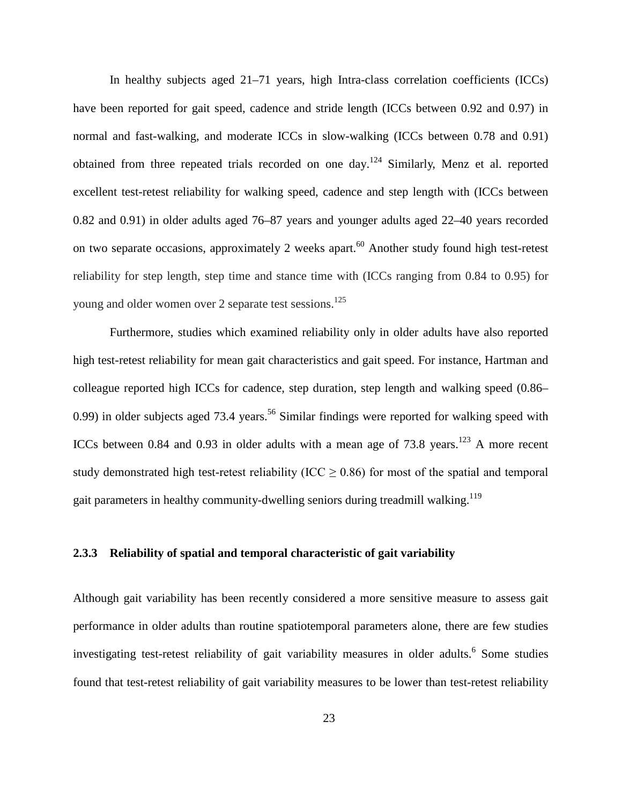In healthy subjects aged 21–71 years, high Intra-class correlation coefficients (ICCs) have been reported for gait speed, cadence and stride length (ICCs between 0.92 and 0.97) in normal and fast-walking, and moderate ICCs in slow-walking (ICCs between 0.78 and 0.91) obtained from three repeated trials recorded on one day.<sup>[124](#page-126-2)</sup> Similarly, Menz et al. reported excellent test-retest reliability for walking speed, cadence and step length with (ICCs between 0.82 and 0.91) in older adults aged 76–87 years and younger adults aged 22–40 years recorded on two separate occasions, approximately 2 weeks apart.<sup>60</sup> Another study found high test-retest reliability for step length, step time and stance time with (ICCs ranging from 0.84 to 0.95) for young and older women over 2 separate test sessions.<sup>[125](#page-126-3)</sup>

Furthermore, studies which examined reliability only in older adults have also reported high test-retest reliability for mean gait characteristics and gait speed. For instance, Hartman and colleague reported high ICCs for cadence, step duration, step length and walking speed (0.86– 0.99) in older subjects aged 73.4 years.<sup>56</sup> Similar findings were reported for walking speed with ICCs between 0.84 and 0.93 in older adults with a mean age of 73.8 years.<sup>[123](#page-126-1)</sup> A more recent study demonstrated high test-retest reliability (ICC  $\geq$  0.86) for most of the spatial and temporal gait parameters in healthy community-dwelling seniors during treadmill walking.<sup>[119](#page-125-0)</sup>

# **2.3.3 Reliability of spatial and temporal characteristic of gait variability**

Although gait variability has been recently considered a more sensitive measure to assess gait performance in older adults than routine spatiotemporal parameters alone, there are few studies investigating test-retest reliability of gait variability measures in older adults. [6](#page-117-1) Some studies found that test-retest reliability of gait variability measures to be lower than test-retest reliability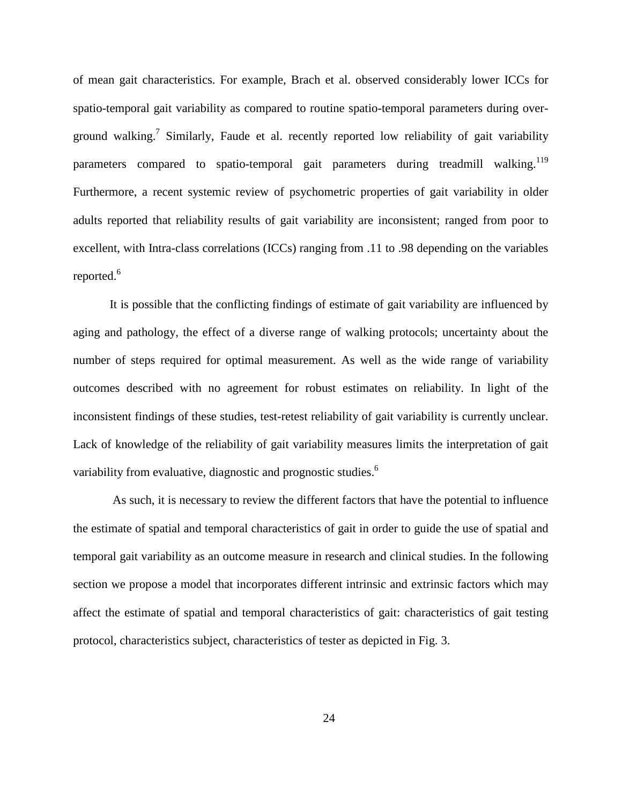of mean gait characteristics. For example, Brach et al. observed considerably lower ICCs for spatio-temporal gait variability as compared to routine spatio-temporal parameters during over-ground walking.<sup>[7](#page-117-0)</sup> Similarly, Faude et al. recently reported low reliability of gait variability parameters compared to spatio-temporal gait parameters during treadmill walking.<sup>119</sup> Furthermore, a recent systemic review of psychometric properties of gait variability in older adults reported that reliability results of gait variability are inconsistent; ranged from poor to excellent, with Intra-class correlations (ICCs) ranging from .11 to .98 depending on the variables reported.<sup>[6](#page-117-1)</sup>

It is possible that the conflicting findings of estimate of gait variability are influenced by aging and pathology, the effect of a diverse range of walking protocols; uncertainty about the number of steps required for optimal measurement. As well as the wide range of variability outcomes described with no agreement for robust estimates on reliability. In light of the inconsistent findings of these studies, test-retest reliability of gait variability is currently unclear. Lack of knowledge of the reliability of gait variability measures limits the interpretation of gait variability from evaluative, diagnostic and prognostic studies[.](#page-117-1)<sup>6</sup>

As such, it is necessary to review the different factors that have the potential to influence the estimate of spatial and temporal characteristics of gait in order to guide the use of spatial and temporal gait variability as an outcome measure in research and clinical studies. In the following section we propose a model that incorporates different intrinsic and extrinsic factors which may affect the estimate of spatial and temporal characteristics of gait: characteristics of gait testing protocol, characteristics subject, characteristics of tester as depicted in Fig. 3.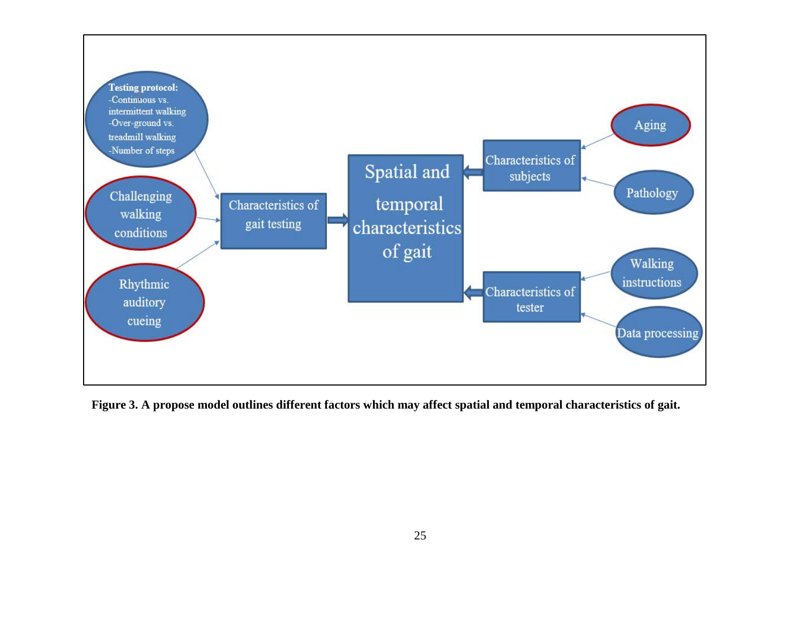

**Figure 3. A propose model outlines different factors which may affect spatial and temporal characteristics of gait.**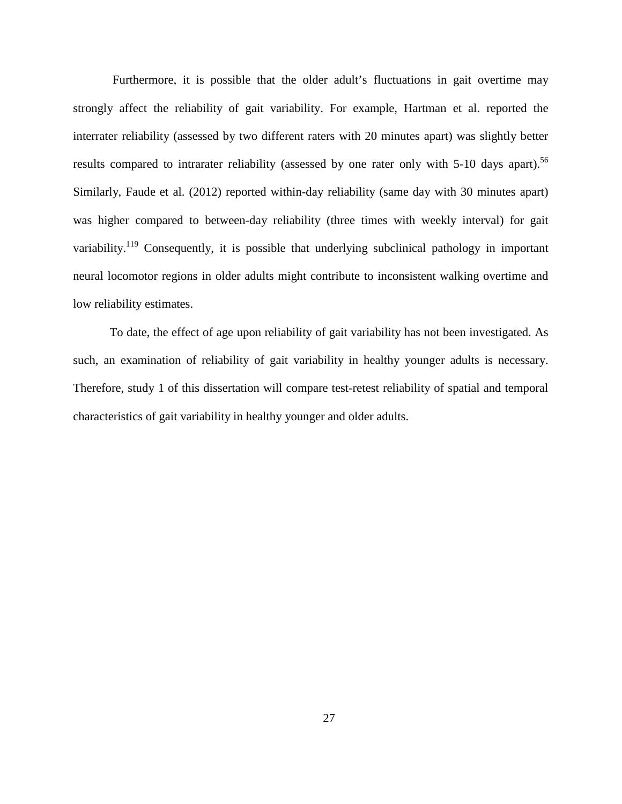Furthermore, it is possible that the older adult's fluctuations in gait overtime may strongly affect the reliability of gait variability. For example, Hartman et al. reported the interrater reliability (assessed by two different raters with 20 minutes apart) was slightly better results compared to intrarater reliability (assessed by one rater only with 5-10 days apart).<sup>56</sup> Similarly, Faude et al. (2012) reported within-day reliability (same day with 30 minutes apart) was higher compared to between-day reliability (three times with weekly interval) for gait variability.<sup>119</sup> Consequently, it is possible that underlying subclinical pathology in important neural locomotor regions in older adults might contribute to inconsistent walking overtime and low reliability estimates.

To date, the effect of age upon reliability of gait variability has not been investigated. As such, an examination of reliability of gait variability in healthy younger adults is necessary. Therefore, study 1 of this dissertation will compare test-retest reliability of spatial and temporal characteristics of gait variability in healthy younger and older adults.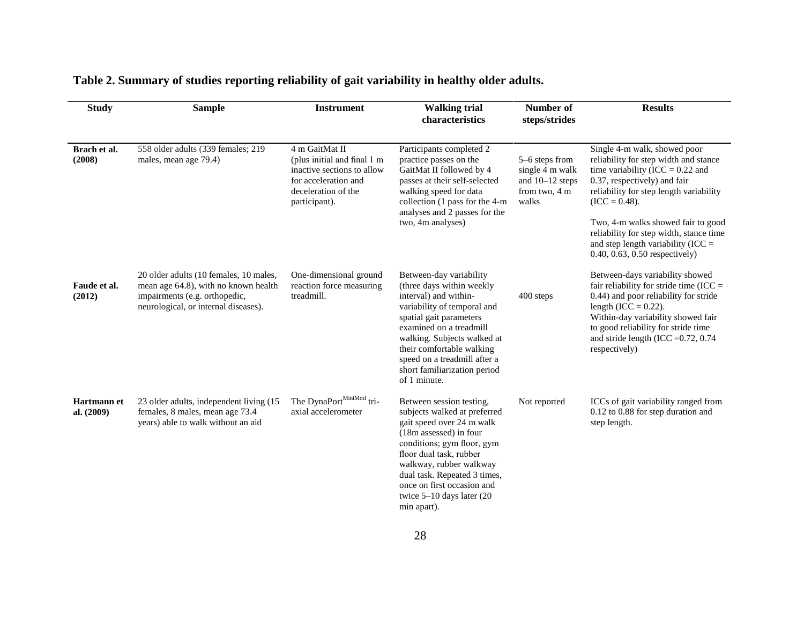| <b>Study</b>              | <b>Sample</b>                                                                                                                                           | <b>Instrument</b>                                                                                                                           | <b>Walking trial</b><br>characteristics                                                                                                                                                                                                                                                                        | Number of<br>steps/strides                                                       | <b>Results</b>                                                                                                                                                                                                                                                                                                                                                       |
|---------------------------|---------------------------------------------------------------------------------------------------------------------------------------------------------|---------------------------------------------------------------------------------------------------------------------------------------------|----------------------------------------------------------------------------------------------------------------------------------------------------------------------------------------------------------------------------------------------------------------------------------------------------------------|----------------------------------------------------------------------------------|----------------------------------------------------------------------------------------------------------------------------------------------------------------------------------------------------------------------------------------------------------------------------------------------------------------------------------------------------------------------|
| Brach et al.<br>(2008)    | 558 older adults (339 females; 219<br>males, mean age 79.4)                                                                                             | 4 m GaitMat II<br>(plus initial and final 1 m<br>inactive sections to allow<br>for acceleration and<br>deceleration of the<br>participant). | Participants completed 2<br>practice passes on the<br>GaitMat II followed by 4<br>passes at their self-selected<br>walking speed for data<br>collection (1 pass for the 4-m<br>analyses and 2 passes for the<br>two, 4m analyses)                                                                              | 5-6 steps from<br>single 4 m walk<br>and $10-12$ steps<br>from two, 4 m<br>walks | Single 4-m walk, showed poor<br>reliability for step width and stance<br>time variability (ICC = $0.22$ and<br>0.37, respectively) and fair<br>reliability for step length variability<br>$(ICC = 0.48).$<br>Two, 4-m walks showed fair to good<br>reliability for step width, stance time<br>and step length variability (ICC $=$<br>0.40, 0.63, 0.50 respectively) |
| Faude et al.<br>(2012)    | 20 older adults (10 females, 10 males,<br>mean age 64.8), with no known health<br>impairments (e.g. orthopedic,<br>neurological, or internal diseases). | One-dimensional ground<br>reaction force measuring<br>treadmill.                                                                            | Between-day variability<br>(three days within weekly<br>interval) and within-<br>variability of temporal and<br>spatial gait parameters<br>examined on a treadmill<br>walking. Subjects walked at<br>their comfortable walking<br>speed on a treadmill after a<br>short familiarization period<br>of 1 minute. | 400 steps                                                                        | Between-days variability showed<br>fair reliability for stride time (ICC $=$<br>0.44) and poor reliability for stride<br>length (ICC = $0.22$ ).<br>Within-day variability showed fair<br>to good reliability for stride time<br>and stride length (ICC = $0.72$ , 0.74<br>respectively)                                                                             |
| Hartmann et<br>al. (2009) | 23 older adults, independent living (15<br>females, 8 males, mean age 73.4<br>years) able to walk without an aid                                        | The DynaPortMiniMod tri-<br>axial accelerometer                                                                                             | Between session testing,<br>subjects walked at preferred<br>gait speed over 24 m walk<br>(18m assessed) in four<br>conditions; gym floor, gym<br>floor dual task, rubber<br>walkway, rubber walkway<br>dual task. Repeated 3 times,<br>once on first occasion and<br>twice 5-10 days later (20<br>min apart).  | Not reported                                                                     | ICCs of gait variability ranged from<br>0.12 to 0.88 for step duration and<br>step length.                                                                                                                                                                                                                                                                           |

# **Table 2. Summary of studies reporting reliability of gait variability in healthy older adults.**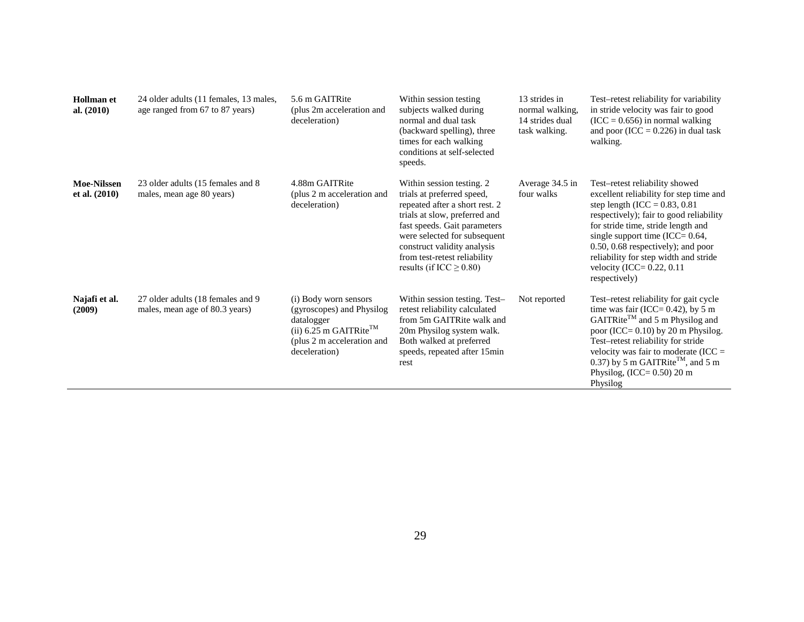| <b>Hollman</b> et<br>al. $(2010)$   | 24 older adults (11 females, 13 males,<br>age ranged from 67 to 87 years) | 5.6 m GAITRite<br>(plus 2m acceleration and<br>deceleration)                                                                                          | Within session testing<br>subjects walked during<br>normal and dual task<br>(backward spelling), three<br>times for each walking<br>conditions at self-selected<br>speeds.                                                                                                                | 13 strides in<br>normal walking,<br>14 strides dual<br>task walking. | Test-retest reliability for variability<br>in stride velocity was fair to good<br>$(ICC = 0.656)$ in normal walking<br>and poor (ICC = $0.226$ ) in dual task<br>walking.                                                                                                                                                                                                |
|-------------------------------------|---------------------------------------------------------------------------|-------------------------------------------------------------------------------------------------------------------------------------------------------|-------------------------------------------------------------------------------------------------------------------------------------------------------------------------------------------------------------------------------------------------------------------------------------------|----------------------------------------------------------------------|--------------------------------------------------------------------------------------------------------------------------------------------------------------------------------------------------------------------------------------------------------------------------------------------------------------------------------------------------------------------------|
| <b>Moe-Nilssen</b><br>et al. (2010) | 23 older adults (15 females and 8)<br>males, mean age 80 years)           | 4.88m GAITRite<br>(plus 2 m acceleration and<br>deceleration)                                                                                         | Within session testing. 2<br>trials at preferred speed,<br>repeated after a short rest. 2<br>trials at slow, preferred and<br>fast speeds. Gait parameters<br>were selected for subsequent<br>construct validity analysis<br>from test-retest reliability<br>results (if ICC $\geq$ 0.80) | Average 34.5 in<br>four walks                                        | Test-retest reliability showed<br>excellent reliability for step time and<br>step length (ICC = $0.83$ , $0.81$<br>respectively); fair to good reliability<br>for stride time, stride length and<br>single support time (ICC= $0.64$ ,<br>$0.50, 0.68$ respectively); and poor<br>reliability for step width and stride<br>velocity (ICC= $0.22$ , 0.11<br>respectively) |
| Najafi et al.<br>(2009)             | 27 older adults (18 females and 9)<br>males, mean age of 80.3 years)      | (i) Body worn sensors<br>(gyroscopes) and Physilog<br>datalogger<br>(ii) 6.25 m GAITRite <sup>TM</sup><br>(plus 2 m acceleration and<br>deceleration) | Within session testing. Test-<br>retest reliability calculated<br>from 5m GAITRite walk and<br>20m Physilog system walk.<br>Both walked at preferred<br>speeds, repeated after 15min<br>rest                                                                                              | Not reported                                                         | Test-retest reliability for gait cycle<br>time was fair (ICC= $0.42$ ), by 5 m<br>$GAITRite^{TM}$ and 5 m Physilog and<br>poor (ICC= $0.10$ ) by 20 m Physilog.<br>Test-retest reliability for stride<br>velocity was fair to moderate (ICC $=$<br>0.37) by 5 m GAITRite <sup>TM</sup> , and 5 m<br>Physilog, $(ICC = 0.50)$ 20 m<br>Physilog                            |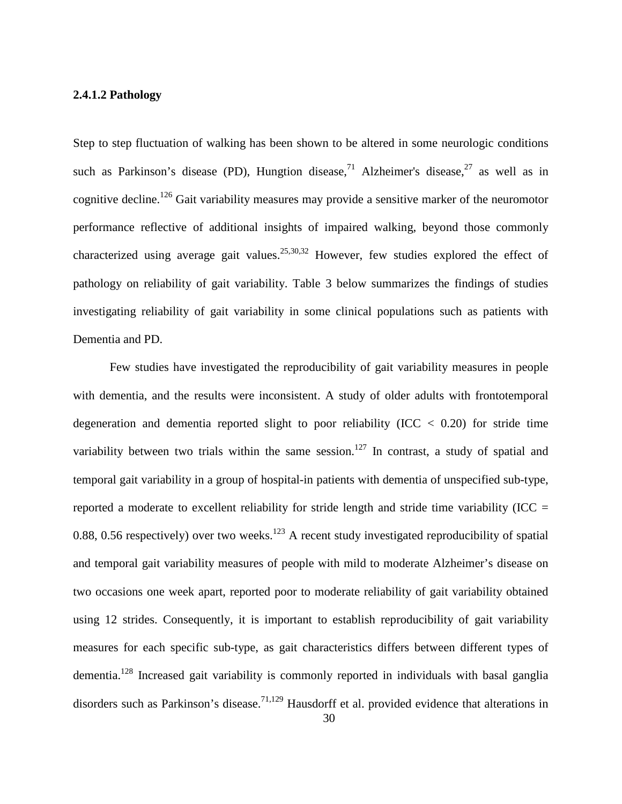# **2.4.1.2 Pathology**

Step to step fluctuation of walking has been shown to be altered in some neurologic conditions such as Parkinson's disease (PD), Hungtion disease,<sup>[71](#page-122-0)</sup> Alzheimer's disease,<sup>[27](#page-119-0)</sup> as well as in cognitive decline.<sup>[126](#page-126-4)</sup> Gait variability measures may provide a sensitive marker of the neuromotor performance reflective of additional insights of impaired walking, beyond those commonly characterized using average gait values.<sup>[25](#page-119-1)[,30](#page-119-2)[,32](#page-119-3)</sup> However, few studies explored the effect of pathology on reliability of gait variability. Table 3 below summarizes the findings of studies investigating reliability of gait variability in some clinical populations such as patients with Dementia and PD.

Few studies have investigated the reproducibility of gait variability measures in people with dementia, and the results were inconsistent. A study of older adults with frontotemporal degeneration and dementia reported slight to poor reliability (ICC  $<$  0.20) for stride time variability between two trials within the same session.<sup>[127](#page-126-5)</sup> In contrast, a study of spatial and temporal gait variability in a group of hospital-in patients with dementia of unspecified sub-type, reported a moderate to excellent reliability for stride length and stride time variability (ICC  $=$ 0.88, 0.56 respectively) over two weeks.<sup>[123](#page-126-1)</sup> A recent study investigated reproducibility of spatial and temporal gait variability measures of people with mild to moderate Alzheimer's disease on two occasions one week apart, reported poor to moderate reliability of gait variability obtained using 12 strides. Consequently, it is important to establish reproducibility of gait variability measures for each specific sub-type, as gait characteristics differs between different types of dementia.<sup>[128](#page-126-6)</sup> Increased gait variability is commonly reported in individuals with basal ganglia disorders such as Parkinson's disease.<sup>[71](#page-122-0)[,129](#page-126-7)</sup> Hausdorff et al. provided evidence that alterations in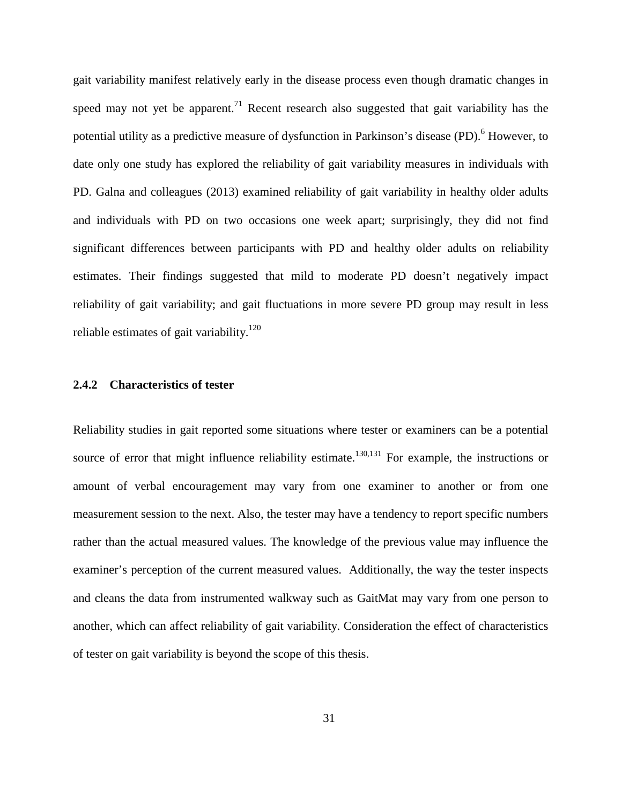gait variability manifest relatively early in the disease process even though dramatic changes in speed may not yet be apparent.<sup>71</sup> Recent research also suggested that gait variability has the potential utility as a predictive measure of dysfunction in Parkinson's disease (PD).<sup>[6](#page-117-1)</sup> However, to date only one study has explored the reliability of gait variability measures in individuals with PD. Galna and colleagues (2013) examined reliability of gait variability in healthy older adults and individuals with PD on two occasions one week apart; surprisingly, they did not find significant differences between participants with PD and healthy older adults on reliability estimates. Their findings suggested that mild to moderate PD doesn't negatively impact reliability of gait variability; and gait fluctuations in more severe PD group may result in less reliable estimates of gait variability.<sup>120</sup>

## **2.4.2 Characteristics of tester**

Reliability studies in gait reported some situations where tester or examiners can be a potential source of error that might influence reliability estimate.<sup>[130,](#page-126-9)[131](#page-126-10)</sup> For example, the instructions or amount of verbal encouragement may vary from one examiner to another or from one measurement session to the next. Also, the tester may have a tendency to report specific numbers rather than the actual measured values. The knowledge of the previous value may influence the examiner's perception of the current measured values. Additionally, the way the tester inspects and cleans the data from instrumented walkway such as GaitMat may vary from one person to another, which can affect reliability of gait variability. Consideration the effect of characteristics of tester on gait variability is beyond the scope of this thesis.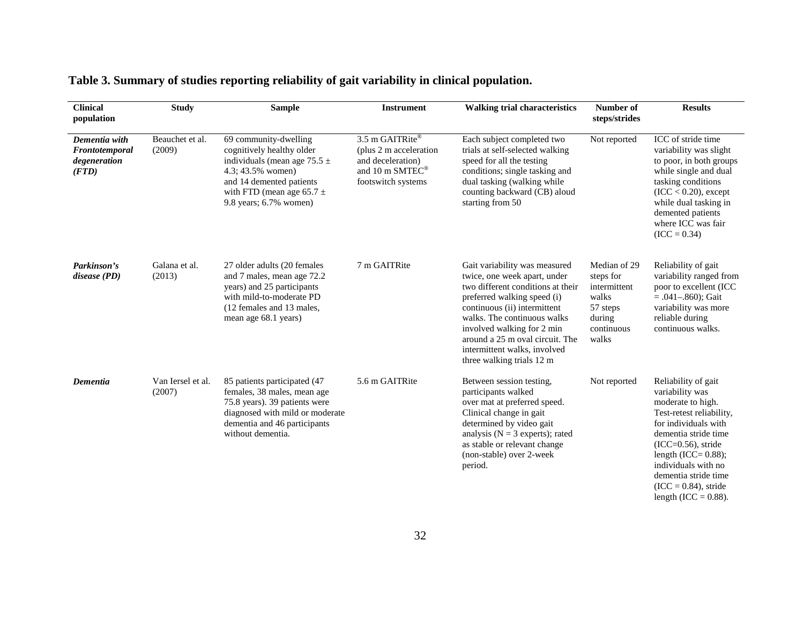| <b>Clinical</b><br>population                            | <b>Study</b>                | <b>Sample</b>                                                                                                                                                                                      | <b>Instrument</b>                                                                                       | <b>Walking trial characteristics</b>                                                                                                                                                                                                                                                                                           | Number of<br>steps/strides                                                                      | <b>Results</b>                                                                                                                                                                                                                                                                                 |
|----------------------------------------------------------|-----------------------------|----------------------------------------------------------------------------------------------------------------------------------------------------------------------------------------------------|---------------------------------------------------------------------------------------------------------|--------------------------------------------------------------------------------------------------------------------------------------------------------------------------------------------------------------------------------------------------------------------------------------------------------------------------------|-------------------------------------------------------------------------------------------------|------------------------------------------------------------------------------------------------------------------------------------------------------------------------------------------------------------------------------------------------------------------------------------------------|
| Dementia with<br>Frontotemporal<br>degeneration<br>(FTD) | Beauchet et al.<br>(2009)   | 69 community-dwelling<br>cognitively healthy older<br>individuals (mean age $75.5 \pm$<br>4.3; 43.5% women)<br>and 14 demented patients<br>with FTD (mean age 65.7 $\pm$<br>9.8 years; 6.7% women) | 3.5 m GAITRite®<br>(plus 2 m acceleration<br>and deceleration)<br>and 10 m SMTEC®<br>footswitch systems | Each subject completed two<br>trials at self-selected walking<br>speed for all the testing<br>conditions; single tasking and<br>dual tasking (walking while<br>counting backward (CB) aloud<br>starting from 50                                                                                                                | Not reported                                                                                    | ICC of stride time<br>variability was slight<br>to poor, in both groups<br>while single and dual<br>tasking conditions<br>$(ICC < 0.20)$ , except<br>while dual tasking in<br>demented patients<br>where ICC was fair<br>$(ICC = 0.34)$                                                        |
| Parkinson's<br>disease (PD)                              | Galana et al.<br>(2013)     | 27 older adults (20 females<br>and 7 males, mean age 72.2<br>years) and 25 participants<br>with mild-to-moderate PD<br>(12 females and 13 males,<br>mean age 68.1 years)                           | 7 m GAITRite                                                                                            | Gait variability was measured<br>twice, one week apart, under<br>two different conditions at their<br>preferred walking speed (i)<br>continuous (ii) intermittent<br>walks. The continuous walks<br>involved walking for 2 min<br>around a 25 m oval circuit. The<br>intermittent walks, involved<br>three walking trials 12 m | Median of 29<br>steps for<br>intermittent<br>walks<br>57 steps<br>during<br>continuous<br>walks | Reliability of gait<br>variability ranged from<br>poor to excellent (ICC<br>$= .041 - .860$ ; Gait<br>variability was more<br>reliable during<br>continuous walks.                                                                                                                             |
| Dementia                                                 | Van Iersel et al.<br>(2007) | 85 patients participated (47<br>females, 38 males, mean age<br>75.8 years). 39 patients were<br>diagnosed with mild or moderate<br>dementia and 46 participants<br>without dementia.               | 5.6 m GAITRite                                                                                          | Between session testing,<br>participants walked<br>over mat at preferred speed.<br>Clinical change in gait<br>determined by video gait<br>analysis ( $N = 3$ experts); rated<br>as stable or relevant change<br>(non-stable) over 2-week<br>period.                                                                            | Not reported                                                                                    | Reliability of gait<br>variability was<br>moderate to high.<br>Test-retest reliability,<br>for individuals with<br>dementia stride time<br>$(ICC=0.56)$ , stride<br>length $(ICC = 0.88)$ ;<br>individuals with no<br>dementia stride time<br>$(ICC = 0.84)$ , stride<br>length $(ICC = 0.88)$ |

# **Table 3. Summary of studies reporting reliability of gait variability in clinical population.**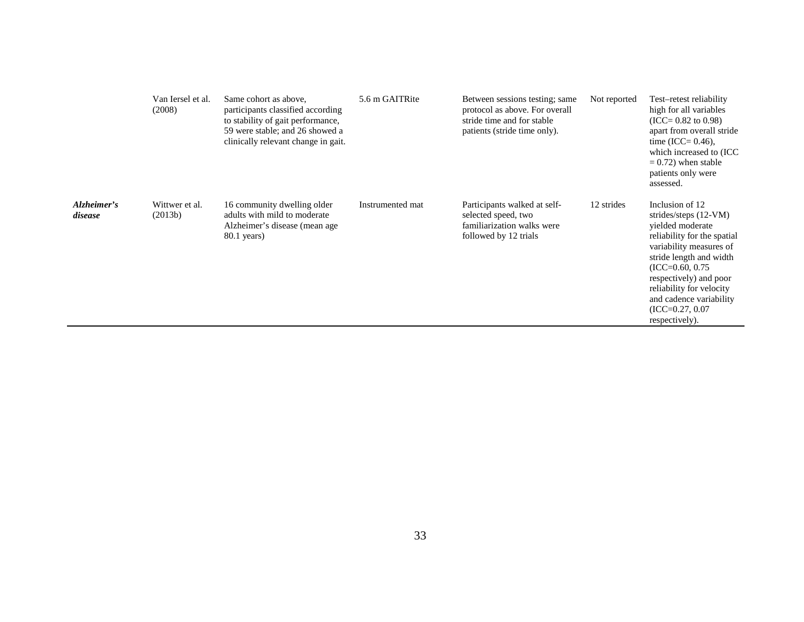|                        | Van Iersel et al.<br>(2008) | Same cohort as above,<br>participants classified according<br>to stability of gait performance,<br>59 were stable; and 26 showed a<br>clinically relevant change in gait. | 5.6 m GAITRite   | Between sessions testing; same<br>protocol as above. For overall<br>stride time and for stable<br>patients (stride time only). | Not reported | Test-retest reliability<br>high for all variables<br>$(ICC = 0.82$ to 0.98)<br>apart from overall stride<br>time (ICC= $0.46$ ),<br>which increased to (ICC)<br>$= 0.72$ ) when stable<br>patients only were<br>assessed.                                                                          |
|------------------------|-----------------------------|---------------------------------------------------------------------------------------------------------------------------------------------------------------------------|------------------|--------------------------------------------------------------------------------------------------------------------------------|--------------|----------------------------------------------------------------------------------------------------------------------------------------------------------------------------------------------------------------------------------------------------------------------------------------------------|
| Alzheimer's<br>disease | Wittwer et al.<br>(2013b)   | 16 community dwelling older<br>adults with mild to moderate<br>Alzheimer's disease (mean age<br>$80.1$ years)                                                             | Instrumented mat | Participants walked at self-<br>selected speed, two<br>familiarization walks were<br>followed by 12 trials                     | 12 strides   | Inclusion of 12<br>strides/steps $(12-VM)$<br>vielded moderate<br>reliability for the spatial<br>variability measures of<br>stride length and width<br>$(ICC=0.60, 0.75)$<br>respectively) and poor<br>reliability for velocity<br>and cadence variability<br>$(ICC=0.27, 0.07)$<br>respectively). |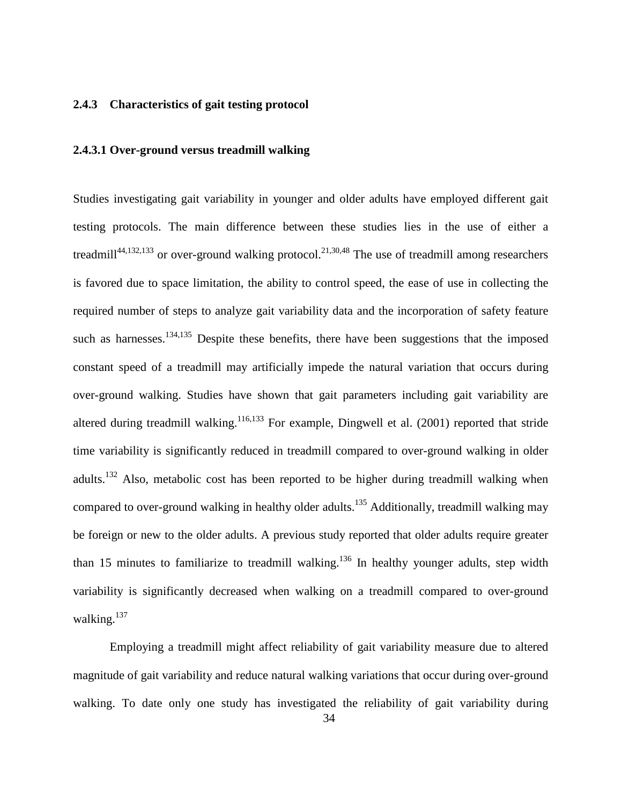#### **2.4.3 Characteristics of gait testing protocol**

#### **2.4.3.1 Over-ground versus treadmill walking**

Studies investigating gait variability in younger and older adults have employed different gait testing protocols. The main difference between these studies lies in the use of either a treadmill<sup>[44,](#page-120-1)[132,](#page-126-11)[133](#page-127-0)</sup> or over-ground walking protocol.<sup>21,[30,](#page-119-2)[48](#page-120-2)</sup> The use of treadmill among researchers is favored due to space limitation, the ability to control speed, the ease of use in collecting the required number of steps to analyze gait variability data and the incorporation of safety feature such as harnesses.<sup>[134](#page-127-1)[,135](#page-127-2)</sup> Despite these benefits, there have been suggestions that the imposed constant speed of a treadmill may artificially impede the natural variation that occurs during over-ground walking. Studies have shown that gait parameters including gait variability are altered during treadmill walking.<sup>[116,](#page-125-1)[133](#page-127-0)</sup> For example, Dingwell et al.  $(2001)$  reported that stride time variability is significantly reduced in treadmill compared to over-ground walking in older adults.<sup>132</sup> Also, metabolic cost has been reported to be higher during treadmill walking when compared to over-ground walking in healthy older adults.<sup>135</sup> Additionally, treadmill walking may be foreign or new to the older adults. A previous study reported that older adults require greater than 15 minutes to familiarize to treadmill walking.<sup>136</sup> In healthy younger adults, step width variability is significantly decreased when walking on a treadmill compared to over-ground walking.<sup>[137](#page-127-4)</sup>

Employing a treadmill might affect reliability of gait variability measure due to altered magnitude of gait variability and reduce natural walking variations that occur during over-ground walking. To date only one study has investigated the reliability of gait variability during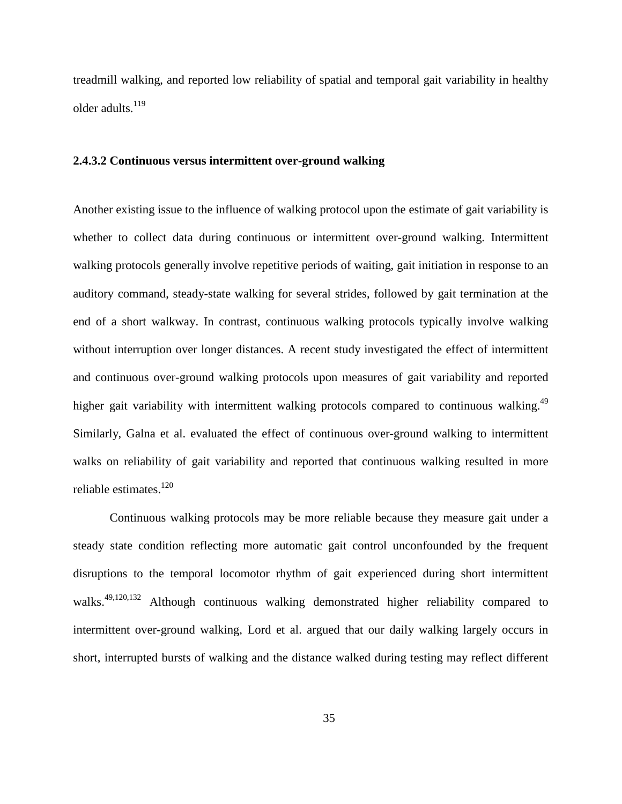treadmill walking, and reported low reliability of spatial and temporal gait variability in healthy older adults.<sup>[119](#page-125-0)</sup>

#### **2.4.3.2 Continuous versus intermittent over-ground walking**

Another existing issue to the influence of walking protocol upon the estimate of gait variability is whether to collect data during continuous or intermittent over-ground walking. Intermittent walking protocols generally involve repetitive periods of waiting, gait initiation in response to an auditory command, steady-state walking for several strides, followed by gait termination at the end of a short walkway. In contrast, continuous walking protocols typically involve walking without interruption over longer distances. A recent study investigated the effect of intermittent and continuous over-ground walking protocols upon measures of gait variability and reported higher gait variability with intermittent walking protocols compared to continuous walking.<sup>49</sup> Similarly, Galna et al. evaluated the effect of continuous over-ground walking to intermittent walks on reliability of gait variability and reported that continuous walking resulted in more reliable estimates.<sup>[120](#page-126-8)</sup>

Continuous walking protocols may be more reliable because they measure gait under a steady state condition reflecting more automatic gait control unconfounded by the frequent disruptions to the temporal locomotor rhythm of gait experienced during short intermittent walks.<sup>[49](#page-120-3)[,120](#page-126-8)[,132](#page-126-11)</sup> Although continuous walking demonstrated higher reliability compared to intermittent over-ground walking, Lord et al. argued that our daily walking largely occurs in short, interrupted bursts of walking and the distance walked during testing may reflect different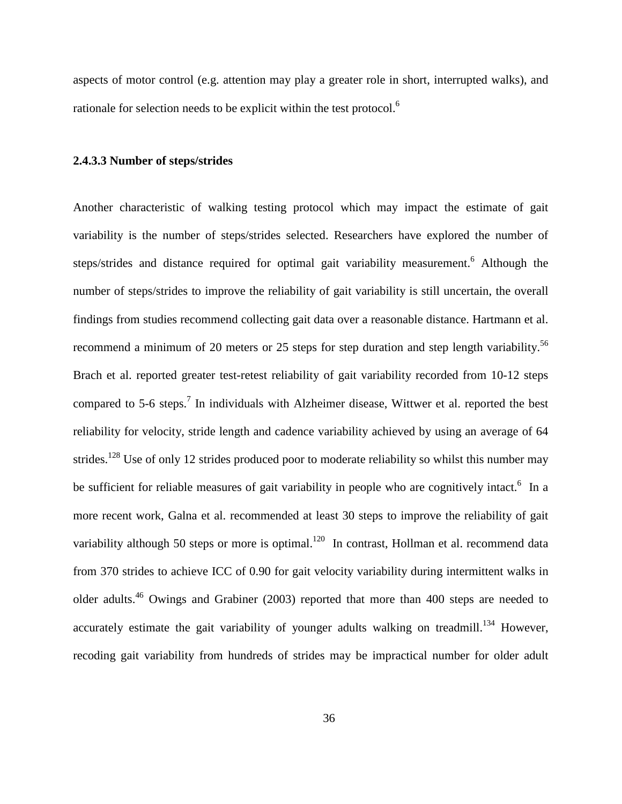aspects of motor control (e.g. attention may play a greater role in short, interrupted walks), and rationale for selection needs to be explicit within the test protocol.<sup>6</sup>

#### **2.4.3.3 Number of steps/strides**

Another characteristic of walking testing protocol which may impact the estimate of gait variability is the number of steps/strides selected. Researchers have explored the number of steps/strides and distance required for optimal gait variability measurement.<sup>6</sup> Although the number of steps/strides to improve the reliability of gait variability is still uncertain, the overall findings from studies recommend collecting gait data over a reasonable distance. Hartmann et al. recommend a minimum of 20 meters or 25 steps for step duration and step length variability.<sup>56</sup> Brach et al. reported greater test-retest reliability of gait variability recorded from 10-12 steps compared to 5-6 steps.<sup>[7](#page-117-0)</sup> In individuals with Alzheimer disease, Wittwer et al. reported the best reliability for velocity, stride length and cadence variability achieved by using an average of 64 strides.<sup>128</sup> Use of only 12 strides produced poor to moderate reliability so whilst this number may besufficient for reliable measures of gait variability in people who are cognitively intact.<sup>6</sup> In a more recent work, Galna et al. recommended at least 30 steps to improve the reliability of gait variability although 50 steps or more is optimal.<sup>120</sup> In contrast, Hollman et al. recommend data from 370 strides to achieve ICC of 0.90 for gait velocity variability during intermittent walks in older adults.[46](#page-120-4) Owings and Grabiner (2003) reported that more than 400 steps are needed to accurately estimate the gait variability of younger adults walking on treadmill.<sup>134</sup> However, recoding gait variability from hundreds of strides may be impractical number for older adult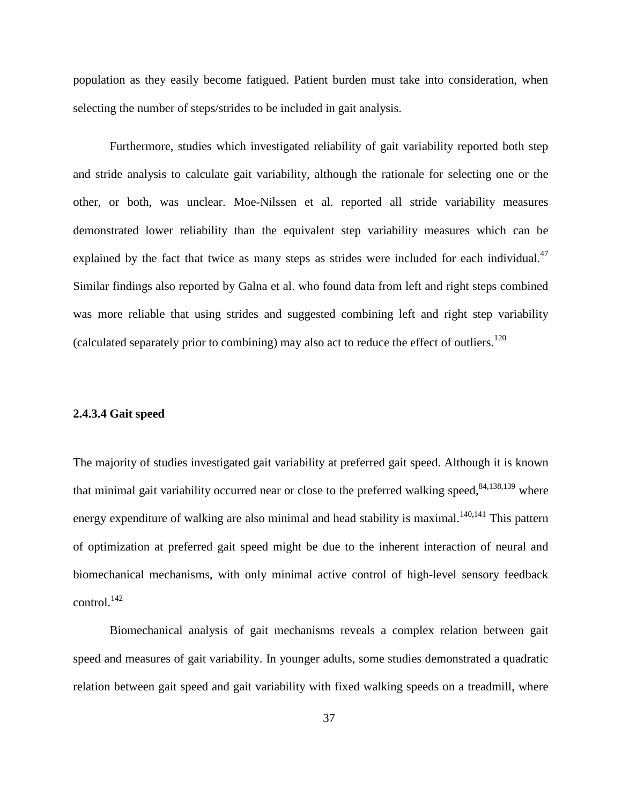population as they easily become fatigued. Patient burden must take into consideration, when selecting the number of steps/strides to be included in gait analysis.

Furthermore, studies which investigated reliability of gait variability reported both step and stride analysis to calculate gait variability, although the rationale for selecting one or the other, or both, was unclear. Moe-Nilssen et al. reported all stride variability measures demonstrated lower reliability than the equivalent step variability measures which can be explained by the fact that twice as many steps as strides were included for each individual.<sup>47</sup> Similar findings also reported by Galna et al. who found data from left and right steps combined was more reliable that using strides and suggested combining left and right step variability (calculated separately prior to combining) may also act to reduce the effect of outliers.<sup>[120](#page-126-8)</sup>

### **2.4.3.4 Gait speed**

The majority of studies investigated gait variability at preferred gait speed. Although it is known that minimal gait variability occurred near or close to the preferred walking speed,  $84,138,139$  $84,138,139$  $84,138,139$  where energy expenditure of walking are also minimal and head stability is maximal.<sup>140,[141](#page-127-8)</sup> This pattern of optimization at preferred gait speed might be due to the inherent interaction of neural and biomechanical mechanisms, with only minimal active control of high-level sensory feedback  $control.<sup>142</sup>$  $control.<sup>142</sup>$  $control.<sup>142</sup>$ 

Biomechanical analysis of gait mechanisms reveals a complex relation between gait speed and measures of gait variability. In younger adults, some studies demonstrated a quadratic relation between gait speed and gait variability with fixed walking speeds on a treadmill, where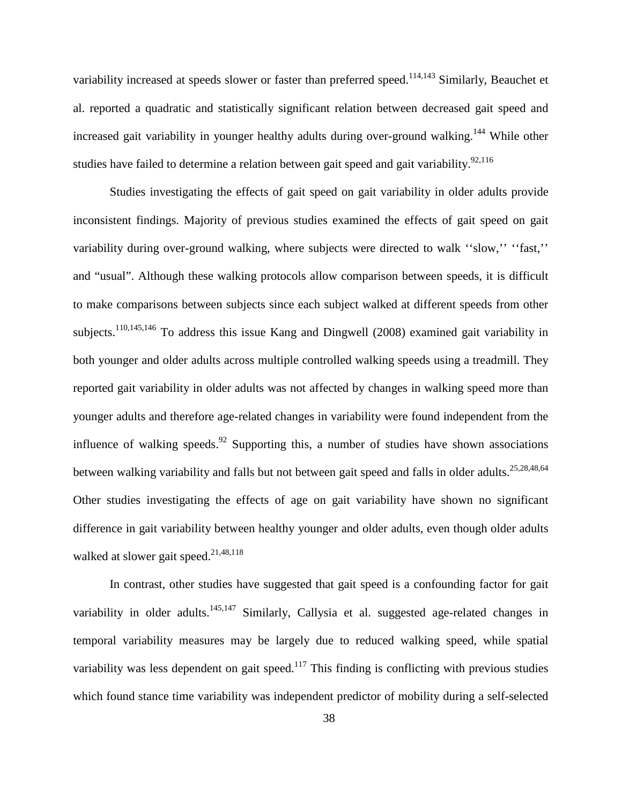variability increased at speeds slower or faster than preferred speed.<sup>[114,](#page-125-2)[143](#page-127-10)</sup> Similarly, Beauchet et al. reported a quadratic and statistically significant relation between decreased gait speed and increased gait variability in younger healthy adults during over-ground walking.<sup>144</sup> While other studies have failed to determine a relation between gait speed and gait variability.<sup>92,[116](#page-125-1)</sup>

Studies investigating the effects of gait speed on gait variability in older adults provide inconsistent findings. Majority of previous studies examined the effects of gait speed on gait variability during over-ground walking, where subjects were directed to walk ''slow,'' ''fast,'' and "usual". Although these walking protocols allow comparison between speeds, it is difficult to make comparisons between subjects since each subject walked at different speeds from other subjects.<sup>110,[145,](#page-127-12)[146](#page-128-0)</sup> To address this issue Kang and Dingwell (2008) examined gait variability in both younger and older adults across multiple controlled walking speeds using a treadmill. They reported gait variability in older adults was not affected by changes in walking speed more than younger adults and therefore age-related changes in variability were found independent from the influence of walking speeds. <sup>[92](#page-124-0)</sup> Supporting this, a number of studies have shown associations between walking variability and falls but not between gait speed and falls in older adults.<sup>25[,28](#page-119-4)[,48](#page-120-2)[,64](#page-121-2)</sup> Other studies investigating the effects of age on gait variability have shown no significant difference in gait variability between healthy younger and older adults, even though older adults walked at slower gait speed.<sup>21,[48,](#page-120-2)[118](#page-125-4)</sup>

In contrast, other studies have suggested that gait speed is a confounding factor for gait variability in older adults.<sup>[145,](#page-127-12)[147](#page-128-1)</sup> Similarly, Callysia et al. suggested age-related changes in temporal variability measures may be largely due to reduced walking speed, while spatial variability was less dependent on gait speed.<sup>117</sup> This finding is conflicting with previous studies which found stance time variability was independent predictor of mobility during a self-selected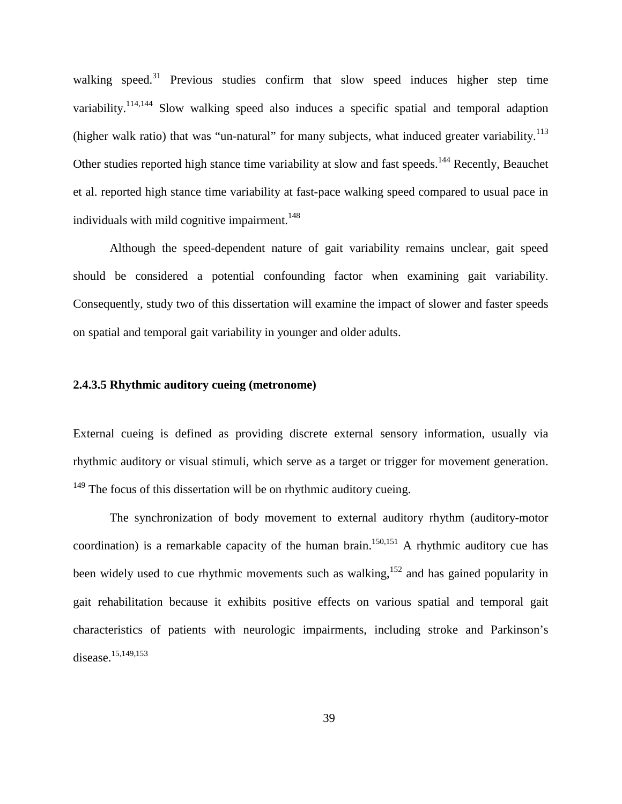walking speed.<sup>[31](#page-119-5)</sup> Previous studies confirm that slow speed induces higher step time variability.<sup>114,[144](#page-127-11)</sup> Slow walking speed also induces a specific spatial and temporal adaption (higher walk ratio) that was "un-natural" for many subjects, what induced greater variability.<sup>[113](#page-125-6)</sup> Other studies reported high stance time variability at slow and fast speeds.<sup>[144](#page-127-11)</sup> Recently, Beauchet et al. reported high stance time variability at fast-pace walking speed compared to usual pace in individuals with mild cognitive impairment.<sup>[148](#page-128-2)</sup>

Although the speed-dependent nature of gait variability remains unclear, gait speed should be considered a potential confounding factor when examining gait variability. Consequently, study two of this dissertation will examine the impact of slower and faster speeds on spatial and temporal gait variability in younger and older adults.

# **2.4.3.5 Rhythmic auditory cueing (metronome)**

External cueing is defined as providing discrete external sensory information, usually via rhythmic auditory or visual stimuli, which serve as a target or trigger for movement generation.  $149$  The focus of this dissertation will be on rhythmic auditory cueing.

The synchronization of body movement to external auditory rhythm (auditory-motor coordination) is a remarkable capacity of the human brain.<sup>150[,151](#page-128-5)</sup> A rhythmic auditory cue has been widely used to cue rhythmic movements such as walking,<sup>152</sup> and has gained popularity in gait rehabilitation because it exhibits positive effects on various spatial and temporal gait characteristics of patients with neurologic impairments, including stroke and Parkinson's disease.<sup>15,[149,](#page-128-3)[153](#page-128-7)</sup>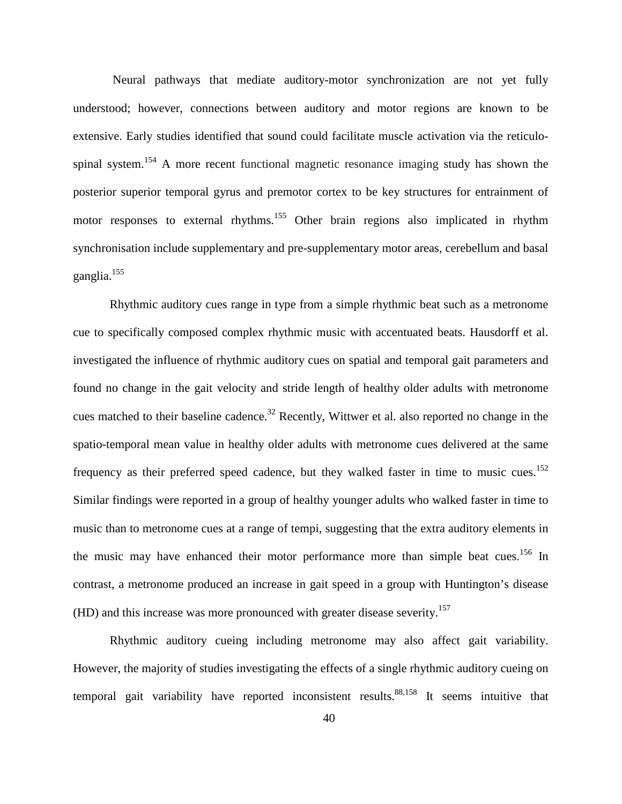Neural pathways that mediate auditory-motor synchronization are not yet fully understood; however, connections between auditory and motor regions are known to be extensive. Early studies identified that sound could facilitate muscle activation via the reticulospinal system.<sup>154</sup> A more recent functional magnetic resonance imaging study has shown the posterior superior temporal gyrus and premotor cortex to be key structures for entrainment of motor responses to external rhythms.<sup>155</sup> Other brain regions also implicated in rhythm synchronisation include supplementary and pre-supplementary motor areas, cerebellum and basal ganglia.[155](#page-128-9)

Rhythmic auditory cues range in type from a simple rhythmic beat such as a metronome cue to specifically composed complex rhythmic music with accentuated beats. Hausdorff et al. investigated the influence of rhythmic auditory cues on spatial and temporal gait parameters and found no change in the gait velocity and stride length of healthy older adults with metronome cues matched to their baseline cadence.<sup>[32](#page-119-3)</sup> Recently, Wittwer et al. also reported no change in the spatio-temporal mean value in healthy older adults with metronome cues delivered at the same frequency as their preferred speed cadence, but they walked faster in time to music cues.<sup>[152](#page-128-6)</sup> Similar findings were reported in a group of healthy younger adults who walked faster in time to music than to metronome cues at a range of tempi, suggesting that the extra auditory elements in the music may have enhanced their motor performance more than simple beat cues.<sup>156</sup> In contrast, a metronome produced an increase in gait speed in a group with Huntington's disease (HD) and this increase was more pronounced with greater disease severity.<sup>[157](#page-128-11)</sup>

Rhythmic auditory cueing including metronome may also affect gait variability. However, the majority of studies investigating the effects of a single rhythmic auditory cueing on temporal gait variability have reported inconsistent results.<sup>88,[158](#page-128-12)</sup> It seems intuitive that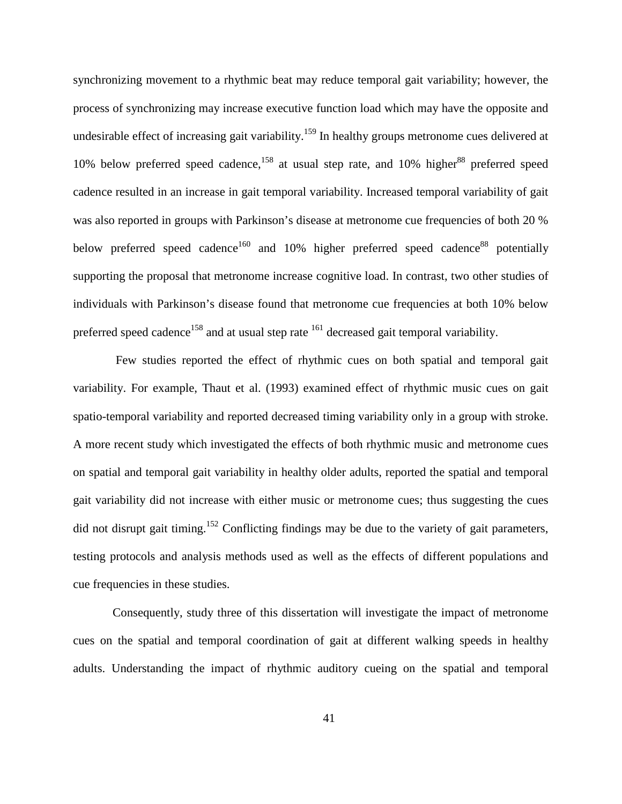synchronizing movement to a rhythmic beat may reduce temporal gait variability; however, the process of synchronizing may increase executive function load which may have the opposite and undesirable effect of increasing gait variability.<sup>[159](#page-129-0)</sup> In healthy groups metronome cues delivered at 10% below preferred speed cadence,<sup>[158](#page-128-12)</sup> at usual step rate, and 10% higher<sup>88</sup> preferred speed cadence resulted in an increase in gait temporal variability. Increased temporal variability of gait was also reported in groups with Parkinson's disease at metronome cue frequencies of both 20 % below preferred speed cadence<sup>160</sup> and 10% higher preferred speed cadence<sup>88</sup> potentially supporting the proposal that metronome increase cognitive load. In contrast, two other studies of individuals with Parkinson's disease found that metronome cue frequencies at both 10% below preferred speed cadence<sup>158</sup> and at usual step rate <sup>[161](#page-129-2)</sup> decreased gait temporal variability.

 Few studies reported the effect of rhythmic cues on both spatial and temporal gait variability. For example, Thaut et al. (1993) examined effect of rhythmic music cues on gait spatio-temporal variability and reported decreased timing variability only in a group with stroke. A more recent study which investigated the effects of both rhythmic music and metronome cues on spatial and temporal gait variability in healthy older adults, reported the spatial and temporal gait variability did not increase with either music or metronome cues; thus suggesting the cues did not disrupt gait timing.<sup>[152](#page-128-6)</sup> Conflicting findings may be due to the variety of gait parameters, testing protocols and analysis methods used as well as the effects of different populations and cue frequencies in these studies.

Consequently, study three of this dissertation will investigate the impact of metronome cues on the spatial and temporal coordination of gait at different walking speeds in healthy adults. Understanding the impact of rhythmic auditory cueing on the spatial and temporal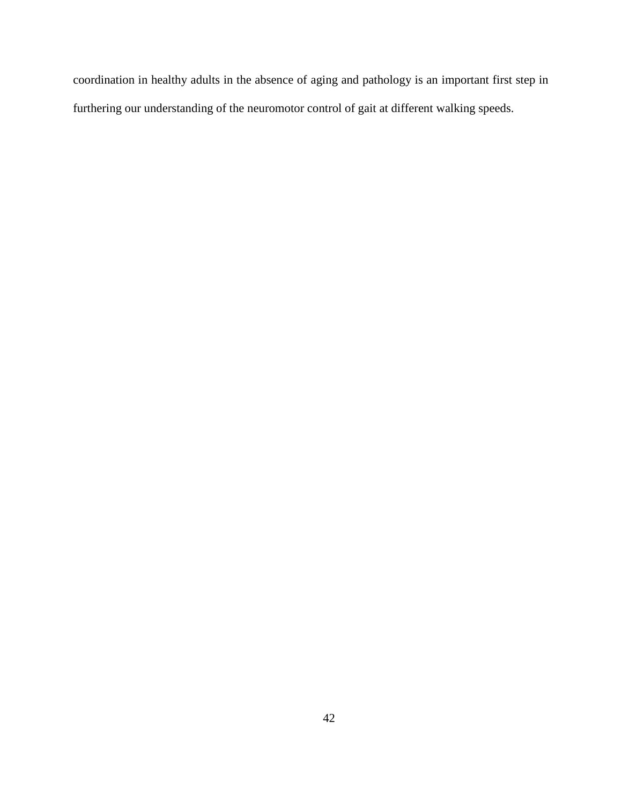coordination in healthy adults in the absence of aging and pathology is an important first step in furthering our understanding of the neuromotor control of gait at different walking speeds.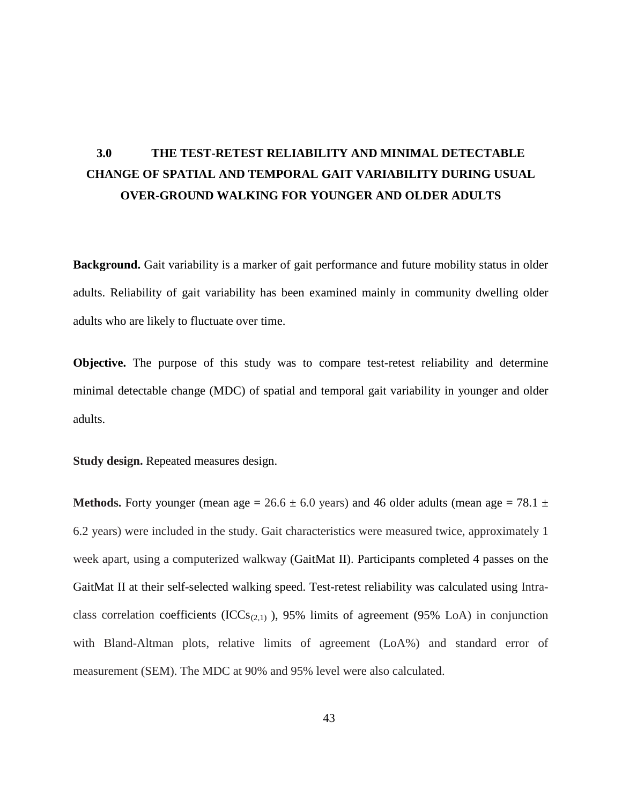#### 2.4.3 Characteristics of gait testing protocol

#### 2.4.3.1 Over-ground versus treadmill walking

Studies investigating gait variability in younger and older adults have employed different gait testing protocols. The main difference between these studies lies in the use of either a treadmill<sup>44,132,133</sup> or over-ground walking protocol.<sup>21,30,48</sup> The use of treadmill among researchers is favored due to space limitation, the ability to control speed, the ease of use in collecting the required number of steps to analyze gait variability data and the incorporation of safety feature such as harnesses.<sup>134,135</sup> Despite these benefits, there have been suggestions that the imposed constant speed of a treadmill may artificially impede the natural variation that occurs during over-ground walking. Studies have shown that gait parameters including gait variability are altered during treadmill walking.<sup>116,133</sup> For example, Dingwell et al.  $(2001)$  reported that stride time variability is significantly reduced in treadmill compared to over-ground walking in older adults.<sup>132</sup> Also, metabolic cost has been reported to be higher during treadmill walking when compared to over-ground walking in healthy older adults.<sup>135</sup> Additionally, treadmill walking may be foreign or new to the older adults. A previous study reported that older adults require greater than 15 minutes to familiarize to treadmill walking.<sup>136</sup> In healthy younger adults, step width variability is significantly decreased when walking on a treadmill compared to over-ground walking. $137$ 

Employing a treadmill might affect reliability of gait variability measure due to altered magnitude of gait variability and reduce natural walking variations that occur during over-ground walking. To date only one study has investigated the reliability of gait variability during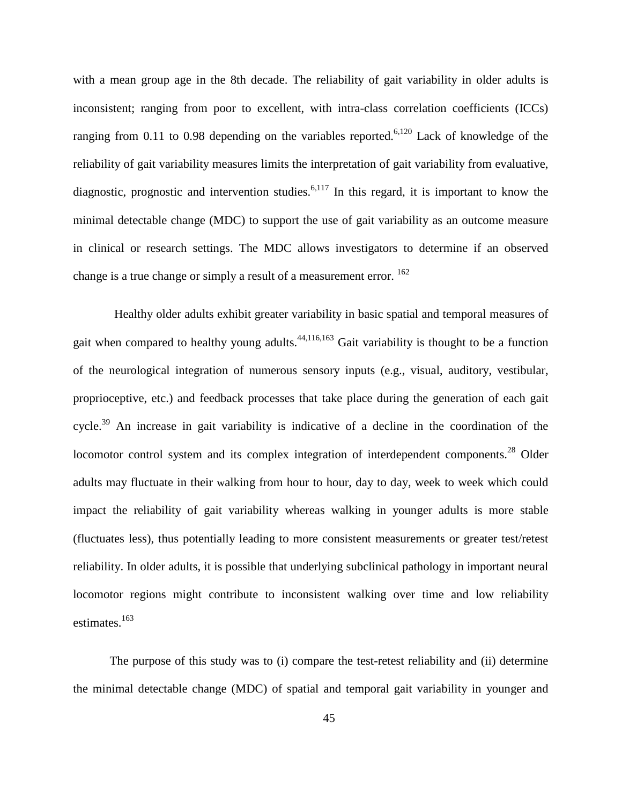with a mean group age in the 8th decade. The reliability of gait variability in older adults is inconsistent; ranging from poor to excellent, with intra-class correlation coefficients (ICCs) ranging from 0.11 to 0.98 depending on the variables reported.<sup>[6,](#page-117-1)[120](#page-126-8)</sup> Lack of knowledge of the reliability of gait variability measures limits the interpretation of gait variability from evaluative, diagnostic, prognostic and intervention studies.<sup>[6,](#page-117-1)[117](#page-125-5)</sup> In this regard, it is important to know the minimal detectable change (MDC) to support the use of gait variability as an outcome measure in clinical or research settings. The MDC allows investigators to determine if an observed change is a true change or simply a result of a measurement error.  $^{162}$  $^{162}$  $^{162}$ 

Healthy older adults exhibit greater variability in basic spatial and temporal measures of gait when compared to healthy young adults.<sup>[44,](#page-120-1)[116,](#page-125-1)[163](#page-129-4)</sup> Gait variability is thought to be a function of the neurological integration of numerous sensory inputs (e.g., visual, auditory, vestibular, proprioceptive, etc.) and feedback processes that take place during the generation of each gait cycle.<sup>[39](#page-120-6)</sup> An increase in gait variability is indicative of a decline in the coordination of the locomotor control system and its complex integration of interdependent components.<sup>[28](#page-119-4)</sup> Older adults may fluctuate in their walking from hour to hour, day to day, week to week which could impact the reliability of gait variability whereas walking in younger adults is more stable (fluctuates less), thus potentially leading to more consistent measurements or greater test/retest reliability. In older adults, it is possible that underlying subclinical pathology in important neural locomotor regions might contribute to inconsistent walking over time and low reliability estimates. [163](#page-129-4)

The purpose of this study was to (i) compare the test-retest reliability and (ii) determine the minimal detectable change (MDC) of spatial and temporal gait variability in younger and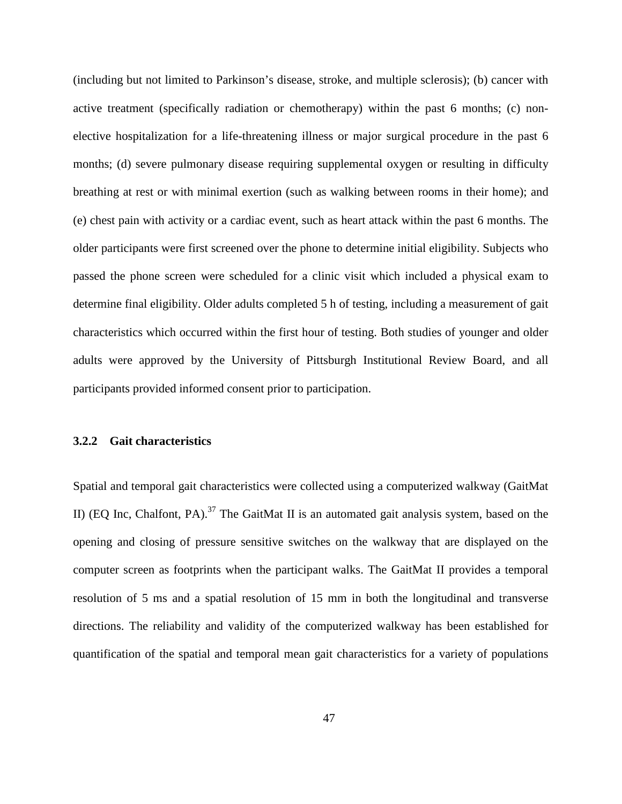gait variability manifest relatively early in the disease process even though dramatic changes in speed may not yet be apparent.<sup>71</sup> Recent research also suggested that gait variability has the potential utility as a predictive measure of dysfunction in Parkinson's disease (PD).<sup>6</sup> However, to date only one study has explored the reliability of gait variability measures in individuals with PD. Galna and colleagues (2013) examined reliability of gait variability in healthy older adults and individuals with PD on two occasions one week apart; surprisingly, they did not find significant differences between participants with PD and healthy older adults on reliability estimates. Their findings suggested that mild to moderate PD doesn't negatively impact reliability of gait variability; and gait fluctuations in more severe PD group may result in less reliable estimates of gait variability.<sup>120</sup>

## 2.4.2 Characteristics of tester

Reliability studies in gait reported some situations where tester or examiners can be a potential source of error that might influence reliability estimate.<sup>130,131</sup> For example, the instructions or amount of verbal encouragement may vary from one examiner to another or from one measurement session to the next. Also, the tester may have a tendency to report specific numbers rather than the actual measured values. The knowledge of the previous value may influence the examiner's perception of the current measured values. Additionally, the way the tester inspects and cleans the data from instrumented walkway such as GaitMat may vary from one person to another, which can affect reliability of gait variability. Consideration the effect of characteristics of tester on gait variability is beyond the scope of this thesis.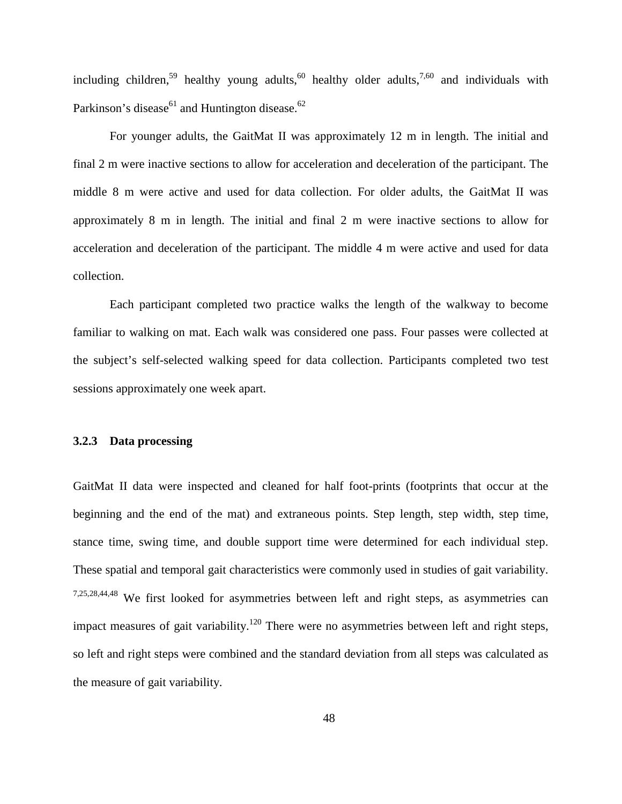including children,<sup>[59](#page-121-3)</sup> healthy young adults,<sup>[60](#page-121-0)</sup> healthy older adults,<sup>[7](#page-117-0)[,60](#page-121-0)</sup> and individuals with Parkinson's disease $^{61}$  and Huntington disease.<sup>[62](#page-121-5)</sup>

For younger adults, the GaitMat II was approximately 12 m in length. The initial and final 2 m were inactive sections to allow for acceleration and deceleration of the participant. The middle 8 m were active and used for data collection. For older adults, the GaitMat II was approximately 8 m in length. The initial and final 2 m were inactive sections to allow for acceleration and deceleration of the participant. The middle 4 m were active and used for data collection.

Each participant completed two practice walks the length of the walkway to become familiar to walking on mat. Each walk was considered one pass. Four passes were collected at the subject's self-selected walking speed for data collection. Participants completed two test sessions approximately one week apart.

# **3.2.3 Data processing**

GaitMat II data were inspected and cleaned for half foot-prints (footprints that occur at the beginning and the end of the mat) and extraneous points. Step length, step width, step time, stance time, swing time, and double support time were determined for each individual step. These spatial and temporal gait characteristics were commonly used in studies of gait variability. [7](#page-117-0)[,25](#page-119-1)[,28](#page-119-4)[,44](#page-120-1)[,48](#page-120-2) We first looked for asymmetries between left and right steps, as asymmetries can impact measures of gait variability.<sup>[120](#page-126-8)</sup> There were no asymmetries between left and right steps, so left and right steps were combined and the standard deviation from all steps was calculated as the measure of gait variability.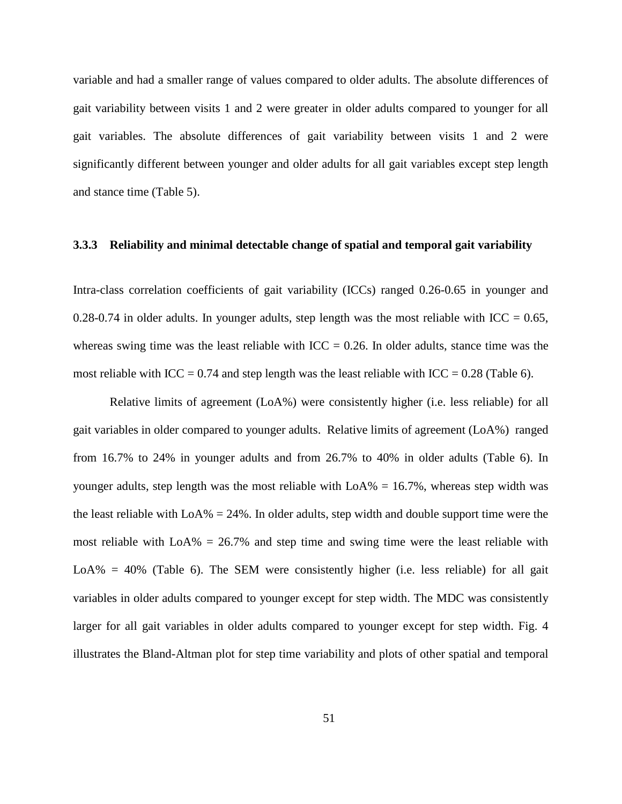variable and had a smaller range of values compared to older adults. The absolute differences of gait variability between visits 1 and 2 were greater in older adults compared to younger for all gait variables. The absolute differences of gait variability between visits 1 and 2 were significantly different between younger and older adults for all gait variables except step length and stance time (Table 5).

#### **3.3.3 Reliability and minimal detectable change of spatial and temporal gait variability**

Intra-class correlation coefficients of gait variability (ICCs) ranged 0.26-0.65 in younger and 0.28-0.74 in older adults. In younger adults, step length was the most reliable with ICC =  $0.65$ , whereas swing time was the least reliable with  $ICC = 0.26$ . In older adults, stance time was the most reliable with ICC = 0.74 and step length was the least reliable with ICC = 0.28 (Table 6).

Relative limits of agreement (LoA%) were consistently higher (i.e. less reliable) for all gait variables in older compared to younger adults. Relative limits of agreement (LoA%) ranged from 16.7% to 24% in younger adults and from 26.7% to 40% in older adults (Table 6). In younger adults, step length was the most reliable with  $LoA\% = 16.7\%$ , whereas step width was the least reliable with  $LoA\% = 24\%$ . In older adults, step width and double support time were the most reliable with  $LoA\% = 26.7\%$  and step time and swing time were the least reliable with LoA% =  $40\%$  (Table 6). The SEM were consistently higher (i.e. less reliable) for all gait variables in older adults compared to younger except for step width. The MDC was consistently larger for all gait variables in older adults compared to younger except for step width. Fig. 4 illustrates the Bland-Altman plot for step time variability and plots of other spatial and temporal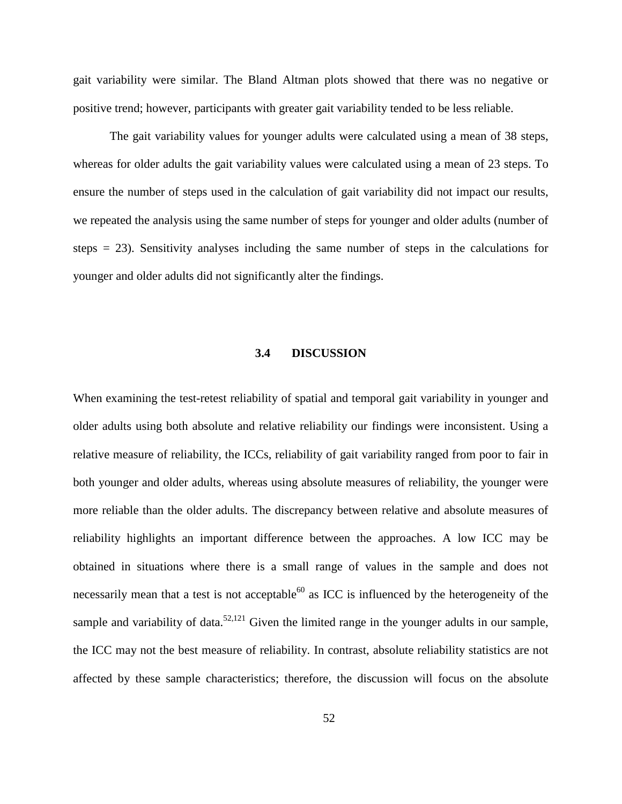# 2.4.1.2 Pathology

Step to step fluctuation of walking has been shown to be altered in some neurologic conditions such as Parkinson's disease (PD), Hungtion disease,<sup>71</sup> Alzheimer's disease,<sup>27</sup> as well as in cognitive decline.<sup>126</sup> Gait variability measures may provide a sensitive marker of the neuromotor performance reflective of additional insights of impaired walking, beyond those commonly characterized using average gait values.<sup>25,30,32</sup> However, few studies explored the effect of pathology on reliability of gait variability. Table 3 below summarizes the findings of studies investigating reliability of gait variability in some clinical populations such as patients with Dementia and PD.

Few studies have investigated the reproducibility of gait variability measures in people with dementia, and the results were inconsistent. A study of older adults with frontotemporal degeneration and dementia reported slight to poor reliability (ICC  $<$  0.20) for stride time variability between two trials within the same session.<sup>127</sup> In contrast, a study of spatial and temporal gait variability in a group of hospital-in patients with dementia of unspecified sub-type, reported a moderate to excellent reliability for stride length and stride time variability (ICC  $=$ 0.88, 0.56 respectively) over two weeks.<sup>123</sup> A recent study investigated reproducibility of spatial and temporal gait variability measures of people with mild to moderate Alzheimer's disease on two occasions one week apart, reported poor to moderate reliability of gait variability obtained using 12 strides. Consequently, it is important to establish reproducibility of gait variability measures for each specific sub-type, as gait characteristics differs between different types of dementia.<sup>128</sup> Increased gait variability is commonly reported in individuals with basal ganglia disorders such as Parkinson's disease.<sup>71,129</sup> Hausdorff et al. provided evidence that alterations in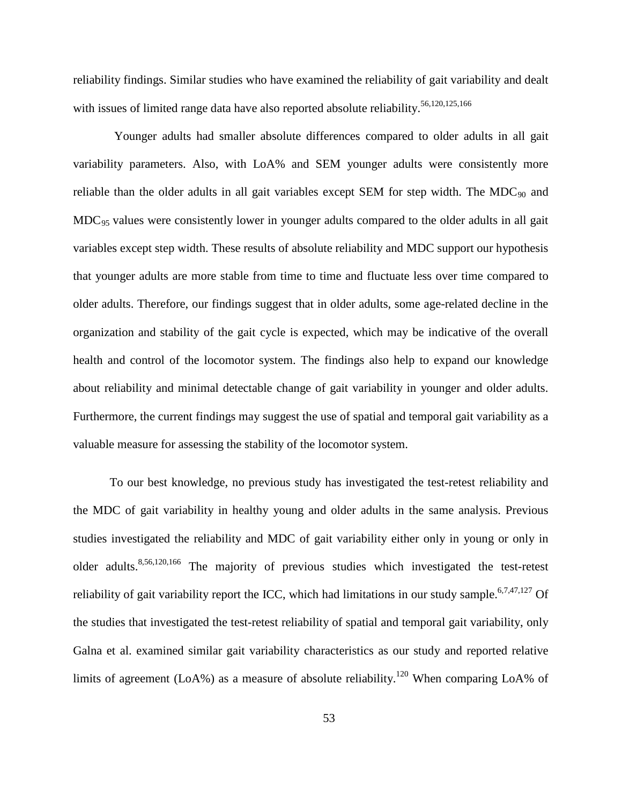reliability findings. Similar studies who have examined the reliability of gait variability and dealt with issues of limited range data have also reported absolute reliability.<sup>[56](#page-121-1)[,120](#page-126-8)[,125](#page-126-3)[,166](#page-129-5)</sup>

Younger adults had smaller absolute differences compared to older adults in all gait variability parameters. Also, with LoA% and SEM younger adults were consistently more reliable than the older adults in all gait variables except SEM for step width. The MDC $_{90}$  and MDC<sub>95</sub> values were consistently lower in younger adults compared to the older adults in all gait variables except step width. These results of absolute reliability and MDC support our hypothesis that younger adults are more stable from time to time and fluctuate less over time compared to older adults. Therefore, our findings suggest that in older adults, some age-related decline in the organization and stability of the gait cycle is expected, which may be indicative of the overall health and control of the locomotor system. The findings also help to expand our knowledge about reliability and minimal detectable change of gait variability in younger and older adults. Furthermore, the current findings may suggest the use of spatial and temporal gait variability as a valuable measure for assessing the stability of the locomotor system.

To our best knowledge, no previous study has investigated the test-retest reliability and the MDC of gait variability in healthy young and older adults in the same analysis. Previous studies investigated the reliability and MDC of gait variability either only in young or only in older adults.<sup>[8](#page-117-2)[,56](#page-121-1)[,120](#page-126-8)[,166](#page-129-5)</sup> The majority of previous studies which investigated the test-retest reliability of gait variability report the ICC, which had limitations in our study sample.<sup>[6](#page-117-1)[,7](#page-117-0)[,47](#page-120-5)[,127](#page-126-5)</sup> Of the studies that investigated the test-retest reliability of spatial and temporal gait variability, only Galna et al. examined similar gait variability characteristics as our study and reported relative limits of agreement (LoA%) as a measure of absolute reliability.<sup>120</sup> When comparing LoA% of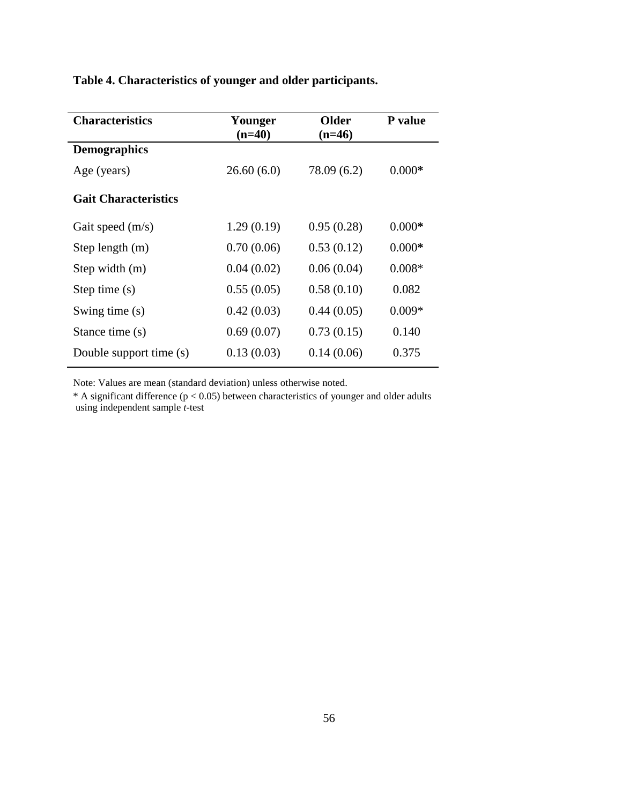# **Table 4. Characteristics of younger and older participants.**

| <b>Characteristics</b>      | Younger    | <b>Older</b> | P value  |
|-----------------------------|------------|--------------|----------|
|                             | $(n=40)$   | $(n=46)$     |          |
| <b>Demographics</b>         |            |              |          |
| Age (years)                 | 26.60(6.0) | 78.09 (6.2)  | $0.000*$ |
| <b>Gait Characteristics</b> |            |              |          |
| Gait speed $(m/s)$          | 1.29(0.19) | 0.95(0.28)   | $0.000*$ |
| Step length $(m)$           | 0.70(0.06) | 0.53(0.12)   | $0.000*$ |
| Step width $(m)$            | 0.04(0.02) | 0.06(0.04)   | $0.008*$ |
| Step time $(s)$             | 0.55(0.05) | 0.58(0.10)   | 0.082    |
| Swing time (s)              | 0.42(0.03) | 0.44(0.05)   | $0.009*$ |
| Stance time (s)             | 0.69(0.07) | 0.73(0.15)   | 0.140    |
| Double support time (s)     | 0.13(0.03) | 0.14(0.06)   | 0.375    |

Note: Values are mean (standard deviation) unless otherwise noted.

 $*$  A significant difference (p < 0.05) between characteristics of younger and older adults using independent sample *t-*test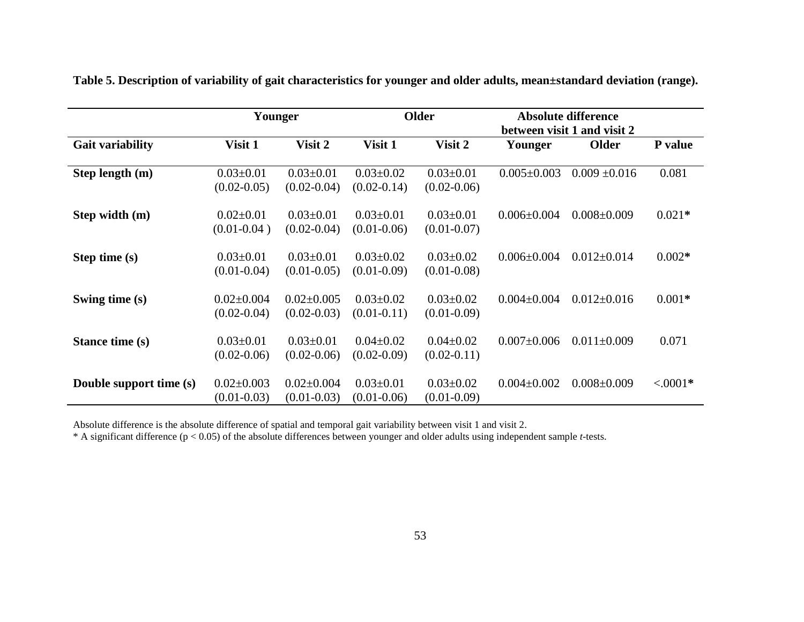|                         |                                     | Younger                             |                                    | <b>Older</b>                       | <b>Absolute difference</b><br>between visit 1 and visit 2 |                   |            |
|-------------------------|-------------------------------------|-------------------------------------|------------------------------------|------------------------------------|-----------------------------------------------------------|-------------------|------------|
| <b>Gait variability</b> | Visit 1                             | Visit 2                             | Visit 1                            | Visit 2                            | Younger                                                   | Older             | P value    |
| Step length (m)         | $0.03 \pm 0.01$<br>$(0.02 - 0.05)$  | $0.03 \pm 0.01$<br>$(0.02 - 0.04)$  | $0.03 \pm 0.02$<br>$(0.02 - 0.14)$ | $0.03 \pm 0.01$<br>$(0.02 - 0.06)$ | $0.005 \pm 0.003$                                         | $0.009 \pm 0.016$ | 0.081      |
| Step width (m)          | $0.02 \pm 0.01$<br>$(0.01 - 0.04)$  | $0.03 \pm 0.01$<br>$(0.02 - 0.04)$  | $0.03 \pm 0.01$<br>$(0.01 - 0.06)$ | $0.03 \pm 0.01$<br>$(0.01 - 0.07)$ | $0.006 \pm 0.004$                                         | $0.008 \pm 0.009$ | $0.021*$   |
| Step time (s)           | $0.03 \pm 0.01$<br>$(0.01 - 0.04)$  | $0.03 \pm 0.01$<br>$(0.01 - 0.05)$  | $0.03 \pm 0.02$<br>$(0.01 - 0.09)$ | $0.03 \pm 0.02$<br>$(0.01 - 0.08)$ | $0.006 \pm 0.004$                                         | $0.012 \pm 0.014$ | $0.002*$   |
| Swing time (s)          | $0.02 \pm 0.004$<br>$(0.02 - 0.04)$ | $0.02 \pm 0.005$<br>$(0.02 - 0.03)$ | $0.03 \pm 0.02$<br>$(0.01 - 0.11)$ | $0.03 \pm 0.02$<br>$(0.01 - 0.09)$ | $0.004 \pm 0.004$                                         | $0.012 \pm 0.016$ | $0.001*$   |
| Stance time (s)         | $0.03 \pm 0.01$<br>$(0.02 - 0.06)$  | $0.03 \pm 0.01$<br>$(0.02 - 0.06)$  | $0.04 \pm 0.02$<br>$(0.02 - 0.09)$ | $0.04 \pm 0.02$<br>$(0.02 - 0.11)$ | $0.007 \pm 0.006$                                         | $0.011 \pm 0.009$ | 0.071      |
| Double support time (s) | $0.02 \pm 0.003$<br>$(0.01 - 0.03)$ | $0.02 \pm 0.004$<br>$(0.01 - 0.03)$ | $0.03 \pm 0.01$<br>$(0.01 - 0.06)$ | $0.03 \pm 0.02$<br>$(0.01 - 0.09)$ | $0.004 \pm 0.002$                                         | $0.008 \pm 0.009$ | $< .0001*$ |

**Table 5. Description of variability of gait characteristics for younger and older adults, mean±standard deviation (range).**

Absolute difference is the absolute difference of spatial and temporal gait variability between visit 1 and visit 2.

\* A significant difference (p < 0.05) of the absolute differences between younger and older adults using independent sample *t-*tests.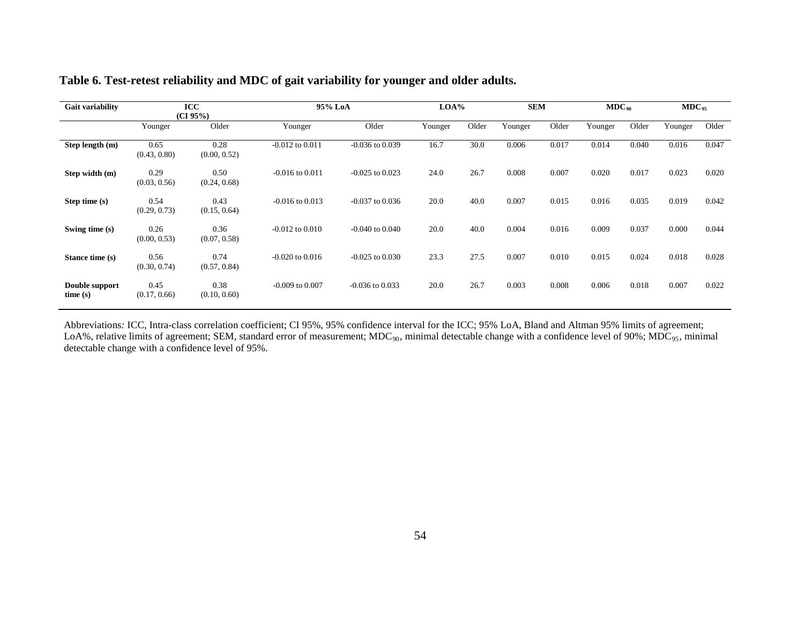### **Table 6. Test-retest reliability and MDC of gait variability for younger and older adults.**

| Gait variability          |                      | ICC<br>(CI 95%)      | 95% LoA             |                     | LOA%    |       | <b>SEM</b> |       | $MDC_{90}$ |       | $MDC_{95}$ |       |
|---------------------------|----------------------|----------------------|---------------------|---------------------|---------|-------|------------|-------|------------|-------|------------|-------|
|                           | Younger              | Older                | Younger             | Older               | Younger | Older | Younger    | Older | Younger    | Older | Younger    | Older |
| Step length (m)           | 0.65<br>(0.43, 0.80) | 0.28<br>(0.00, 0.52) | $-0.012$ to $0.011$ | $-0.036$ to $0.039$ | 16.7    | 30.0  | 0.006      | 0.017 | 0.014      | 0.040 | 0.016      | 0.047 |
| Step width (m)            | 0.29<br>(0.03, 0.56) | 0.50<br>(0.24, 0.68) | $-0.016$ to $0.011$ | $-0.025$ to 0.023   | 24.0    | 26.7  | 0.008      | 0.007 | 0.020      | 0.017 | 0.023      | 0.020 |
| Step time (s)             | 0.54<br>(0.29, 0.73) | 0.43<br>(0.15, 0.64) | $-0.016$ to $0.013$ | $-0.037$ to $0.036$ | 20.0    | 40.0  | 0.007      | 0.015 | 0.016      | 0.035 | 0.019      | 0.042 |
| Swing time (s)            | 0.26<br>(0.00, 0.53) | 0.36<br>(0.07, 0.58) | $-0.012$ to $0.010$ | $-0.040$ to $0.040$ | 20.0    | 40.0  | 0.004      | 0.016 | 0.009      | 0.037 | 0.000      | 0.044 |
| Stance time (s)           | 0.56<br>(0.30, 0.74) | 0.74<br>(0.57, 0.84) | $-0.020$ to $0.016$ | $-0.025$ to $0.030$ | 23.3    | 27.5  | 0.007      | 0.010 | 0.015      | 0.024 | 0.018      | 0.028 |
| Double support<br>time(s) | 0.45<br>(0.17, 0.66) | 0.38<br>(0.10, 0.60) | $-0.009$ to $0.007$ | $-0.036$ to $0.033$ | 20.0    | 26.7  | 0.003      | 0.008 | 0.006      | 0.018 | 0.007      | 0.022 |

Abbreviations: ICC, Intra-class correlation coefficient; CI 95%, 95% confidence interval for the ICC; 95% LoA, Bland and Altman 95% limits of agreement; LoA%, relative limits of agreement; SEM, standard error of measurement; MDC<sub>90</sub>, minimal detectable change with a confidence level of 90%; MDC<sub>95</sub>, minimal detectable change with a confidence level of 95%.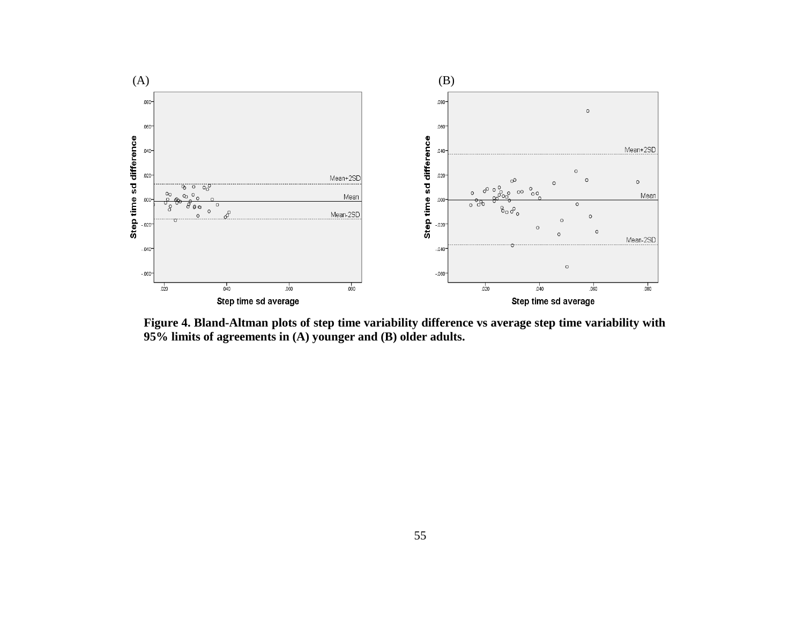

**Figure 4. Bland-Altman plots of step time variability difference vs average step time variability with 95% limits of agreements in (A) younger and (B) older adults.**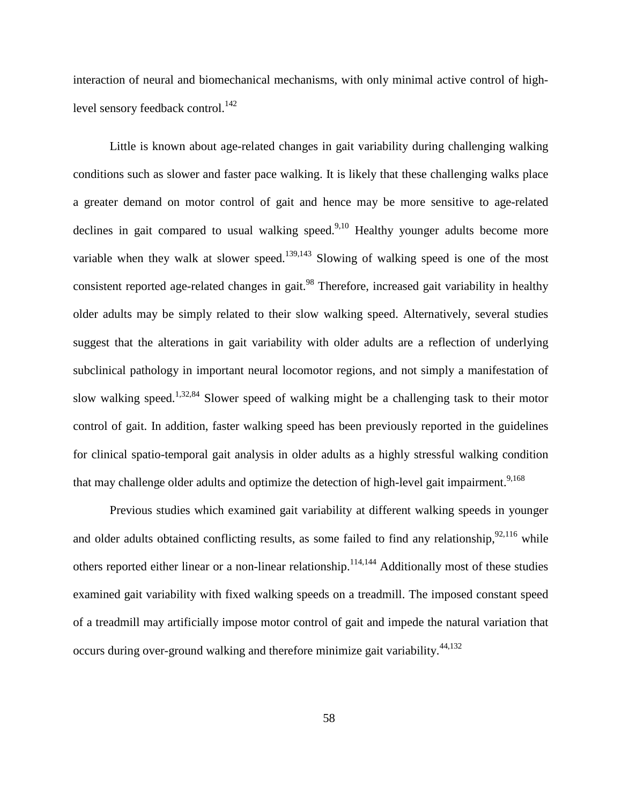interaction of neural and biomechanical mechanisms, with only minimal active control of high-level sensory feedback control.<sup>[142](#page-127-0)</sup>

Little is known about age-related changes in gait variability during challenging walking conditions such as slower and faster pace walking. It is likely that these challenging walks place a greater demand on motor control of gait and hence may be more sensitive to age-related declines in gait compared to usual walking speed. $9,10$  $9,10$  Healthy younger adults become more variable when they walk at slower speed.<sup>[139,](#page-127-1)[143](#page-127-2)</sup> Slowing of walking speed is one of the most consistent reported age-related changes in gait.<sup>[98](#page-124-0)</sup> Therefore, increased gait variability in healthy older adults may be simply related to their slow walking speed. Alternatively, several studies suggest that the alterations in gait variability with older adults are a reflection of underlying subclinical pathology in important neural locomotor regions, and not simply a manifestation of slow walking speed.<sup>1,[32,](#page-119-0)[84](#page-123-0)</sup> Slower speed of walking might be a challenging task to their motor control of gait. In addition, faster walking speed has been previously reported in the guidelines for clinical spatio-temporal gait analysis in older adults as a highly stressful walking condition that may challenge older adults and optimize the detection of high-level gait impairment.<sup>[9,](#page-117-0)[168](#page-129-0)</sup>

Previous studies which examined gait variability at different walking speeds in younger and older adults obtained conflicting results, as some failed to find any relationship, $92,116$  $92,116$  while others reported either linear or a non-linear relationship.<sup>[114,](#page-125-1)[144](#page-127-3)</sup> Additionally most of these studies examined gait variability with fixed walking speeds on a treadmill. The imposed constant speed of a treadmill may artificially impose motor control of gait and impede the natural variation that occurs during over-ground walking and therefore minimize gait variability.<sup>[44,](#page-120-0)[132](#page-126-0)</sup>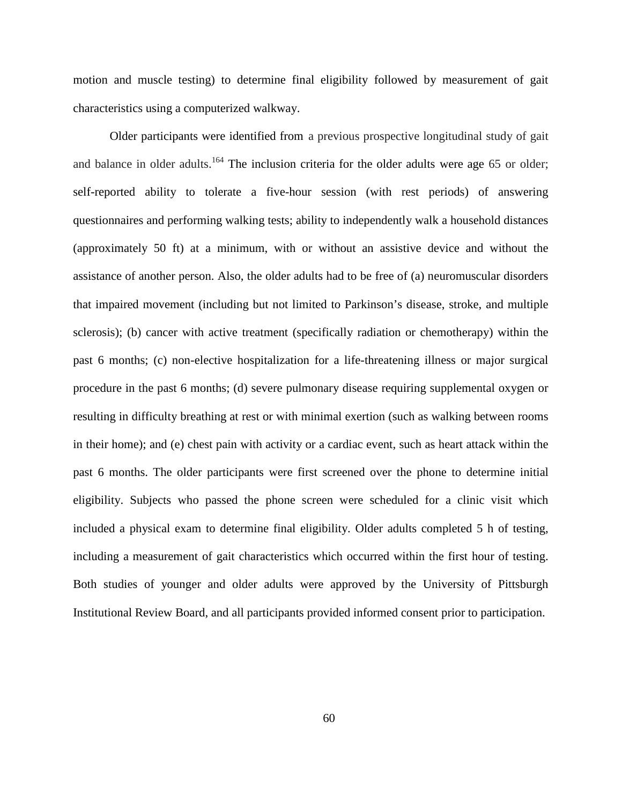motion and muscle testing) to determine final eligibility followed by measurement of gait characteristics using a computerized walkway.

Older participants were identified from a previous prospective longitudinal study of gait and balance in older adults.<sup>[164](#page-129-1)</sup> The inclusion criteria for the older adults were age 65 or older; self-reported ability to tolerate a five-hour session (with rest periods) of answering questionnaires and performing walking tests; ability to independently walk a household distances (approximately 50 ft) at a minimum, with or without an assistive device and without the assistance of another person. Also, the older adults had to be free of (a) neuromuscular disorders that impaired movement (including but not limited to Parkinson's disease, stroke, and multiple sclerosis); (b) cancer with active treatment (specifically radiation or chemotherapy) within the past 6 months; (c) non-elective hospitalization for a life-threatening illness or major surgical procedure in the past 6 months; (d) severe pulmonary disease requiring supplemental oxygen or resulting in difficulty breathing at rest or with minimal exertion (such as walking between rooms in their home); and (e) chest pain with activity or a cardiac event, such as heart attack within the past 6 months. The older participants were first screened over the phone to determine initial eligibility. Subjects who passed the phone screen were scheduled for a clinic visit which included a physical exam to determine final eligibility. Older adults completed 5 h of testing, including a measurement of gait characteristics which occurred within the first hour of testing. Both studies of younger and older adults were approved by the University of Pittsburgh Institutional Review Board, and all participants provided informed consent prior to participation.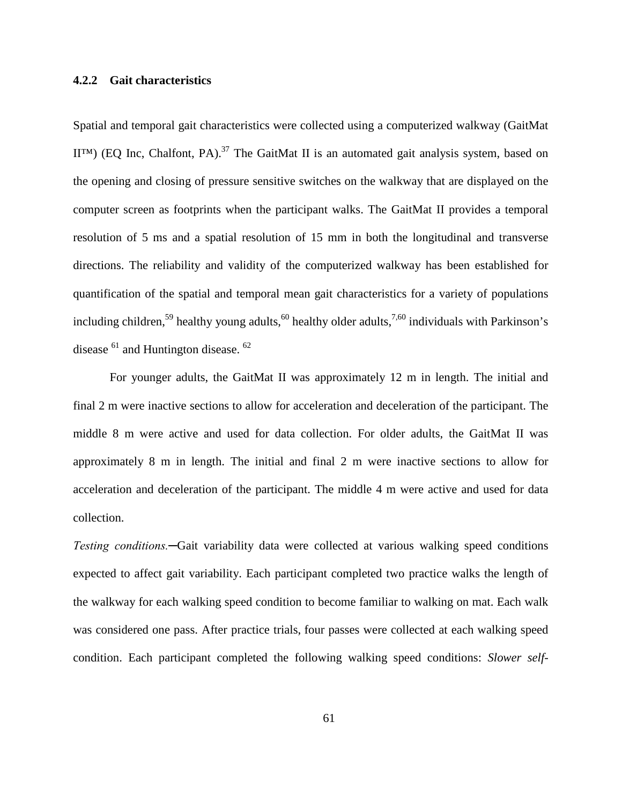#### **4.2.2 Gait characteristics**

Spatial and temporal gait characteristics were collected using a computerized walkway (GaitMat  $II<sup>TM</sup>$  (EQ Inc, Chalfont, PA).<sup>37</sup> The GaitMat II is an automated gait analysis system, based on the opening and closing of pressure sensitive switches on the walkway that are displayed on the computer screen as footprints when the participant walks. The GaitMat II provides a temporal resolution of 5 ms and a spatial resolution of 15 mm in both the longitudinal and transverse directions. The reliability and validity of the computerized walkway has been established for quantification of the spatial and temporal mean gait characteristics for a variety of populations including children,<sup>[59](#page-121-0)</sup> healthy young adults,<sup>60</sup> healthy older adults,<sup>7[,60](#page-121-1)</sup> individuals with Parkinson's disease  $61$  and Huntington disease.  $62$ 

For younger adults, the GaitMat II was approximately 12 m in length. The initial and final 2 m were inactive sections to allow for acceleration and deceleration of the participant. The middle 8 m were active and used for data collection. For older adults, the GaitMat II was approximately 8 m in length. The initial and final 2 m were inactive sections to allow for acceleration and deceleration of the participant. The middle 4 m were active and used for data collection.

*Testing conditions.─*Gait variability data were collected at various walking speed conditions expected to affect gait variability. Each participant completed two practice walks the length of the walkway for each walking speed condition to become familiar to walking on mat. Each walk was considered one pass. After practice trials, four passes were collected at each walking speed condition. Each participant completed the following walking speed conditions: *Slower self-*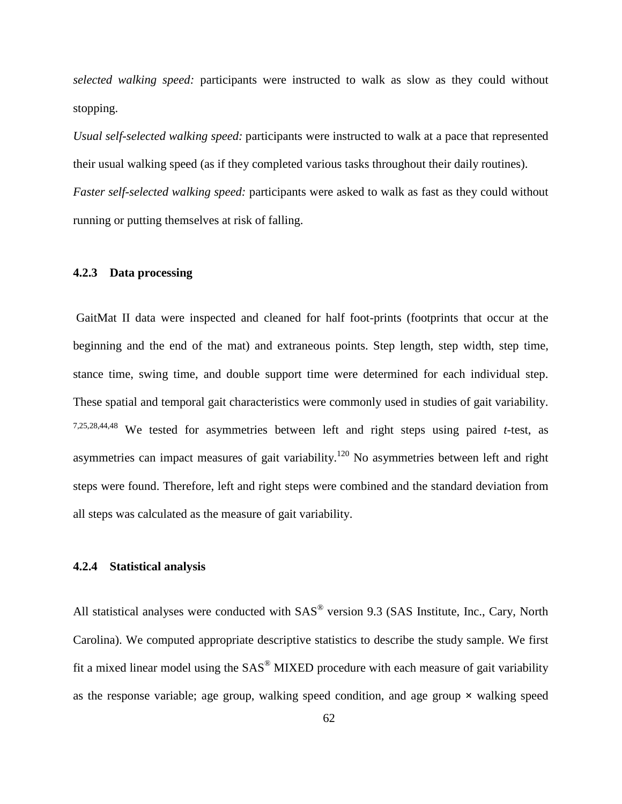*selected walking speed:* participants were instructed to walk as slow as they could without stopping.

*Usual self-selected walking speed:* participants were instructed to walk at a pace that represented their usual walking speed (as if they completed various tasks throughout their daily routines). *Faster self-selected walking speed:* participants were asked to walk as fast as they could without running or putting themselves at risk of falling.

#### **4.2.3 Data processing**

GaitMat II data were inspected and cleaned for half foot-prints (footprints that occur at the beginning and the end of the mat) and extraneous points. Step length, step width, step time, stance time, swing time, and double support time were determined for each individual step. These spatial and temporal gait characteristics were commonly used in studies of gait variability. [7](#page-117-3)[,25](#page-119-2)[,28](#page-119-3)[,44](#page-120-0)[,48](#page-120-1) We tested for asymmetries between left and right steps using paired *t-*test, as asymmetries can impact measures of gait variability.<sup>[120](#page-126-1)</sup> No asymmetries between left and right steps were found. Therefore, left and right steps were combined and the standard deviation from all steps was calculated as the measure of gait variability.

#### **4.2.4 Statistical analysis**

All statistical analyses were conducted with  $SAS<sup>®</sup>$  version 9.3 (SAS Institute, Inc., Cary, North Carolina). We computed appropriate descriptive statistics to describe the study sample. We first fit a mixed linear model using the  $SAS^{\circledast}$  MIXED procedure with each measure of gait variability as the response variable; age group, walking speed condition, and age group **×** walking speed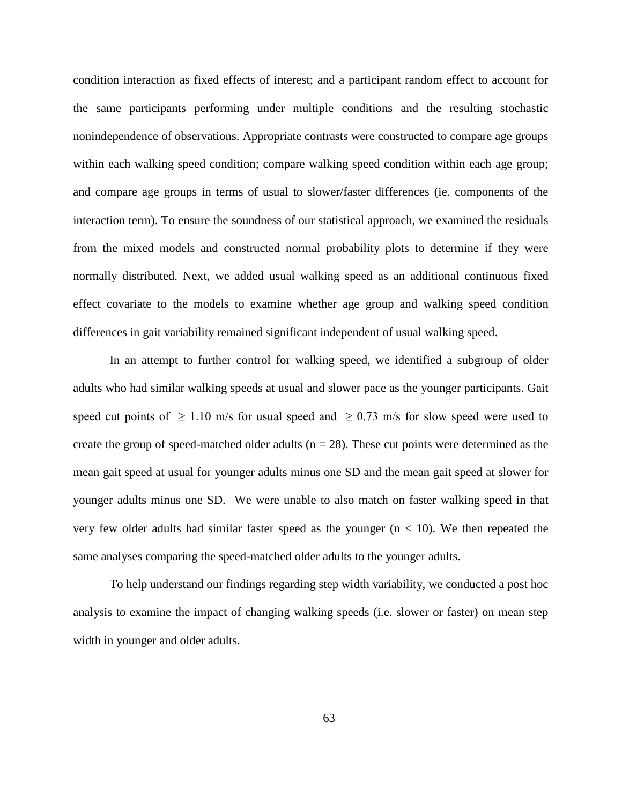condition interaction as fixed effects of interest; and a participant random effect to account for the same participants performing under multiple conditions and the resulting stochastic nonindependence of observations. Appropriate contrasts were constructed to compare age groups within each walking speed condition; compare walking speed condition within each age group; and compare age groups in terms of usual to slower/faster differences (ie. components of the interaction term). To ensure the soundness of our statistical approach, we examined the residuals from the mixed models and constructed normal probability plots to determine if they were normally distributed. Next, we added usual walking speed as an additional continuous fixed effect covariate to the models to examine whether age group and walking speed condition differences in gait variability remained significant independent of usual walking speed.

In an attempt to further control for walking speed, we identified a subgroup of older adults who had similar walking speeds at usual and slower pace as the younger participants. Gait speed cut points of  $\geq 1.10$  m/s for usual speed and  $\geq 0.73$  m/s for slow speed were used to create the group of speed-matched older adults ( $n = 28$ ). These cut points were determined as the mean gait speed at usual for younger adults minus one SD and the mean gait speed at slower for younger adults minus one SD. We were unable to also match on faster walking speed in that very few older adults had similar faster speed as the younger  $(n < 10)$ . We then repeated the same analyses comparing the speed-matched older adults to the younger adults.

To help understand our findings regarding step width variability, we conducted a post hoc analysis to examine the impact of changing walking speeds (i.e. slower or faster) on mean step width in younger and older adults.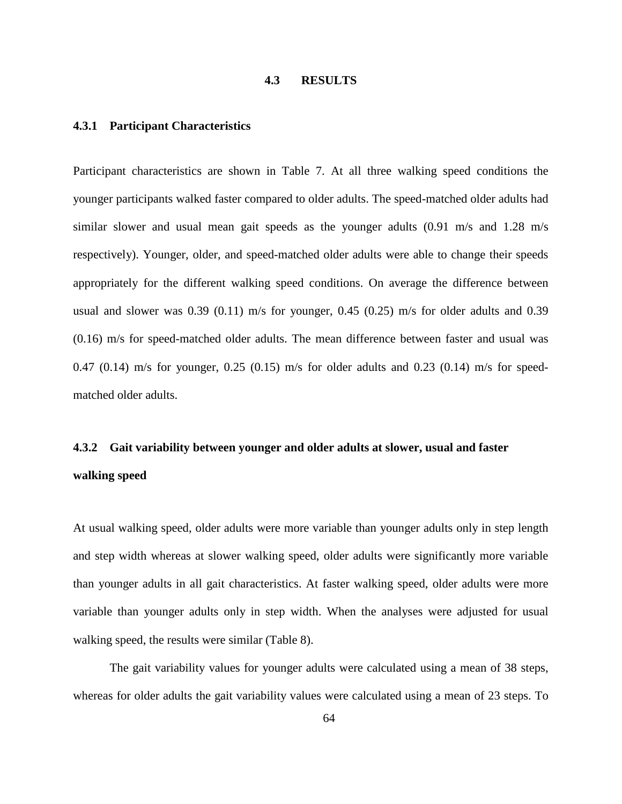selected walking speed: participants were instructed to walk as slow as they could without stopping.

**Usual self-selected walking speedparticipants** were instructed to walk at a pace that represented their usual walking speed (as if they completed various tasks throughout their daily routines).

Faster self-selected walking speed participants were asked to walk as fast as they could without running or putting themselves at risk of falling.

#### 4.2.3 Data processing

GaitMat II data were inspected and cleaned for half foot-prints (footprints that occur at the beginning and the end of the mat) and extraneous points. Step length, step width, step time, stance time, swing time, and double support time were determined for each individual step. These spatial and temporal gait characteristics were commonly used in studies of gait variability. 7,25,28,44,48 We tested for asymmetries between left and right steps using paired t-test, as asymmetries can impact measures of gait variability.<sup>120</sup> No asymmetries between left and right steps were found. Therefore, left and right steps were combined and the standard deviation from all steps was calculated as the measure of gait variability.

#### 4.2.4 Statistical analysis

All statistical analyses were conducted with SAS<sup>®</sup> version 9.3 (SAS Institute, Inc., Cary, North Carolina). We computed appropriate descriptive statistics to describe the study sample. We first fit a mixed linear model using the SAS<sup>®</sup> MIXED procedure with each measure of gait variability as the response variable; age group, walking speed condition, and age group  $\times$  walking speed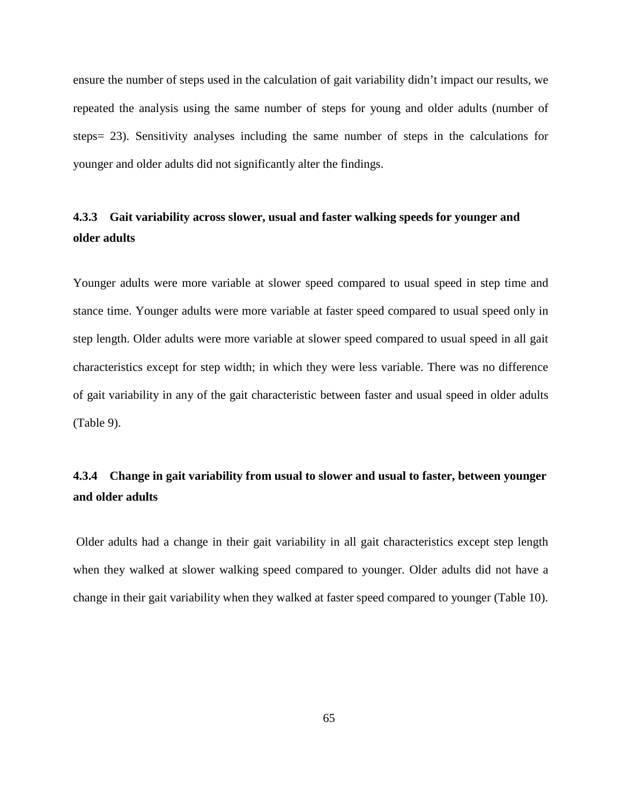ensure the number of steps used in the calculation of gait variability didn't impact our results, we repeated the analysis using the same number of steps for young and older adults (number of steps= 23). Sensitivity analyses including the same number of steps in the calculations for younger and older adults did not significantly alter the findings.

# **4.3.3 Gait variability across slower, usual and faster walking speeds for younger and older adults**

Younger adults were more variable at slower speed compared to usual speed in step time and stance time. Younger adults were more variable at faster speed compared to usual speed only in step length. Older adults were more variable at slower speed compared to usual speed in all gait characteristics except for step width; in which they were less variable. There was no difference of gait variability in any of the gait characteristic between faster and usual speed in older adults (Table 9).

# **4.3.4 Change in gait variability from usual to slower and usual to faster, between younger and older adults**

Older adults had a change in their gait variability in all gait characteristics except step length when they walked at slower walking speed compared to younger. Older adults did not have a change in their gait variability when they walked at faster speed compared to younger (Table 10).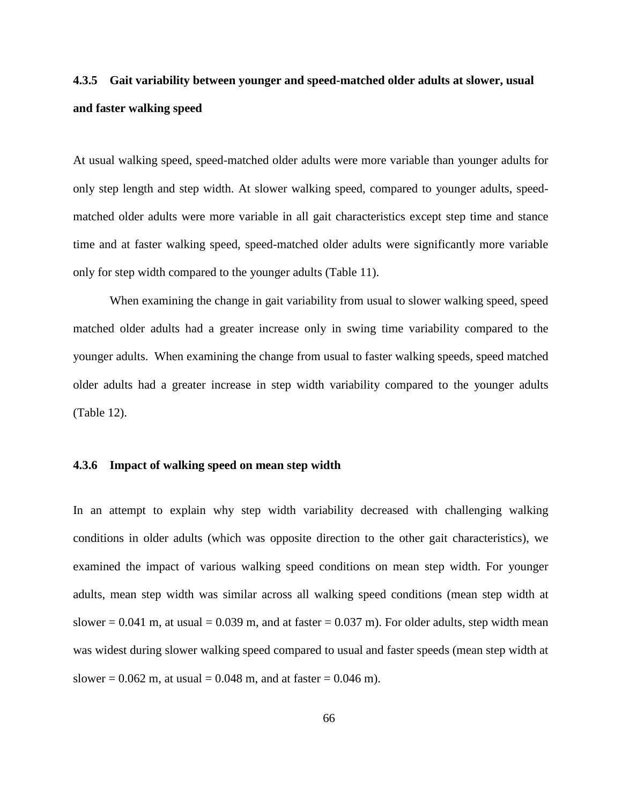# **4.3.5 Gait variability between younger and speed-matched older adults at slower, usual and faster walking speed**

At usual walking speed, speed-matched older adults were more variable than younger adults for only step length and step width. At slower walking speed, compared to younger adults, speedmatched older adults were more variable in all gait characteristics except step time and stance time and at faster walking speed, speed-matched older adults were significantly more variable only for step width compared to the younger adults (Table 11).

When examining the change in gait variability from usual to slower walking speed, speed matched older adults had a greater increase only in swing time variability compared to the younger adults. When examining the change from usual to faster walking speeds, speed matched older adults had a greater increase in step width variability compared to the younger adults (Table 12).

#### **4.3.6 Impact of walking speed on mean step width**

In an attempt to explain why step width variability decreased with challenging walking conditions in older adults (which was opposite direction to the other gait characteristics), we examined the impact of various walking speed conditions on mean step width. For younger adults, mean step width was similar across all walking speed conditions (mean step width at slower  $= 0.041$  m, at usual  $= 0.039$  m, and at faster  $= 0.037$  m). For older adults, step width mean was widest during slower walking speed compared to usual and faster speeds (mean step width at slower =  $0.062$  m, at usual =  $0.048$  m, and at faster =  $0.046$  m).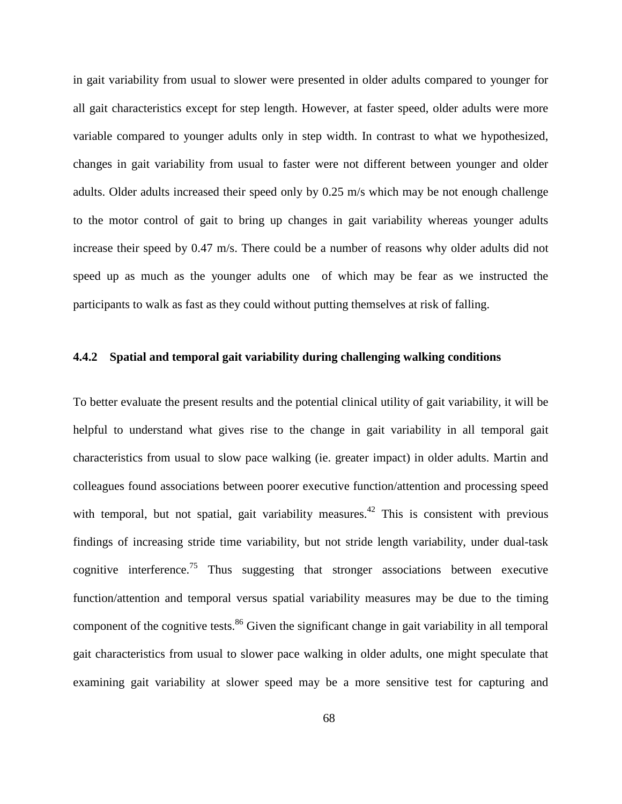in gait variability from usual to slower were presented in older adults compared to younger for all gait characteristics except for step length. However, at faster speed, older adults were more variable compared to younger adults only in step width. In contrast to what we hypothesized, changes in gait variability from usual to faster were not different between younger and older adults. Older adults increased their speed only by 0.25 m/s which may be not enough challenge to the motor control of gait to bring up changes in gait variability whereas younger adults increase their speed by 0.47 m/s. There could be a number of reasons why older adults did not speed up as much as the younger adults one of which may be fear as we instructed the participants to walk as fast as they could without putting themselves at risk of falling.

#### **4.4.2 Spatial and temporal gait variability during challenging walking conditions**

To better evaluate the present results and the potential clinical utility of gait variability, it will be helpful to understand what gives rise to the change in gait variability in all temporal gait characteristics from usual to slow pace walking (ie. greater impact) in older adults. Martin and colleagues found associations between poorer executive function/attention and processing speed with temporal, but not spatial, gait variability measures.<sup>42</sup> This is consistent with previous findings of increasing stride time variability, but not stride length variability, under dual-task cognitive interference.<sup>[75](#page-122-0)</sup> Thus suggesting that stronger associations between executive function/attention and temporal versus spatial variability measures may be due to the timing component of the cognitive tests.<sup>[86](#page-123-1)</sup> Given the significant change in gait variability in all temporal gait characteristics from usual to slower pace walking in older adults, one might speculate that examining gait variability at slower speed may be a more sensitive test for capturing and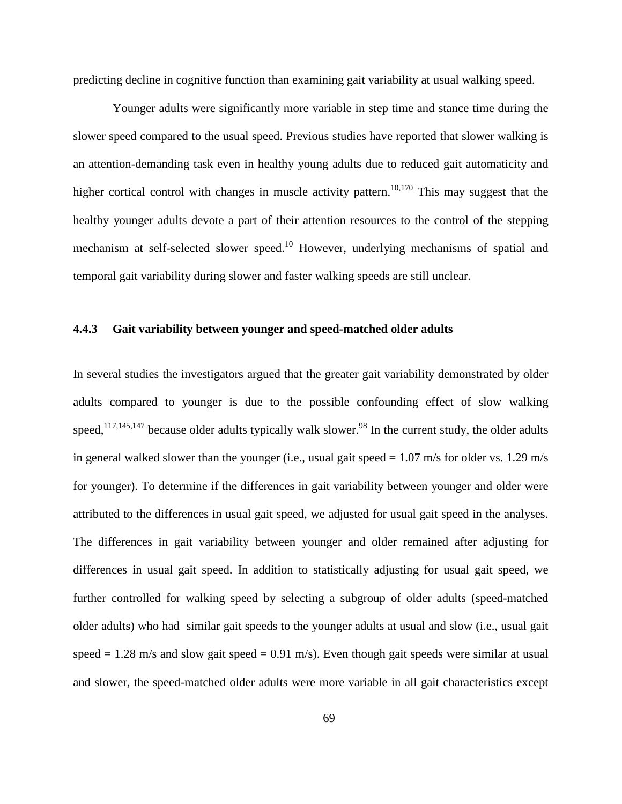predicting decline in cognitive function than examining gait variability at usual walking speed.

Younger adults were significantly more variable in step time and stance time during the slower speed compared to the usual speed. Previous studies have reported that slower walking is an attention-demanding task even in healthy young adults due to reduced gait automaticity and higher cortical control with changes in muscle activity pattern.<sup>10,[170](#page-129-2)</sup> This may suggest that the healthy younger adults devote a part of their attention resources to the control of the stepping mechanism at self-selected slower speed.<sup>[10](#page-117-1)</sup> However, underlying mechanisms of spatial and temporal gait variability during slower and faster walking speeds are still unclear.

#### **4.4.3 Gait variability between younger and speed-matched older adults**

In several studies the investigators argued that the greater gait variability demonstrated by older adults compared to younger is due to the possible confounding effect of slow walking speed, $117,145,147$  $117,145,147$  $117,145,147$  because older adults typically walk slower.<sup>[98](#page-124-0)</sup> In the current study, the older adults in general walked slower than the younger (i.e., usual gait speed  $= 1.07$  m/s for older vs. 1.29 m/s for younger). To determine if the differences in gait variability between younger and older were attributed to the differences in usual gait speed, we adjusted for usual gait speed in the analyses. The differences in gait variability between younger and older remained after adjusting for differences in usual gait speed. In addition to statistically adjusting for usual gait speed, we further controlled for walking speed by selecting a subgroup of older adults (speed-matched older adults) who had similar gait speeds to the younger adults at usual and slow (i.e., usual gait speed  $= 1.28$  m/s and slow gait speed  $= 0.91$  m/s). Even though gait speeds were similar at usual and slower, the speed-matched older adults were more variable in all gait characteristics except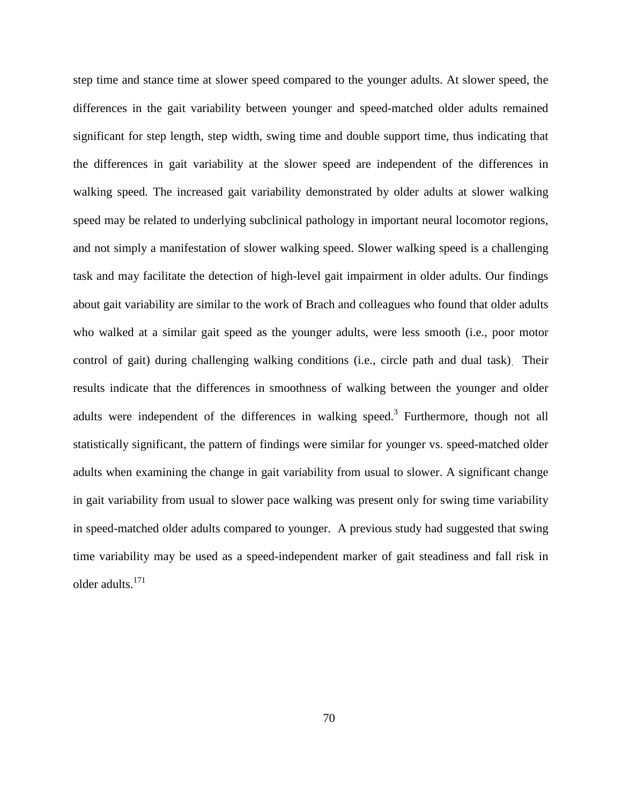step time and stance time at slower speed compared to the younger adults. At slower speed, the differences in the gait variability between younger and speed-matched older adults remained significant for step length, step width, swing time and double support time, thus indicating that the differences in gait variability at the slower speed are independent of the differences in walking speed. The increased gait variability demonstrated by older adults at slower walking speed may be related to underlying subclinical pathology in important neural locomotor regions, and not simply a manifestation of slower walking speed. Slower walking speed is a challenging task and may facilitate the detection of high-level gait impairment in older adults. Our findings about gait variability are similar to the work of Brach and colleagues who found that older adults who walked at a similar gait speed as the younger adults, were less smooth (i.e., poor motor control of gait) during challenging walking conditions (i.e., circle path and dual task). Their results indicate that the differences in smoothness of walking between the younger and older adults were independent of the differences in walking speed.<sup>3</sup> Furthermore, though not all statistically significant, the pattern of findings were similar for younger vs. speed-matched older adults when examining the change in gait variability from usual to slower. A significant change in gait variability from usual to slower pace walking was present only for swing time variability in speed-matched older adults compared to younger. A previous study had suggested that swing time variability may be used as a speed-independent marker of gait steadiness and fall risk in older adults[.171](#page-129-3)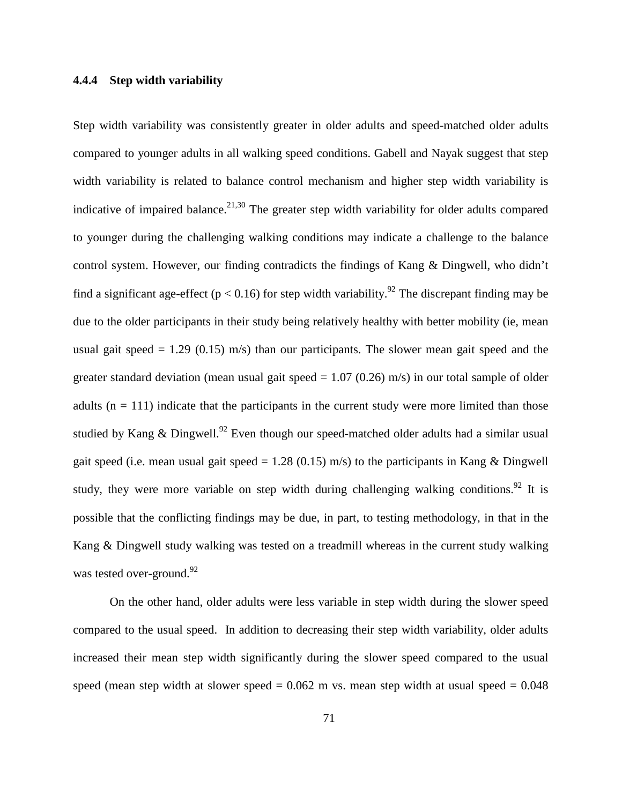#### **4.4.4 Step width variability**

Step width variability was consistently greater in older adults and speed-matched older adults compared to younger adults in all walking speed conditions. Gabell and Nayak suggest that step width variability is related to balance control mechanism and higher step width variability is indicative of impaired balance.<sup>[21,](#page-118-0)[30](#page-119-4)</sup> The greater step width variability for older adults compared to younger during the challenging walking conditions may indicate a challenge to the balance control system. However, our finding contradicts the findings of Kang & Dingwell, who didn't find a significant age-effect ( $p < 0.16$ ) for step width variability.<sup>92</sup> The discrepant finding may be due to the older participants in their study being relatively healthy with better mobility (ie, mean usual gait speed  $= 1.29$  (0.15) m/s) than our participants. The slower mean gait speed and the greater standard deviation (mean usual gait speed  $= 1.07$  (0.26) m/s) in our total sample of older adults  $(n = 111)$  indicate that the participants in the current study were more limited than those studied by Kang & Dingwell.<sup>[92](#page-124-1)</sup> Even though our speed-matched older adults had a similar usual gait speed (i.e. mean usual gait speed = 1.28 (0.15) m/s) to the participants in Kang & Dingwell study, they were more variable on step width during challenging walking conditions.<sup>[92](#page-124-1)</sup> It is possible that the conflicting findings may be due, in part, to testing methodology, in that in the Kang & Dingwell study walking was tested on a treadmill whereas in the current study walking was tested over-ground.<sup>92</sup>

On the other hand, older adults were less variable in step width during the slower speed compared to the usual speed. In addition to decreasing their step width variability, older adults increased their mean step width significantly during the slower speed compared to the usual speed (mean step width at slower speed  $= 0.062$  m vs. mean step width at usual speed  $= 0.048$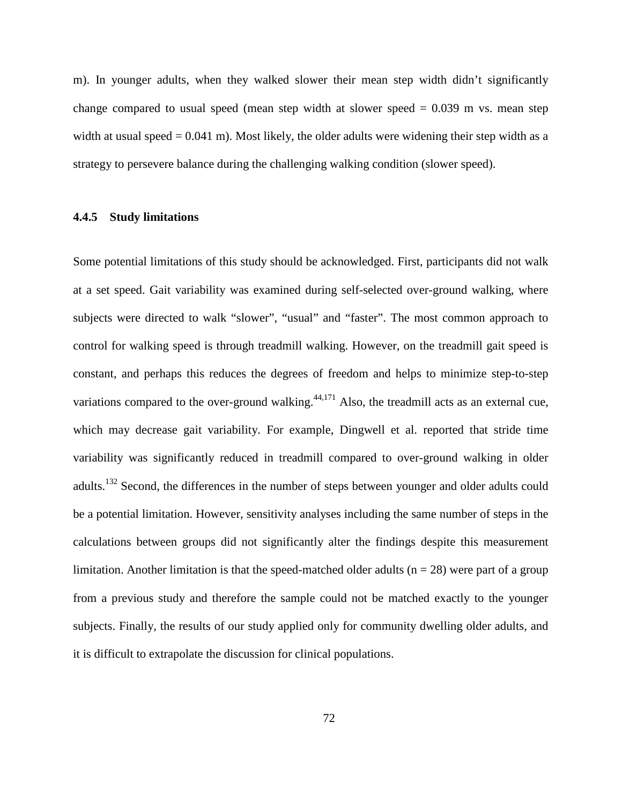m). In younger adults, when they walked slower their mean step width didn't significantly change compared to usual speed (mean step width at slower speed  $= 0.039$  m vs. mean step width at usual speed  $= 0.041$  m). Most likely, the older adults were widening their step width as a strategy to persevere balance during the challenging walking condition (slower speed).

#### **4.4.5 Study limitations**

Some potential limitations of this study should be acknowledged. First, participants did not walk at a set speed. Gait variability was examined during self-selected over-ground walking, where subjects were directed to walk "slower", "usual" and "faster". The most common approach to control for walking speed is through treadmill walking. However, on the treadmill gait speed is constant, and perhaps this reduces the degrees of freedom and helps to minimize step-to-step variations compared to the over-ground walking. $44,171$  $44,171$  Also, the treadmill acts as an external cue, which may decrease gait variability. For example, Dingwell et al. reported that stride time variability was significantly reduced in treadmill compared to over-ground walking in older adults.<sup>132</sup> Second, the differences in the number of steps between younger and older adults could be a potential limitation. However, sensitivity analyses including the same number of steps in the calculations between groups did not significantly alter the findings despite this measurement limitation. Another limitation is that the speed-matched older adults ( $n = 28$ ) were part of a group from a previous study and therefore the sample could not be matched exactly to the younger subjects. Finally, the results of our study applied only for community dwelling older adults, and it is difficult to extrapolate the discussion for clinical populations.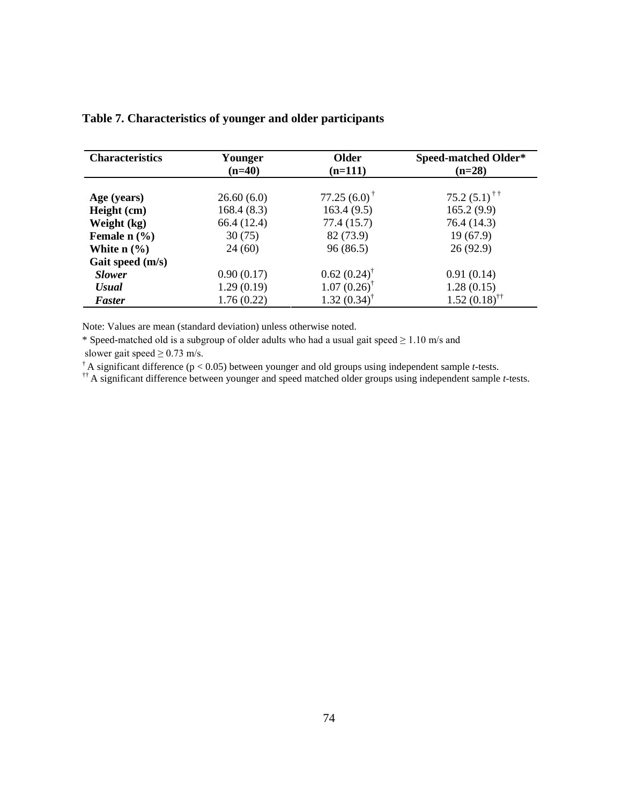| <b>Characteristics</b>                | Younger<br>$(n=40)$ | Older<br>$(n=111)$        | <b>Speed-matched Older*</b><br>$(n=28)$ |
|---------------------------------------|---------------------|---------------------------|-----------------------------------------|
|                                       |                     |                           |                                         |
| Age (years)                           | 26.60(6.0)          | $77.25(6.0)$ <sup>†</sup> | 75.2 $(5.1)$ <sup>††</sup>              |
| Height (cm)                           | 168.4(8.3)          | 163.4(9.5)                | 165.2(9.9)                              |
| Weight (kg)                           | 66.4 (12.4)         | 77.4(15.7)                | 76.4 (14.3)                             |
| Female $n$ $\left(\frac{9}{6}\right)$ | 30(75)              | 82 (73.9)                 | 19(67.9)                                |
| White $n$ $\left(\frac{9}{6}\right)$  | 24(60)              | 96(86.5)                  | 26(92.9)                                |
| Gait speed (m/s)                      |                     |                           |                                         |
| <b>Slower</b>                         | 0.90(0.17)          | $0.62(0.24)^{\dagger}$    | 0.91(0.14)                              |
| <b>Usual</b>                          | 1.29(0.19)          | $1.07(0.26)$ <sup>†</sup> | 1.28(0.15)                              |
| <b>Faster</b>                         | 1.76(0.22)          | 1.32(0.34)                | $1.52(0.18)$ <sup>††</sup>              |

## **Table 7. Characteristics of younger and older participants**

Note: Values are mean (standard deviation) unless otherwise noted.

\* Speed-matched old is a subgroup of older adults who had a usual gait speed ≥ 1.10 m/s and

slower gait speed  $\geq$  0.73 m/s.

<sup> $\dagger$ </sup> A significant difference ( $p < 0.05$ ) between younger and old groups using independent sample *t*-tests.

†† A significant difference between younger and speed matched older groups using independent sample *t-*tests.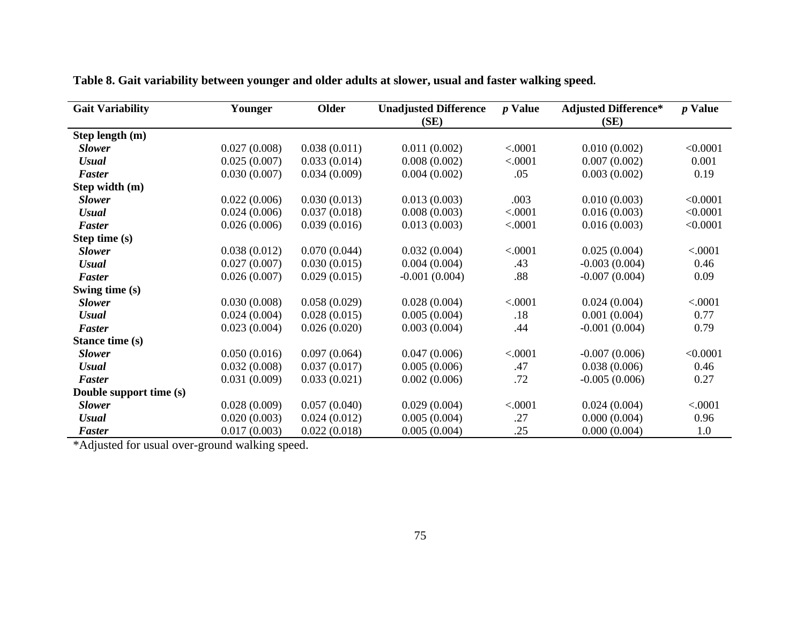| <b>Gait Variability</b> | Younger      | <b>Older</b> | <b>Unadjusted Difference</b> | <i>p</i> Value | <b>Adjusted Difference*</b> | <i>p</i> Value |
|-------------------------|--------------|--------------|------------------------------|----------------|-----------------------------|----------------|
|                         |              |              | (SE)                         |                | (SE)                        |                |
| Step length (m)         |              |              |                              |                |                             |                |
| <b>Slower</b>           | 0.027(0.008) | 0.038(0.011) | 0.011(0.002)                 | < .0001        | 0.010(0.002)                | < 0.0001       |
| <b>Usual</b>            | 0.025(0.007) | 0.033(0.014) | 0.008(0.002)                 | < .0001        | 0.007(0.002)                | 0.001          |
| <b>Faster</b>           | 0.030(0.007) | 0.034(0.009) | 0.004(0.002)                 | .05            | 0.003(0.002)                | 0.19           |
| Step width (m)          |              |              |                              |                |                             |                |
| <b>Slower</b>           | 0.022(0.006) | 0.030(0.013) | 0.013(0.003)                 | .003           | 0.010(0.003)                | < 0.0001       |
| <b>Usual</b>            | 0.024(0.006) | 0.037(0.018) | 0.008(0.003)                 | < .0001        | 0.016(0.003)                | < 0.0001       |
| <b>Faster</b>           | 0.026(0.006) | 0.039(0.016) | 0.013(0.003)                 | < .0001        | 0.016(0.003)                | < 0.0001       |
| Step time (s)           |              |              |                              |                |                             |                |
| <b>Slower</b>           | 0.038(0.012) | 0.070(0.044) | 0.032(0.004)                 | < .0001        | 0.025(0.004)                | < .0001        |
| <b>Usual</b>            | 0.027(0.007) | 0.030(0.015) | 0.004(0.004)                 | .43            | $-0.003(0.004)$             | 0.46           |
| <b>Faster</b>           | 0.026(0.007) | 0.029(0.015) | $-0.001(0.004)$              | .88            | $-0.007(0.004)$             | 0.09           |
| Swing time (s)          |              |              |                              |                |                             |                |
| <b>Slower</b>           | 0.030(0.008) | 0.058(0.029) | 0.028(0.004)                 | < .0001        | 0.024(0.004)                | < .0001        |
| <b>Usual</b>            | 0.024(0.004) | 0.028(0.015) | 0.005(0.004)                 | .18            | 0.001(0.004)                | 0.77           |
| <b>Faster</b>           | 0.023(0.004) | 0.026(0.020) | 0.003(0.004)                 | .44            | $-0.001(0.004)$             | 0.79           |
| Stance time (s)         |              |              |                              |                |                             |                |
| <b>Slower</b>           | 0.050(0.016) | 0.097(0.064) | 0.047(0.006)                 | < .0001        | $-0.007(0.006)$             | < 0.0001       |
| <b>Usual</b>            | 0.032(0.008) | 0.037(0.017) | 0.005(0.006)                 | .47            | 0.038(0.006)                | 0.46           |
| <b>Faster</b>           | 0.031(0.009) | 0.033(0.021) | 0.002(0.006)                 | .72            | $-0.005(0.006)$             | 0.27           |
| Double support time (s) |              |              |                              |                |                             |                |
| <b>Slower</b>           | 0.028(0.009) | 0.057(0.040) | 0.029(0.004)                 | < .0001        | 0.024(0.004)                | < .0001        |
| <b>Usual</b>            | 0.020(0.003) | 0.024(0.012) | 0.005(0.004)                 | .27            | 0.000(0.004)                | 0.96           |
| <b>Faster</b>           | 0.017(0.003) | 0.022(0.018) | 0.005(0.004)                 | .25            | 0.000(0.004)                | 1.0            |

**Table 8. Gait variability between younger and older adults at slower, usual and faster walking speed.**

\*Adjusted for usual over-ground walking speed.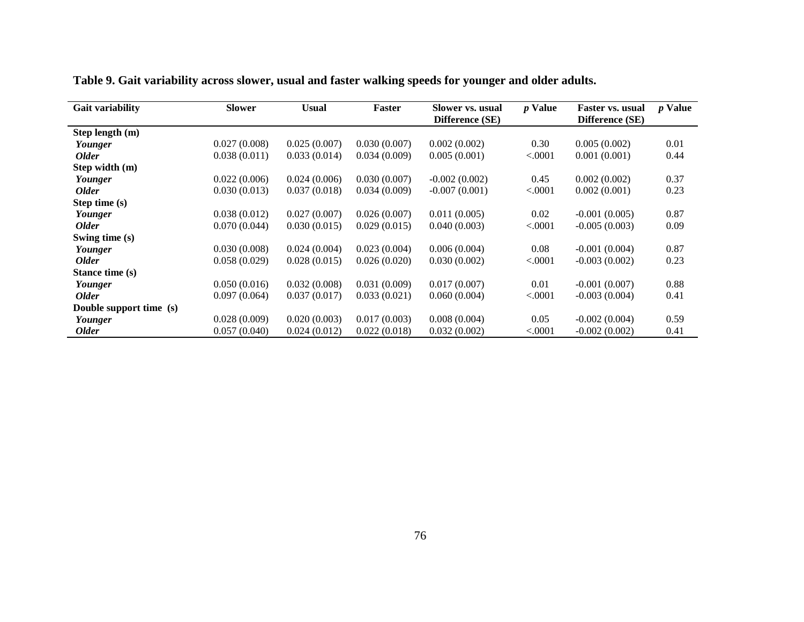| <b>Gait variability</b> | <b>Slower</b> | <b>Usual</b> | Faster       | Slower vs. usual<br>Difference (SE) | <i>p</i> Value | <b>Faster vs. usual</b><br>Difference (SE) | <i>p</i> Value |
|-------------------------|---------------|--------------|--------------|-------------------------------------|----------------|--------------------------------------------|----------------|
| Step length (m)         |               |              |              |                                     |                |                                            |                |
| Younger                 | 0.027(0.008)  | 0.025(0.007) | 0.030(0.007) | 0.002(0.002)                        | 0.30           | 0.005(0.002)                               | 0.01           |
| <b>Older</b>            | 0.038(0.011)  | 0.033(0.014) | 0.034(0.009) | 0.005(0.001)                        | < 0.0001       | 0.001(0.001)                               | 0.44           |
| Step width (m)          |               |              |              |                                     |                |                                            |                |
| Younger                 | 0.022(0.006)  | 0.024(0.006) | 0.030(0.007) | $-0.002(0.002)$                     | 0.45           | 0.002(0.002)                               | 0.37           |
| <b>Older</b>            | 0.030(0.013)  | 0.037(0.018) | 0.034(0.009) | $-0.007(0.001)$                     | < .0001        | 0.002(0.001)                               | 0.23           |
| Step time (s)           |               |              |              |                                     |                |                                            |                |
| Younger                 | 0.038(0.012)  | 0.027(0.007) | 0.026(0.007) | 0.011(0.005)                        | 0.02           | $-0.001(0.005)$                            | 0.87           |
| <b>Older</b>            | 0.070(0.044)  | 0.030(0.015) | 0.029(0.015) | 0.040(0.003)                        | < .0001        | $-0.005(0.003)$                            | 0.09           |
| Swing time (s)          |               |              |              |                                     |                |                                            |                |
| Younger                 | 0.030(0.008)  | 0.024(0.004) | 0.023(0.004) | 0.006(0.004)                        | 0.08           | $-0.001(0.004)$                            | 0.87           |
| <b>Older</b>            | 0.058(0.029)  | 0.028(0.015) | 0.026(0.020) | 0.030(0.002)                        | < .0001        | $-0.003(0.002)$                            | 0.23           |
| Stance time (s)         |               |              |              |                                     |                |                                            |                |
| Younger                 | 0.050(0.016)  | 0.032(0.008) | 0.031(0.009) | 0.017(0.007)                        | 0.01           | $-0.001(0.007)$                            | 0.88           |
| <b>Older</b>            | 0.097(0.064)  | 0.037(0.017) | 0.033(0.021) | 0.060(0.004)                        | < .0001        | $-0.003(0.004)$                            | 0.41           |
| Double support time (s) |               |              |              |                                     |                |                                            |                |
| Younger                 | 0.028(0.009)  | 0.020(0.003) | 0.017(0.003) | 0.008(0.004)                        | 0.05           | $-0.002(0.004)$                            | 0.59           |
| <b>Older</b>            | 0.057(0.040)  | 0.024(0.012) | 0.022(0.018) | 0.032(0.002)                        | < 0.0001       | $-0.002(0.002)$                            | 0.41           |

**Table 9. Gait variability across slower, usual and faster walking speeds for younger and older adults.**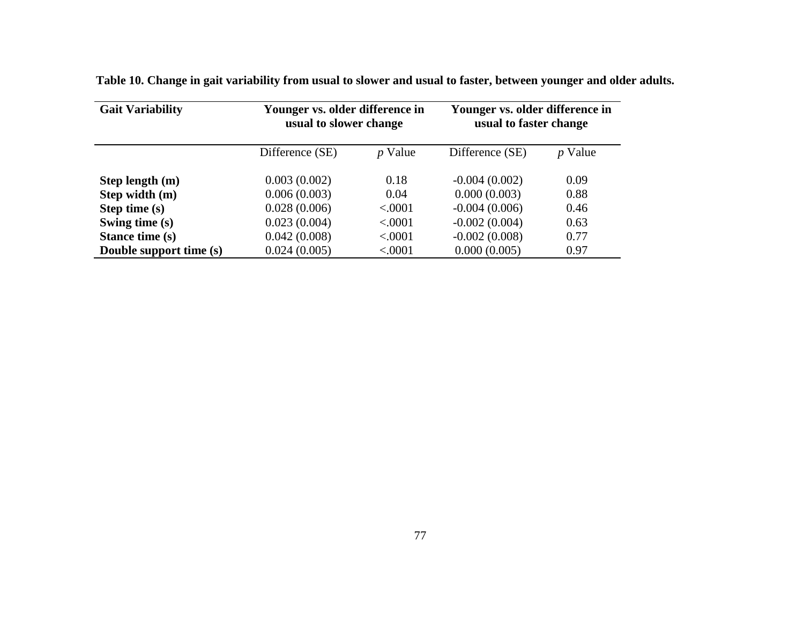| <b>Gait Variability</b> | Younger vs. older difference in<br>usual to slower change |                | Younger vs. older difference in<br>usual to faster change |           |
|-------------------------|-----------------------------------------------------------|----------------|-----------------------------------------------------------|-----------|
|                         | Difference (SE)                                           | <i>p</i> Value | Difference (SE)                                           | $p$ Value |
| Step length (m)         | 0.003(0.002)                                              | 0.18           | $-0.004(0.002)$                                           | 0.09      |
| Step width (m)          | 0.006(0.003)                                              | 0.04           | 0.000(0.003)                                              | 0.88      |
| Step time (s)           | 0.028(0.006)                                              | < .0001        | $-0.004(0.006)$                                           | 0.46      |
| Swing time (s)          | 0.023(0.004)                                              | < .0001        | $-0.002(0.004)$                                           | 0.63      |
| Stance time (s)         | 0.042(0.008)                                              | < .0001        | $-0.002(0.008)$                                           | 0.77      |
| Double support time (s) | 0.024(0.005)                                              | < 0001         | 0.000(0.005)                                              | 0.97      |

**Table 10. Change in gait variability from usual to slower and usual to faster, between younger and older adults.**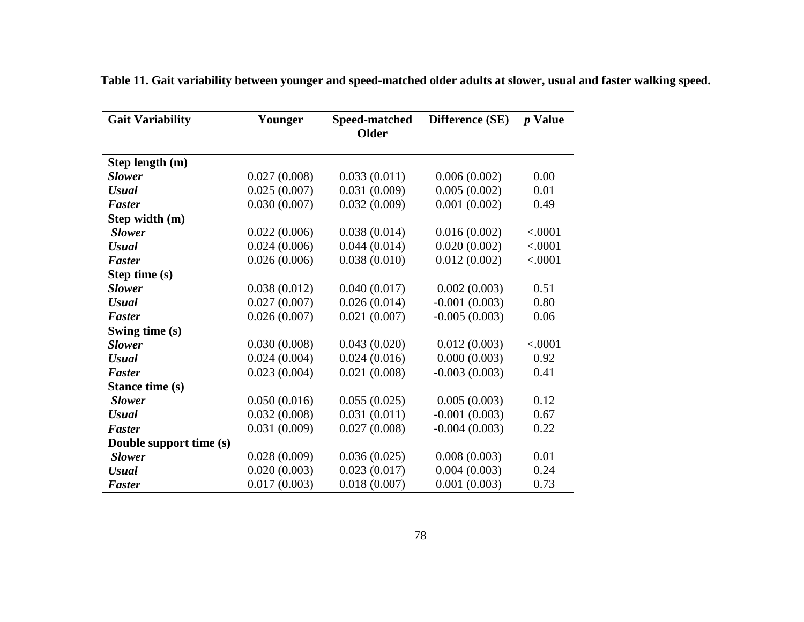| <b>Gait Variability</b> | Younger      | Speed-matched | Difference (SE) | <i>p</i> Value |
|-------------------------|--------------|---------------|-----------------|----------------|
|                         |              | <b>Older</b>  |                 |                |
| Step length (m)         |              |               |                 |                |
| <b>Slower</b>           | 0.027(0.008) | 0.033(0.011)  | 0.006(0.002)    | 0.00           |
| <b>Usual</b>            | 0.025(0.007) | 0.031(0.009)  | 0.005(0.002)    | 0.01           |
| <b>Faster</b>           | 0.030(0.007) | 0.032(0.009)  | 0.001(0.002)    | 0.49           |
| Step width (m)          |              |               |                 |                |
| <b>Slower</b>           | 0.022(0.006) | 0.038(0.014)  | 0.016(0.002)    | < .0001        |
| <b>Usual</b>            | 0.024(0.006) | 0.044(0.014)  | 0.020(0.002)    | < .0001        |
| <b>Faster</b>           | 0.026(0.006) | 0.038(0.010)  | 0.012(0.002)    | < .0001        |
| Step time (s)           |              |               |                 |                |
| <b>Slower</b>           | 0.038(0.012) | 0.040(0.017)  | 0.002(0.003)    | 0.51           |
| <b>Usual</b>            | 0.027(0.007) | 0.026(0.014)  | $-0.001(0.003)$ | 0.80           |
| <b>Faster</b>           | 0.026(0.007) | 0.021(0.007)  | $-0.005(0.003)$ | 0.06           |
| Swing time (s)          |              |               |                 |                |
| <b>Slower</b>           | 0.030(0.008) | 0.043(0.020)  | 0.012(0.003)    | < .0001        |
| <b>Usual</b>            | 0.024(0.004) | 0.024(0.016)  | 0.000(0.003)    | 0.92           |
| <b>Faster</b>           | 0.023(0.004) | 0.021(0.008)  | $-0.003(0.003)$ | 0.41           |
| Stance time (s)         |              |               |                 |                |
| <b>Slower</b>           | 0.050(0.016) | 0.055(0.025)  | 0.005(0.003)    | 0.12           |
| <b>Usual</b>            | 0.032(0.008) | 0.031(0.011)  | $-0.001(0.003)$ | 0.67           |
| <b>Faster</b>           | 0.031(0.009) | 0.027(0.008)  | $-0.004(0.003)$ | 0.22           |
| Double support time (s) |              |               |                 |                |
| <b>Slower</b>           | 0.028(0.009) | 0.036(0.025)  | 0.008(0.003)    | 0.01           |
| <b>Usual</b>            | 0.020(0.003) | 0.023(0.017)  | 0.004(0.003)    | 0.24           |
| Faster                  | 0.017(0.003) | 0.018(0.007)  | 0.001(0.003)    | 0.73           |

**Table 11. Gait variability between younger and speed-matched older adults at slower, usual and faster walking speed.**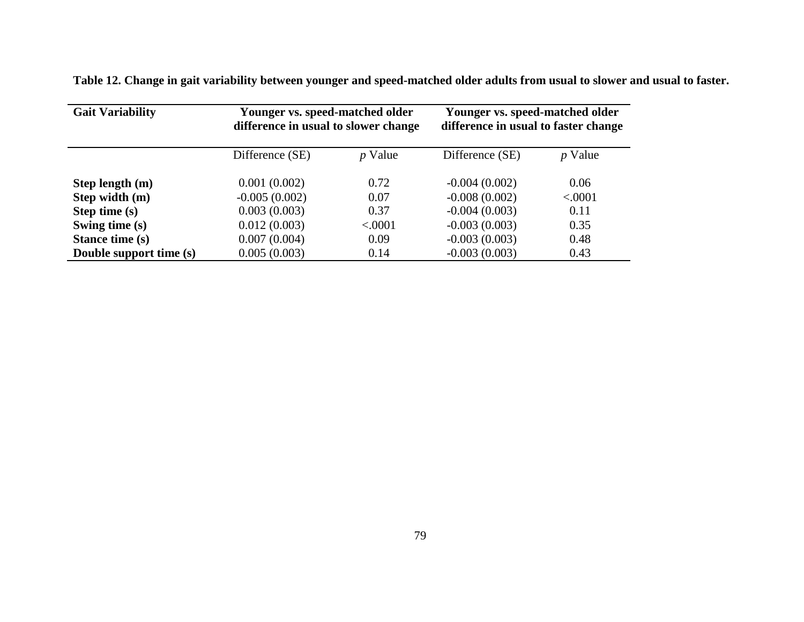| Table 12. Change in gait variability between younger and speed-matched older adults from usual to slower and usual to faster. |  |  |
|-------------------------------------------------------------------------------------------------------------------------------|--|--|
|-------------------------------------------------------------------------------------------------------------------------------|--|--|

| <b>Gait Variability</b> | Younger vs. speed-matched older<br>difference in usual to slower change |                | Younger vs. speed-matched older<br>difference in usual to faster change |                |
|-------------------------|-------------------------------------------------------------------------|----------------|-------------------------------------------------------------------------|----------------|
|                         | Difference (SE)                                                         | <i>p</i> Value | Difference (SE)                                                         | <i>p</i> Value |
| Step length (m)         | 0.001(0.002)                                                            | 0.72           | $-0.004(0.002)$                                                         | 0.06           |
| Step width (m)          | $-0.005(0.002)$                                                         | 0.07           | $-0.008(0.002)$                                                         | < .0001        |
| Step time (s)           | 0.003(0.003)                                                            | 0.37           | $-0.004(0.003)$                                                         | 0.11           |
| Swing time (s)          | 0.012(0.003)                                                            | < 0001         | $-0.003(0.003)$                                                         | 0.35           |
| Stance time (s)         | 0.007(0.004)                                                            | 0.09           | $-0.003(0.003)$                                                         | 0.48           |
| Double support time (s) | 0.005(0.003)                                                            | 0.14           | $-0.003(0.003)$                                                         | 0.43           |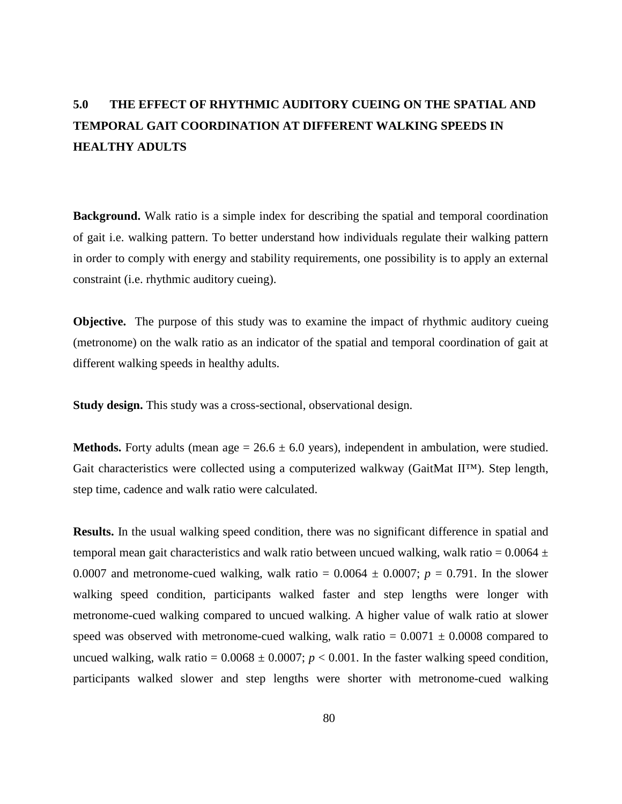#### 4.2.2 Gait characteristics

Spatial and temporal gait characteristics were collected using a computerized walkway (GaitMat  $\text{II}^{\text{TM}}$ ) (EQ Inc, Chalfont, PA).<sup>37</sup> The GaitMat II is an automated gait analysis system, based on the opening and closing of pressure sensitive switches on the walkway that are displayed on the computer screen as footprints when the participant walks. The GaitMat II provides a temporal resolution of 5 ms and a spatial resolution of 15 mm in both the longitudinal and transverse directions. The reliability and validity of the computerized walkway has been established for quantification of the spatial and temporal mean gait characteristics for a variety of populations including children,<sup>59</sup> healthy young adults,<sup>60</sup> healthy older adults,<sup>7,60</sup> individuals with Parkinson's disease  $61$  and Huntington disease.  $62$ 

For younger adults, the GaitMat II was approximately 12 m in length. The initial and final 2 m were inactive sections to allow for acceleration and deceleration of the participant. The middle 8 m were active and used for data collection. For older adults, the GaitMat II was approximately 8 m in length. The initial and final 2 m were inactive sections to allow for acceleration and deceleration of the participant. The middle 4 m were active and used for data collection.

7 H V W L Q J F Ran Catia Willty Rolard were collected at various walking speed conditions expected to affect gait variability. Each participant completed two practice walks the length of the walkway for each walking speed condition to become familiar to walking on mat. Each walk was considered one pass. After practice trials, four passes were collected at each walking speed condition. Each participant completed the following walking speed conditions: Slower self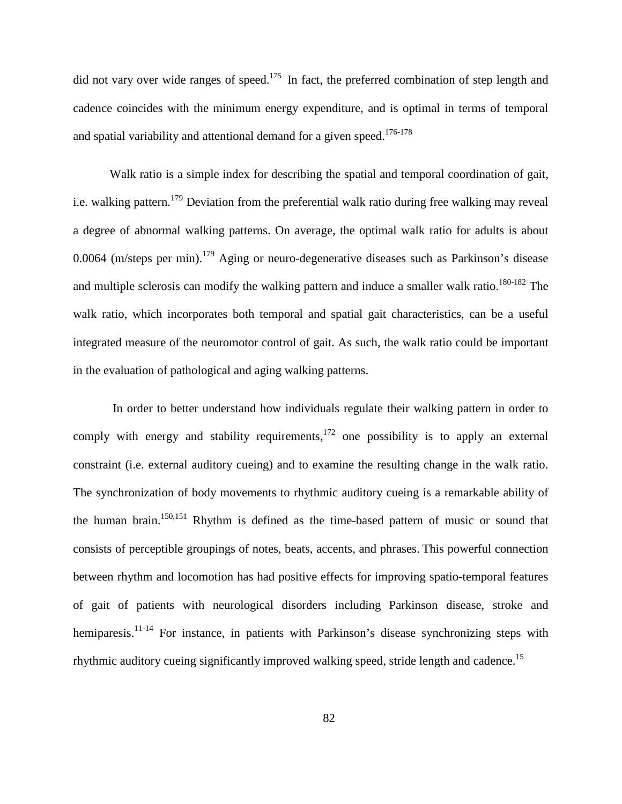did not vary over wide ranges of speed.<sup>175</sup> In fact, the preferred combination of step length and cadence coincides with the minimum energy expenditure, and is optimal in terms of temporal and spatial variability and attentional demand for a given speed.<sup>176-178</sup>

Walk ratio is a simple index for describing the spatial and temporal coordination of gait, i.e. walking pattern.<sup>[179](#page-130-2)</sup> Deviation from the preferential walk ratio during free walking may reveal a degree of abnormal walking patterns. On average, the optimal walk ratio for adults is about 0.0064 (m/steps per min).<sup>179</sup> Aging or neuro-degenerative diseases such as Parkinson's disease and multiple sclerosis can modify the walking pattern and induce a smaller walk ratio.<sup>180-182</sup> The walk ratio, which incorporates both temporal and spatial gait characteristics, can be a useful integrated measure of the neuromotor control of gait. As such, the walk ratio could be important in the evaluation of pathological and aging walking patterns.

In order to better understand how individuals regulate their walking pattern in order to comply with energy and stability requirements, $1^{172}$  one possibility is to apply an external constraint (i.e. external auditory cueing) and to examine the resulting change in the walk ratio. The synchronization of body movements to rhythmic auditory cueing is a remarkable ability of the human brain[.150](#page-128-1)[,151](#page-128-2) Rhythm is defined as the time-based pattern of music or sound that consists of perceptible groupings of notes, beats, accents, and phrases. This powerful connection between rhythm and locomotion has had positive effects for improving spatio-temporal features of gait of patients with neurological disorders including Parkinson disease, stroke and hemiparesis.<sup>11-14</sup> For instance, in patients with Parkinson's disease synchronizing steps with rhythmic auditory cueing significantly improved walking speed, stride length and cadence.<sup>[15](#page-118-2)</sup>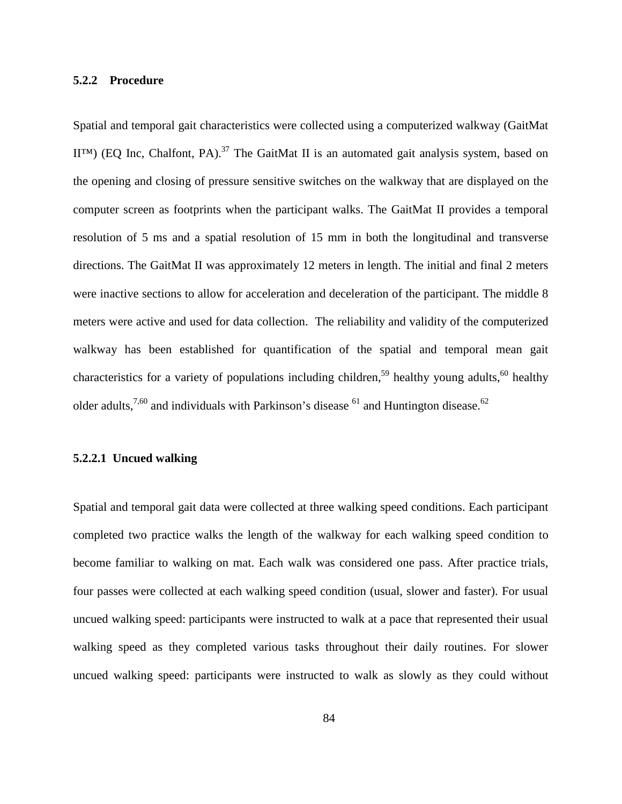motion and muscle testing) to determine final eligibility followed by measurement of gait characteristics using a computerized walkway.

Older participants were identified from a previous prospective longitudinal study of gait and balance in older adults.<sup>164</sup> The inclusion criteria for the older adults were age 65 or older; self-reported ability to tolerate a five-hour session (with rest periods) of answering questionnaires and performing walking tests; ability to independently walk a household distances (approximately 50 ft) at a minimum, with or without an assistive device and without the assistance of another person. Also, the older adults had to be free of (a) neuromuscular disorders that impaired movement (including but not limited to Parkinson's disease, stroke, and multiple sclerosis); (b) cancer with active treatment (specifically radiation or chemotherapy) within the past 6 months; (c) non-elective hospitalization for a life-threatening illness or major surgical procedure in the past 6 months; (d) severe pulmonary disease requiring supplemental oxygen or resulting in difficulty breathing at rest or with minimal exertion (such as walking between rooms in their home); and (e) chest pain with activity or a cardiac event, such as heart attack within the past 6 months. The older participants were first screened over the phone to determine initial eligibility. Subjects who passed the phone screen were scheduled for a clinic visit which included a physical exam to determine final eligibility. Older adults completed 5 h of testing, including a measurement of gait characteristics which occurred within the first hour of testing. Both studies of younger and older adults were approved by the University of Pittsburgh Institutional Review Board, and all participants provided informed consent prior to participation.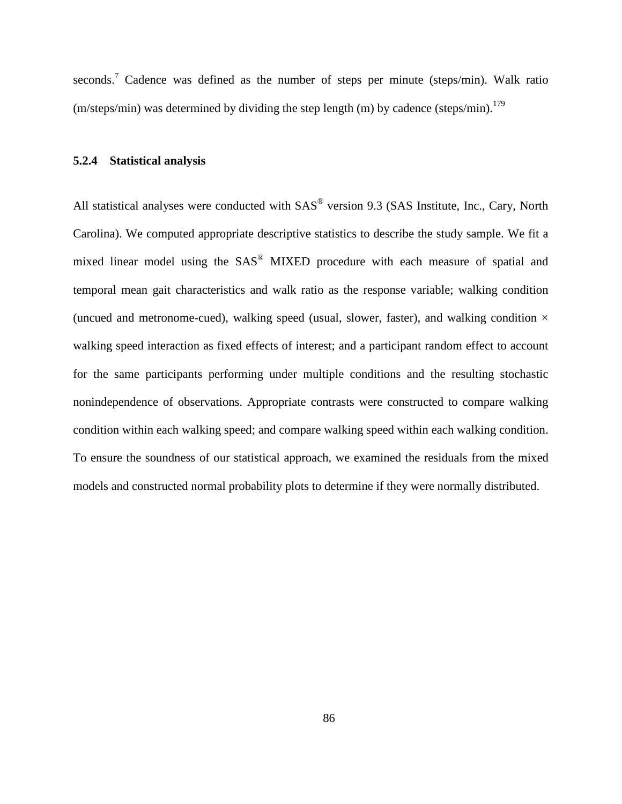seconds.<sup>7</sup> Cadence was defined as the number of steps per minute (steps/min). Walk ratio (m/steps/min) was determined by dividing the step length (m) by cadence (steps/min).<sup>179</sup>

#### **5.2.4 Statistical analysis**

All statistical analyses were conducted with  $SAS<sup>®</sup>$  version 9.3 (SAS Institute, Inc., Cary, North Carolina). We computed appropriate descriptive statistics to describe the study sample. We fit a mixed linear model using the SAS® MIXED procedure with each measure of spatial and temporal mean gait characteristics and walk ratio as the response variable; walking condition (uncued and metronome-cued), walking speed (usual, slower, faster), and walking condition  $\times$ walking speed interaction as fixed effects of interest; and a participant random effect to account for the same participants performing under multiple conditions and the resulting stochastic nonindependence of observations. Appropriate contrasts were constructed to compare walking condition within each walking speed; and compare walking speed within each walking condition. To ensure the soundness of our statistical approach, we examined the residuals from the mixed models and constructed normal probability plots to determine if they were normally distributed.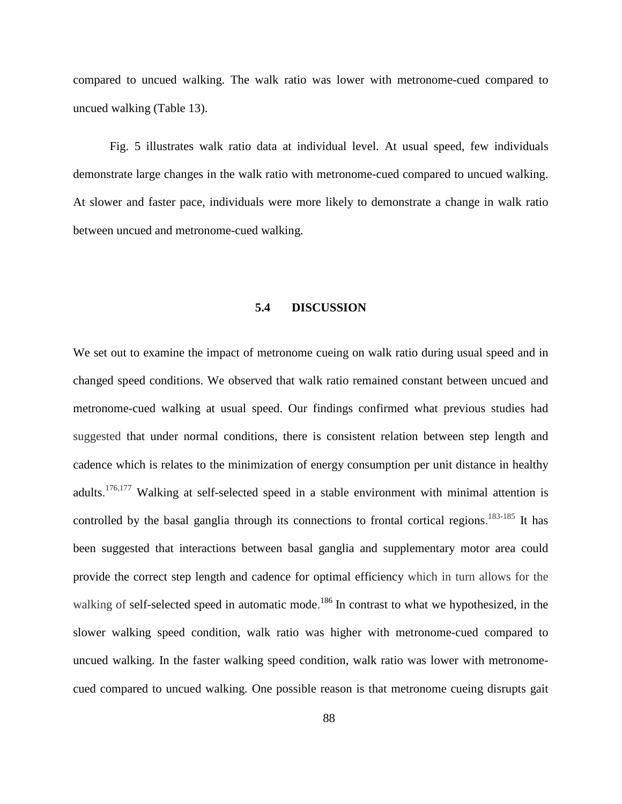interaction of neural and biomechanical mechanisms, with only minimal active control of highlevel sensory feedback control.<sup>142</sup>

Little is known about age-related changes in gait variability during challenging walking conditions such as slower and faster pace walking. It is likely that these challenging walks place a greater demand on motor control of gait and hence may be more sensitive to age-related declines in gait compared to usual walking speed.<sup>9,10</sup> Healthy younger adults become more variable when they walk at slower speed.<sup>139,143</sup> Slowing of walking speed is one of the most consistent reported age-related changes in gait.<sup>98</sup> Therefore, increased gait variability in healthy older adults may be simply related to their slow walking speed. Alternatively, several studies suggest that the alterations in gait variability with older adults are a reflection of underlying subclinical pathology in important neural locomotor regions, and not simply a manifestation of slow walking speed.<sup>1,32,84</sup> Slower speed of walking might be a challenging task to their motor control of gait. In addition, faster walking speed has been previously reported in the guidelines for clinical spatio-temporal gait analysis in older adults as a highly stressful walking condition that may challenge older adults and optimize the detection of high-level gait impairment.<sup>9,168</sup>

Previous studies which examined gait variability at different walking speeds in younger and older adults obtained conflicting results, as some failed to find any relationship,  $92,116$  while others reported either linear or a non-linear relationship.<sup>114,144</sup> Additionally most of these studies examined gait variability with fixed walking speeds on a treadmill. The imposed constant speed of a treadmill may artificially impose motor control of gait and impede the natural variation that occurs during over-ground walking and therefore minimize gait variability.<sup>44,132</sup>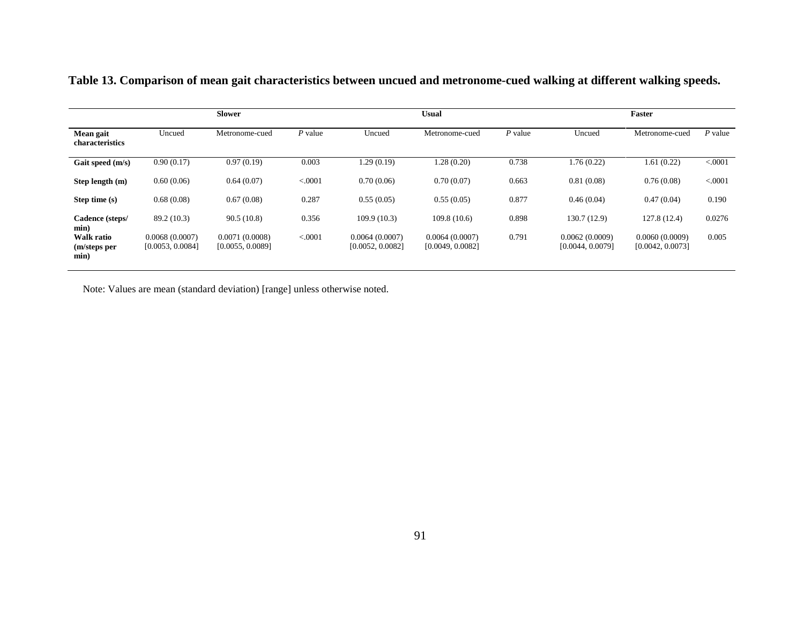|                                           | <b>Slower</b>                      |                                    |           | Usual                              |                                    |           | Faster                             |                                    |          |
|-------------------------------------------|------------------------------------|------------------------------------|-----------|------------------------------------|------------------------------------|-----------|------------------------------------|------------------------------------|----------|
| Mean gait<br>characteristics              | Uncued                             | Metronome-cued                     | $P$ value | Uncued                             | Metronome-cued                     | $P$ value | Uncued                             | Metronome-cued                     | P value  |
| Gait speed (m/s)                          | 0.90(0.17)                         | 0.97(0.19)                         | 0.003     | 1.29(0.19)                         | 1.28(0.20)                         | 0.738     | 1.76(0.22)                         | 1.61(0.22)                         | < 0.001  |
| Step length (m)                           | 0.60(0.06)                         | 0.64(0.07)                         | < 0.001   | 0.70(0.06)                         | 0.70(0.07)                         | 0.663     | 0.81(0.08)                         | 0.76(0.08)                         | < 0.0001 |
| Step time (s)                             | 0.68(0.08)                         | 0.67(0.08)                         | 0.287     | 0.55(0.05)                         | 0.55(0.05)                         | 0.877     | 0.46(0.04)                         | 0.47(0.04)                         | 0.190    |
| Cadence (steps/<br>min)                   | 89.2 (10.3)                        | 90.5(10.8)                         | 0.356     | 109.9(10.3)                        | 109.8(10.6)                        | 0.898     | 130.7 (12.9)                       | 127.8(12.4)                        | 0.0276   |
| <b>Walk ratio</b><br>(m/steps per<br>min) | 0.0068(0.0007)<br>[0.0053, 0.0084] | 0.0071(0.0008)<br>[0.0055, 0.0089] | < .0001   | 0.0064(0.0007)<br>[0.0052, 0.0082] | 0.0064(0.0007)<br>[0.0049, 0.0082] | 0.791     | 0.0062(0.0009)<br>[0.0044, 0.0079] | 0.0060(0.0009)<br>[0.0042, 0.0073] | 0.005    |

 **Table 13. Comparison of mean gait characteristics between uncued and metronome-cued walking at different walking speeds.**

Note: Values are mean (standard deviation) [range] unless otherwise noted.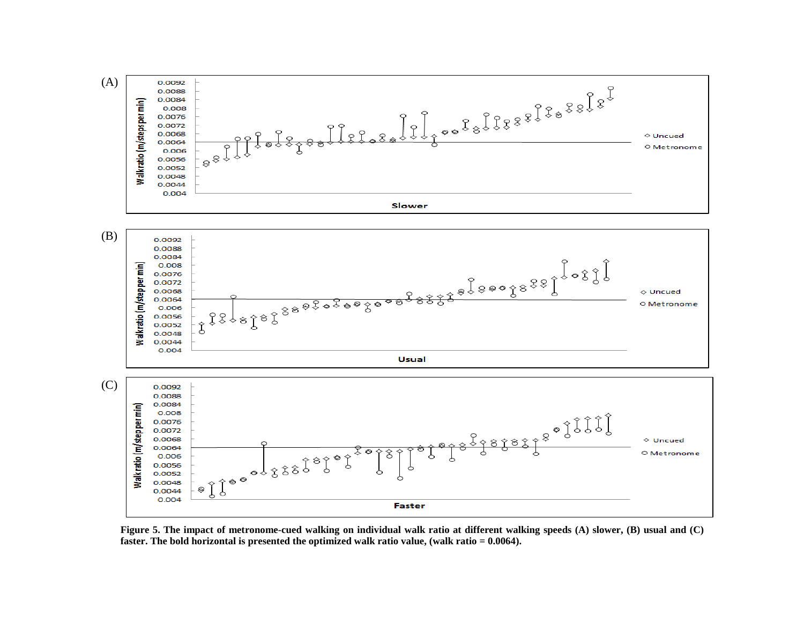

92 **faster. The bold horizontal is presented the optimized walk ratio value, (walk ratio = 0.0064).Figure 5. The impact of metronome-cued walking on individual walk ratio at different walking speeds (A) slower, (B) usual and (C)**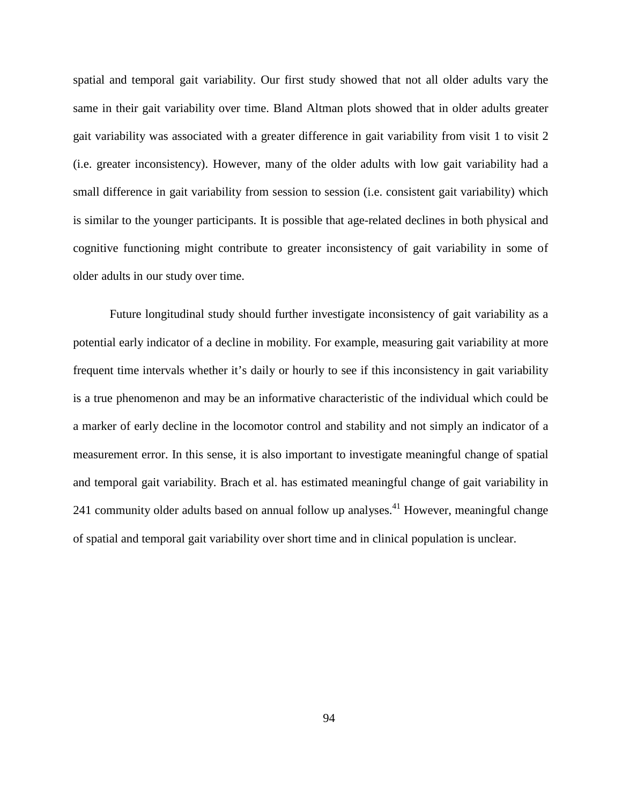spatial and temporal gait variability. Our first study showed that not all older adults vary the same in their gait variability over time. Bland Altman plots showed that in older adults greater gait variability was associated with a greater difference in gait variability from visit 1 to visit 2 (i.e. greater inconsistency). However, many of the older adults with low gait variability had a small difference in gait variability from session to session (i.e. consistent gait variability) which is similar to the younger participants. It is possible that age-related declines in both physical and cognitive functioning might contribute to greater inconsistency of gait variability in some of older adults in our study over time.

Future longitudinal study should further investigate inconsistency of gait variability as a potential early indicator of a decline in mobility. For example, measuring gait variability at more frequent time intervals whether it's daily or hourly to see if this inconsistency in gait variability is a true phenomenon and may be an informative characteristic of the individual which could be a marker of early decline in the locomotor control and stability and not simply an indicator of a measurement error. In this sense, it is also important to investigate meaningful change of spatial and temporal gait variability. Brach et al. has estimated meaningful change of gait variability in 241 community older adults based on annual follow up analyses.<sup>41</sup> However, meaningful change of spatial and temporal gait variability over short time and in clinical population is unclear.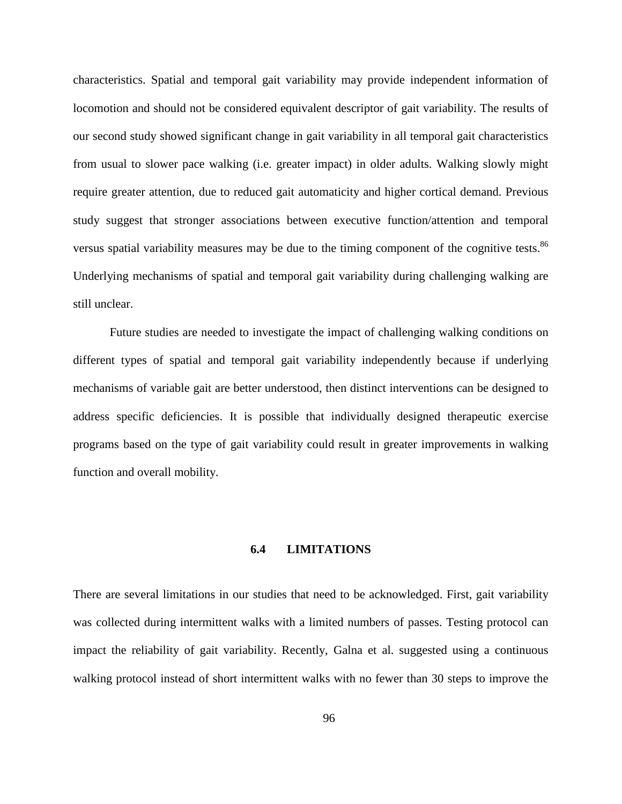characteristics. Spatial and temporal gait variability may provide independent information of locomotion and should not be considered equivalent descriptor of gait variability. The results of our second study showed significant change in gait variability in all temporal gait characteristics from usual to slower pace walking (i.e. greater impact) in older adults. Walking slowly might require greater attention, due to reduced gait automaticity and higher cortical demand. Previous study suggest that stronger associations between executive function/attention and temporal versus spatial variability measures may be due to the timing component of the cognitive tests.<sup>[86](#page-123-0)</sup> Underlying mechanisms of spatial and temporal gait variability during challenging walking are still unclear.

Future studies are needed to investigate the impact of challenging walking conditions on different types of spatial and temporal gait variability independently because if underlying mechanisms of variable gait are better understood, then distinct interventions can be designed to address specific deficiencies. It is possible that individually designed therapeutic exercise programs based on the type of gait variability could result in greater improvements in walking function and overall mobility.

## **6.4 LIMITATIONS**

There are several limitations in our studies that need to be acknowledged. First, gait variability was collected during intermittent walks with a limited numbers of passes. Testing protocol can impact the reliability of gait variability. Recently, Galna et al. suggested using a continuous walking protocol instead of short intermittent walks with no fewer than 30 steps to improve the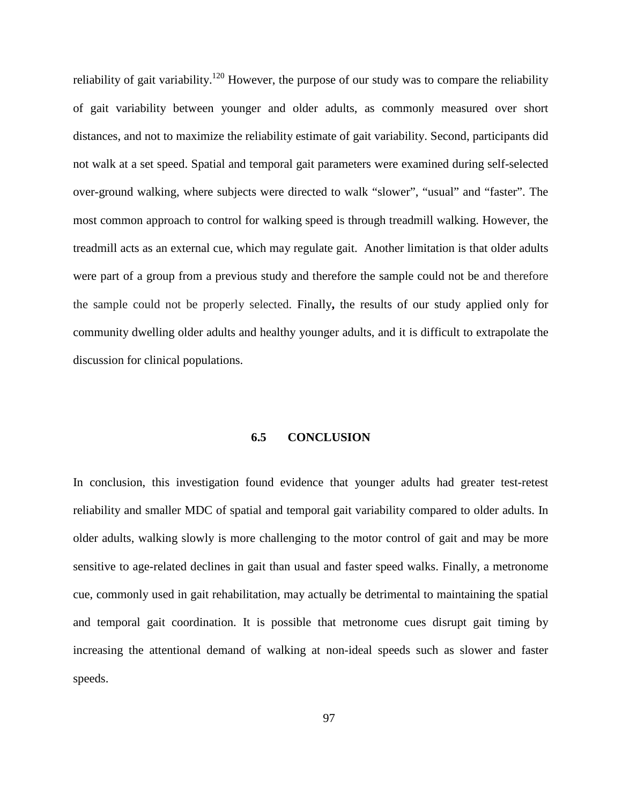reliability of gait variability.<sup>[120](#page-126-0)</sup> However, the purpose of our study was to compare the reliability of gait variability between younger and older adults, as commonly measured over short distances, and not to maximize the reliability estimate of gait variability. Second, participants did not walk at a set speed. Spatial and temporal gait parameters were examined during self-selected over-ground walking, where subjects were directed to walk "slower", "usual" and "faster". The most common approach to control for walking speed is through treadmill walking. However, the treadmill acts as an external cue, which may regulate gait. Another limitation is that older adults were part of a group from a previous study and therefore the sample could not be and therefore the sample could not be properly selected. Finally**,** the results of our study applied only for community dwelling older adults and healthy younger adults, and it is difficult to extrapolate the discussion for clinical populations.

## **6.5 CONCLUSION**

In conclusion, this investigation found evidence that younger adults had greater test-retest reliability and smaller MDC of spatial and temporal gait variability compared to older adults. In older adults, walking slowly is more challenging to the motor control of gait and may be more sensitive to age-related declines in gait than usual and faster speed walks. Finally, a metronome cue, commonly used in gait rehabilitation, may actually be detrimental to maintaining the spatial and temporal gait coordination. It is possible that metronome cues disrupt gait timing by increasing the attentional demand of walking at non-ideal speeds such as slower and faster speeds.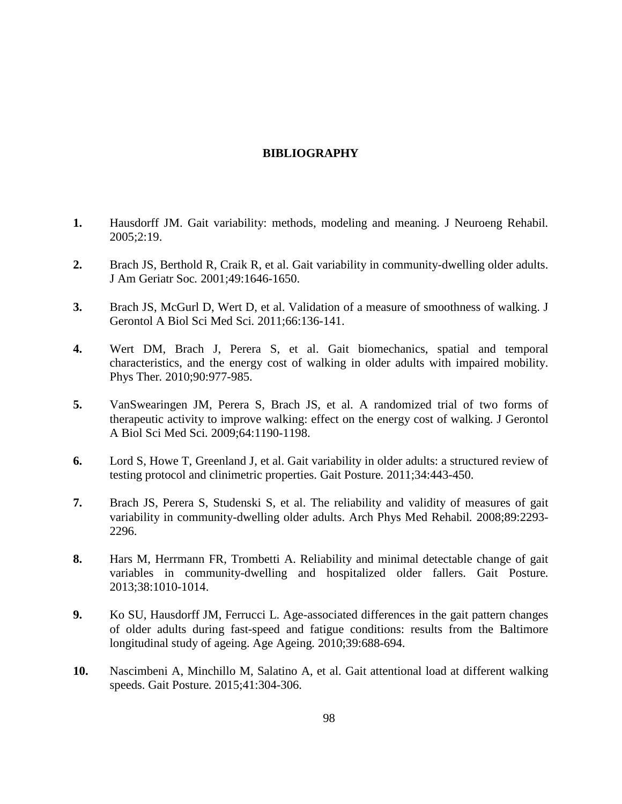## **BIBLIOGRAPHY**

- **1.** Hausdorff JM. Gait variability: methods, modeling and meaning. J Neuroeng Rehabil*.* 2005;2:19.
- **2.** Brach JS, Berthold R, Craik R, et al. Gait variability in community-dwelling older adults. J Am Geriatr Soc*.* 2001;49:1646-1650.
- **3.** Brach JS, McGurl D, Wert D, et al. Validation of a measure of smoothness of walking. J Gerontol A Biol Sci Med Sci*.* 2011;66:136-141.
- **4.** Wert DM, Brach J, Perera S, et al. Gait biomechanics, spatial and temporal characteristics, and the energy cost of walking in older adults with impaired mobility. Phys Ther*.* 2010;90:977-985.
- **5.** VanSwearingen JM, Perera S, Brach JS, et al. A randomized trial of two forms of therapeutic activity to improve walking: effect on the energy cost of walking. J Gerontol A Biol Sci Med Sci*.* 2009;64:1190-1198.
- **6.** Lord S, Howe T, Greenland J, et al. Gait variability in older adults: a structured review of testing protocol and clinimetric properties. Gait Posture*.* 2011;34:443-450.
- **7.** Brach JS, Perera S, Studenski S, et al. The reliability and validity of measures of gait variability in community-dwelling older adults. Arch Phys Med Rehabil*.* 2008;89:2293- 2296.
- **8.** Hars M, Herrmann FR, Trombetti A. Reliability and minimal detectable change of gait variables in community-dwelling and hospitalized older fallers. Gait Posture*.* 2013;38:1010-1014.
- **9.** Ko SU, Hausdorff JM, Ferrucci L. Age-associated differences in the gait pattern changes of older adults during fast-speed and fatigue conditions: results from the Baltimore longitudinal study of ageing. Age Ageing*.* 2010;39:688-694.
- **10.** Nascimbeni A, Minchillo M, Salatino A, et al. Gait attentional load at different walking speeds. Gait Posture*.* 2015;41:304-306.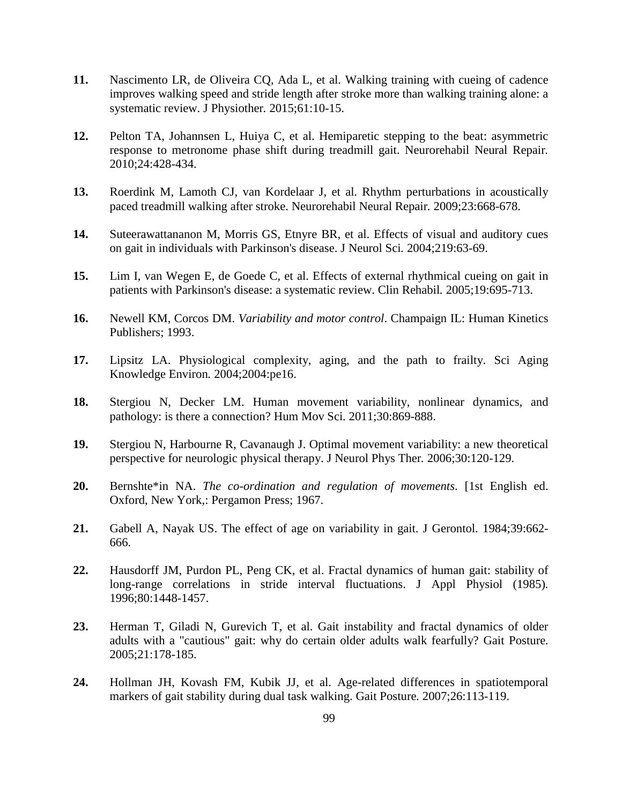- **11.** Nascimento LR, de Oliveira CQ, Ada L, et al. Walking training with cueing of cadence improves walking speed and stride length after stroke more than walking training alone: a systematic review. J Physiother*.* 2015;61:10-15.
- **12.** Pelton TA, Johannsen L, Huiya C, et al. Hemiparetic stepping to the beat: asymmetric response to metronome phase shift during treadmill gait. Neurorehabil Neural Repair*.*  2010;24:428-434.
- **13.** Roerdink M, Lamoth CJ, van Kordelaar J, et al. Rhythm perturbations in acoustically paced treadmill walking after stroke. Neurorehabil Neural Repair*.* 2009;23:668-678.
- **14.** Suteerawattananon M, Morris GS, Etnyre BR, et al. Effects of visual and auditory cues on gait in individuals with Parkinson's disease. J Neurol Sci*.* 2004;219:63-69.
- **15.** Lim I, van Wegen E, de Goede C, et al. Effects of external rhythmical cueing on gait in patients with Parkinson's disease: a systematic review. Clin Rehabil*.* 2005;19:695-713.
- **16.** Newell KM, Corcos DM. *Variability and motor control*. Champaign IL: Human Kinetics Publishers; 1993.
- **17.** Lipsitz LA. Physiological complexity, aging, and the path to frailty. Sci Aging Knowledge Environ*.* 2004;2004:pe16.
- **18.** Stergiou N, Decker LM. Human movement variability, nonlinear dynamics, and pathology: is there a connection? Hum Mov Sci*.* 2011;30:869-888.
- **19.** Stergiou N, Harbourne R, Cavanaugh J. Optimal movement variability: a new theoretical perspective for neurologic physical therapy. J Neurol Phys Ther*.* 2006;30:120-129.
- **20.** Bernshte\*in NA. *The co-ordination and regulation of movements*. [1st English ed. Oxford, New York,: Pergamon Press; 1967.
- **21.** Gabell A, Nayak US. The effect of age on variability in gait. J Gerontol*.* 1984;39:662- 666.
- **22.** Hausdorff JM, Purdon PL, Peng CK, et al. Fractal dynamics of human gait: stability of long-range correlations in stride interval fluctuations. J Appl Physiol (1985)*.*  1996;80:1448-1457.
- **23.** Herman T, Giladi N, Gurevich T, et al. Gait instability and fractal dynamics of older adults with a "cautious" gait: why do certain older adults walk fearfully? Gait Posture*.*  2005;21:178-185.
- **24.** Hollman JH, Kovash FM, Kubik JJ, et al. Age-related differences in spatiotemporal markers of gait stability during dual task walking. Gait Posture*.* 2007;26:113-119.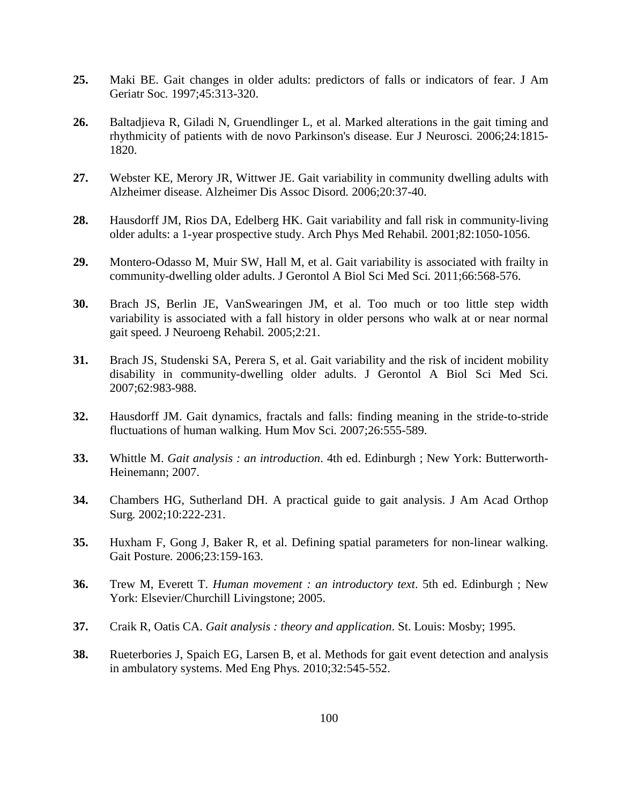- **25.** Maki BE. Gait changes in older adults: predictors of falls or indicators of fear. J Am Geriatr Soc*.* 1997;45:313-320.
- **26.** Baltadjieva R, Giladi N, Gruendlinger L, et al. Marked alterations in the gait timing and rhythmicity of patients with de novo Parkinson's disease. Eur J Neurosci*.* 2006;24:1815- 1820.
- **27.** Webster KE, Merory JR, Wittwer JE. Gait variability in community dwelling adults with Alzheimer disease. Alzheimer Dis Assoc Disord*.* 2006;20:37-40.
- **28.** Hausdorff JM, Rios DA, Edelberg HK. Gait variability and fall risk in community-living older adults: a 1-year prospective study. Arch Phys Med Rehabil*.* 2001;82:1050-1056.
- **29.** Montero-Odasso M, Muir SW, Hall M, et al. Gait variability is associated with frailty in community-dwelling older adults. J Gerontol A Biol Sci Med Sci*.* 2011;66:568-576.
- **30.** Brach JS, Berlin JE, VanSwearingen JM, et al. Too much or too little step width variability is associated with a fall history in older persons who walk at or near normal gait speed. J Neuroeng Rehabil*.* 2005;2:21.
- **31.** Brach JS, Studenski SA, Perera S, et al. Gait variability and the risk of incident mobility disability in community-dwelling older adults. J Gerontol A Biol Sci Med Sci*.*  2007;62:983-988.
- **32.** Hausdorff JM. Gait dynamics, fractals and falls: finding meaning in the stride-to-stride fluctuations of human walking. Hum Mov Sci*.* 2007;26:555-589.
- **33.** Whittle M. *Gait analysis : an introduction*. 4th ed. Edinburgh ; New York: Butterworth-Heinemann; 2007.
- **34.** Chambers HG, Sutherland DH. A practical guide to gait analysis. J Am Acad Orthop Surg*.* 2002;10:222-231.
- **35.** Huxham F, Gong J, Baker R, et al. Defining spatial parameters for non-linear walking. Gait Posture*.* 2006;23:159-163.
- **36.** Trew M, Everett T. *Human movement : an introductory text*. 5th ed. Edinburgh ; New York: Elsevier/Churchill Livingstone; 2005.
- **37.** Craik R, Oatis CA. *Gait analysis : theory and application*. St. Louis: Mosby; 1995.
- **38.** Rueterbories J, Spaich EG, Larsen B, et al. Methods for gait event detection and analysis in ambulatory systems. Med Eng Phys*.* 2010;32:545-552.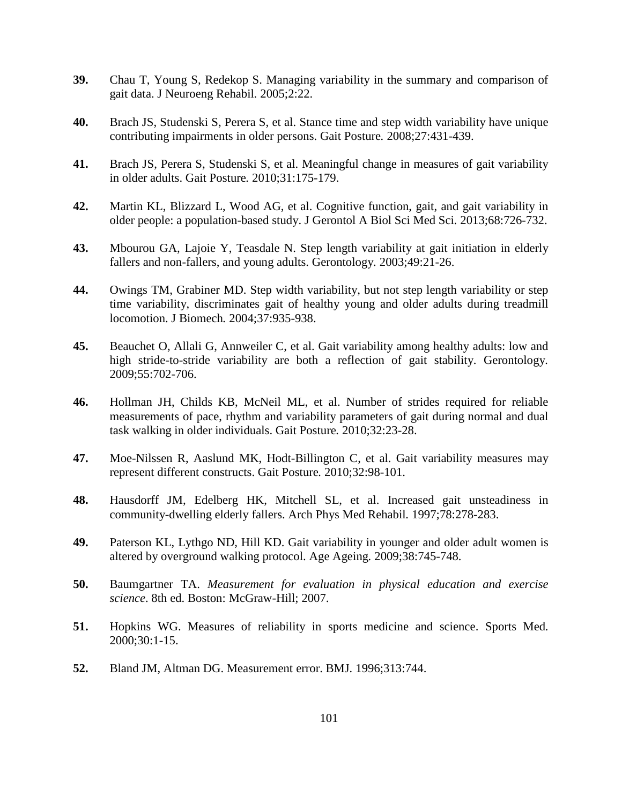- **39.** Chau T, Young S, Redekop S. Managing variability in the summary and comparison of gait data. J Neuroeng Rehabil*.* 2005;2:22.
- **40.** Brach JS, Studenski S, Perera S, et al. Stance time and step width variability have unique contributing impairments in older persons. Gait Posture*.* 2008;27:431-439.
- <span id="page-120-0"></span>**41.** Brach JS, Perera S, Studenski S, et al. Meaningful change in measures of gait variability in older adults. Gait Posture*.* 2010;31:175-179.
- **42.** Martin KL, Blizzard L, Wood AG, et al. Cognitive function, gait, and gait variability in older people: a population-based study. J Gerontol A Biol Sci Med Sci*.* 2013;68:726-732.
- **43.** Mbourou GA, Lajoie Y, Teasdale N. Step length variability at gait initiation in elderly fallers and non-fallers, and young adults. Gerontology*.* 2003;49:21-26.
- **44.** Owings TM, Grabiner MD. Step width variability, but not step length variability or step time variability, discriminates gait of healthy young and older adults during treadmill locomotion. J Biomech*.* 2004;37:935-938.
- **45.** Beauchet O, Allali G, Annweiler C, et al. Gait variability among healthy adults: low and high stride-to-stride variability are both a reflection of gait stability. Gerontology*.*  2009;55:702-706.
- **46.** Hollman JH, Childs KB, McNeil ML, et al. Number of strides required for reliable measurements of pace, rhythm and variability parameters of gait during normal and dual task walking in older individuals. Gait Posture*.* 2010;32:23-28.
- **47.** Moe-Nilssen R, Aaslund MK, Hodt-Billington C, et al. Gait variability measures may represent different constructs. Gait Posture*.* 2010;32:98-101.
- **48.** Hausdorff JM, Edelberg HK, Mitchell SL, et al. Increased gait unsteadiness in community-dwelling elderly fallers. Arch Phys Med Rehabil*.* 1997;78:278-283.
- **49.** Paterson KL, Lythgo ND, Hill KD. Gait variability in younger and older adult women is altered by overground walking protocol. Age Ageing*.* 2009;38:745-748.
- **50.** Baumgartner TA. *Measurement for evaluation in physical education and exercise science*. 8th ed. Boston: McGraw-Hill; 2007.
- **51.** Hopkins WG. Measures of reliability in sports medicine and science. Sports Med*.*  2000;30:1-15.
- **52.** Bland JM, Altman DG. Measurement error. BMJ*.* 1996;313:744.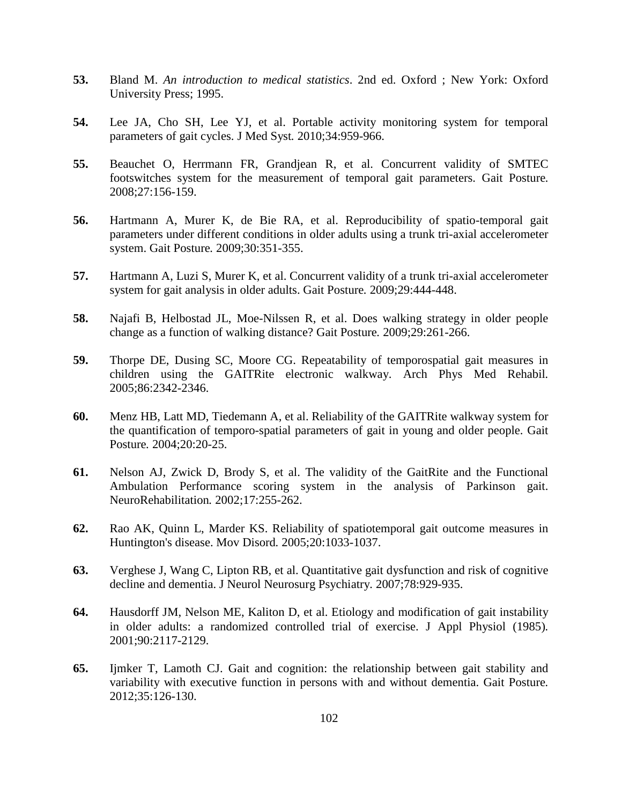- **53.** Bland M. *An introduction to medical statistics*. 2nd ed. Oxford ; New York: Oxford University Press; 1995.
- **54.** Lee JA, Cho SH, Lee YJ, et al. Portable activity monitoring system for temporal parameters of gait cycles. J Med Syst*.* 2010;34:959-966.
- **55.** Beauchet O, Herrmann FR, Grandjean R, et al. Concurrent validity of SMTEC footswitches system for the measurement of temporal gait parameters. Gait Posture*.*  2008;27:156-159.
- **56.** Hartmann A, Murer K, de Bie RA, et al. Reproducibility of spatio-temporal gait parameters under different conditions in older adults using a trunk tri-axial accelerometer system. Gait Posture*.* 2009;30:351-355.
- **57.** Hartmann A, Luzi S, Murer K, et al. Concurrent validity of a trunk tri-axial accelerometer system for gait analysis in older adults. Gait Posture*.* 2009;29:444-448.
- **58.** Najafi B, Helbostad JL, Moe-Nilssen R, et al. Does walking strategy in older people change as a function of walking distance? Gait Posture*.* 2009;29:261-266.
- **59.** Thorpe DE, Dusing SC, Moore CG. Repeatability of temporospatial gait measures in children using the GAITRite electronic walkway. Arch Phys Med Rehabil*.*  2005;86:2342-2346.
- **60.** Menz HB, Latt MD, Tiedemann A, et al. Reliability of the GAITRite walkway system for the quantification of temporo-spatial parameters of gait in young and older people. Gait Posture*.* 2004;20:20-25.
- **61.** Nelson AJ, Zwick D, Brody S, et al. The validity of the GaitRite and the Functional Ambulation Performance scoring system in the analysis of Parkinson gait. NeuroRehabilitation*.* 2002;17:255-262.
- **62.** Rao AK, Quinn L, Marder KS. Reliability of spatiotemporal gait outcome measures in Huntington's disease. Mov Disord*.* 2005;20:1033-1037.
- **63.** Verghese J, Wang C, Lipton RB, et al. Quantitative gait dysfunction and risk of cognitive decline and dementia. J Neurol Neurosurg Psychiatry*.* 2007;78:929-935.
- **64.** Hausdorff JM, Nelson ME, Kaliton D, et al. Etiology and modification of gait instability in older adults: a randomized controlled trial of exercise. J Appl Physiol (1985)*.*  2001;90:2117-2129.
- **65.** Ijmker T, Lamoth CJ. Gait and cognition: the relationship between gait stability and variability with executive function in persons with and without dementia. Gait Posture*.*  2012;35:126-130.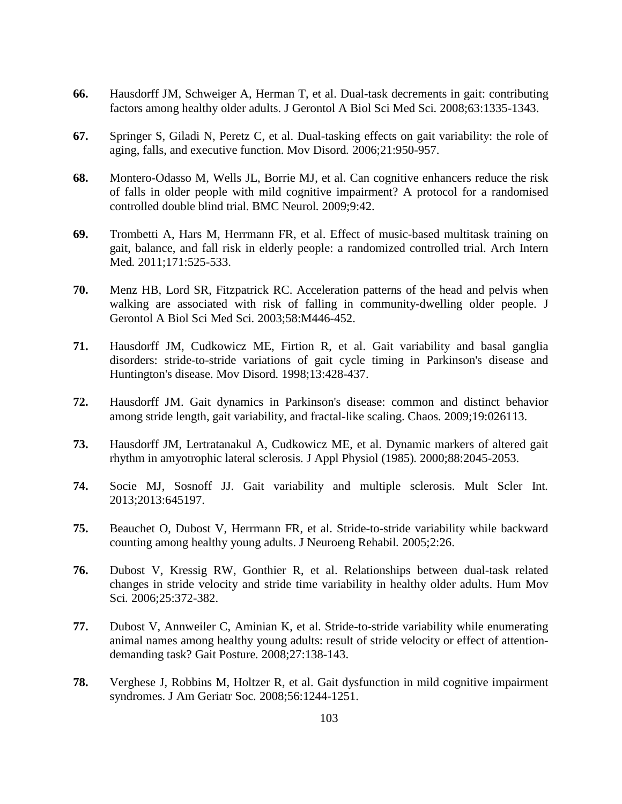- **66.** Hausdorff JM, Schweiger A, Herman T, et al. Dual-task decrements in gait: contributing factors among healthy older adults. J Gerontol A Biol Sci Med Sci*.* 2008;63:1335-1343.
- **67.** Springer S, Giladi N, Peretz C, et al. Dual-tasking effects on gait variability: the role of aging, falls, and executive function. Mov Disord*.* 2006;21:950-957.
- **68.** Montero-Odasso M, Wells JL, Borrie MJ, et al. Can cognitive enhancers reduce the risk of falls in older people with mild cognitive impairment? A protocol for a randomised controlled double blind trial. BMC Neurol*.* 2009;9:42.
- **69.** Trombetti A, Hars M, Herrmann FR, et al. Effect of music-based multitask training on gait, balance, and fall risk in elderly people: a randomized controlled trial. Arch Intern Med*.* 2011;171:525-533.
- **70.** Menz HB, Lord SR, Fitzpatrick RC. Acceleration patterns of the head and pelvis when walking are associated with risk of falling in community-dwelling older people. J Gerontol A Biol Sci Med Sci*.* 2003;58:M446-452.
- **71.** Hausdorff JM, Cudkowicz ME, Firtion R, et al. Gait variability and basal ganglia disorders: stride-to-stride variations of gait cycle timing in Parkinson's disease and Huntington's disease. Mov Disord*.* 1998;13:428-437.
- **72.** Hausdorff JM. Gait dynamics in Parkinson's disease: common and distinct behavior among stride length, gait variability, and fractal-like scaling. Chaos*.* 2009;19:026113.
- **73.** Hausdorff JM, Lertratanakul A, Cudkowicz ME, et al. Dynamic markers of altered gait rhythm in amyotrophic lateral sclerosis. J Appl Physiol (1985)*.* 2000;88:2045-2053.
- **74.** Socie MJ, Sosnoff JJ. Gait variability and multiple sclerosis. Mult Scler Int*.*  2013;2013:645197.
- **75.** Beauchet O, Dubost V, Herrmann FR, et al. Stride-to-stride variability while backward counting among healthy young adults. J Neuroeng Rehabil*.* 2005;2:26.
- **76.** Dubost V, Kressig RW, Gonthier R, et al. Relationships between dual-task related changes in stride velocity and stride time variability in healthy older adults. Hum Mov Sci*.* 2006;25:372-382.
- **77.** Dubost V, Annweiler C, Aminian K, et al. Stride-to-stride variability while enumerating animal names among healthy young adults: result of stride velocity or effect of attentiondemanding task? Gait Posture*.* 2008;27:138-143.
- **78.** Verghese J, Robbins M, Holtzer R, et al. Gait dysfunction in mild cognitive impairment syndromes. J Am Geriatr Soc*.* 2008;56:1244-1251.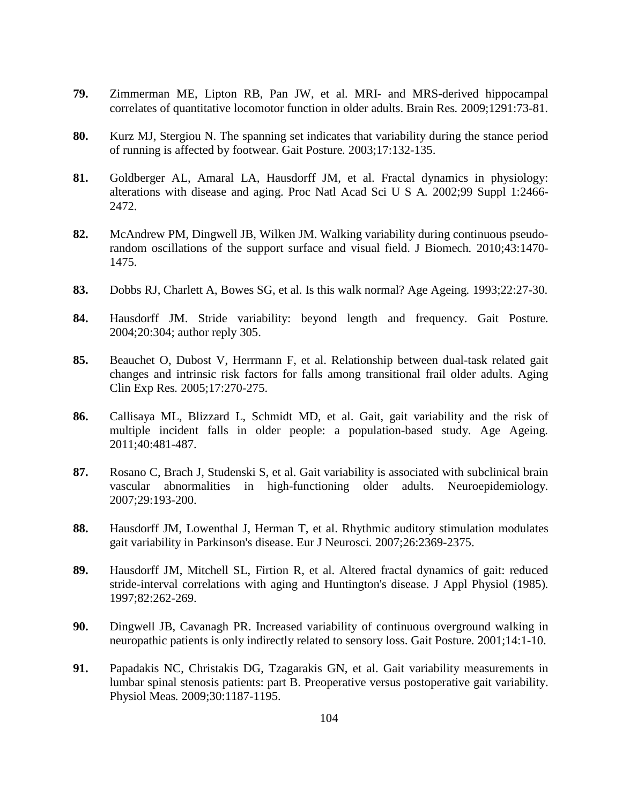- **79.** Zimmerman ME, Lipton RB, Pan JW, et al. MRI- and MRS-derived hippocampal correlates of quantitative locomotor function in older adults. Brain Res*.* 2009;1291:73-81.
- **80.** Kurz MJ, Stergiou N. The spanning set indicates that variability during the stance period of running is affected by footwear. Gait Posture*.* 2003;17:132-135.
- **81.** Goldberger AL, Amaral LA, Hausdorff JM, et al. Fractal dynamics in physiology: alterations with disease and aging. Proc Natl Acad Sci U S A*.* 2002;99 Suppl 1:2466- 2472.
- **82.** McAndrew PM, Dingwell JB, Wilken JM. Walking variability during continuous pseudorandom oscillations of the support surface and visual field. J Biomech*.* 2010;43:1470- 1475.
- **83.** Dobbs RJ, Charlett A, Bowes SG, et al. Is this walk normal? Age Ageing*.* 1993;22:27-30.
- **84.** Hausdorff JM. Stride variability: beyond length and frequency. Gait Posture*.*  2004;20:304; author reply 305.
- **85.** Beauchet O, Dubost V, Herrmann F, et al. Relationship between dual-task related gait changes and intrinsic risk factors for falls among transitional frail older adults. Aging Clin Exp Res*.* 2005;17:270-275.
- <span id="page-123-0"></span>**86.** Callisaya ML, Blizzard L, Schmidt MD, et al. Gait, gait variability and the risk of multiple incident falls in older people: a population-based study. Age Ageing*.*  2011;40:481-487.
- **87.** Rosano C, Brach J, Studenski S, et al. Gait variability is associated with subclinical brain vascular abnormalities in high-functioning older adults. Neuroepidemiology*.*  2007;29:193-200.
- **88.** Hausdorff JM, Lowenthal J, Herman T, et al. Rhythmic auditory stimulation modulates gait variability in Parkinson's disease. Eur J Neurosci*.* 2007;26:2369-2375.
- **89.** Hausdorff JM, Mitchell SL, Firtion R, et al. Altered fractal dynamics of gait: reduced stride-interval correlations with aging and Huntington's disease. J Appl Physiol (1985)*.*  1997;82:262-269.
- **90.** Dingwell JB, Cavanagh PR. Increased variability of continuous overground walking in neuropathic patients is only indirectly related to sensory loss. Gait Posture*.* 2001;14:1-10.
- **91.** Papadakis NC, Christakis DG, Tzagarakis GN, et al. Gait variability measurements in lumbar spinal stenosis patients: part B. Preoperative versus postoperative gait variability. Physiol Meas*.* 2009;30:1187-1195.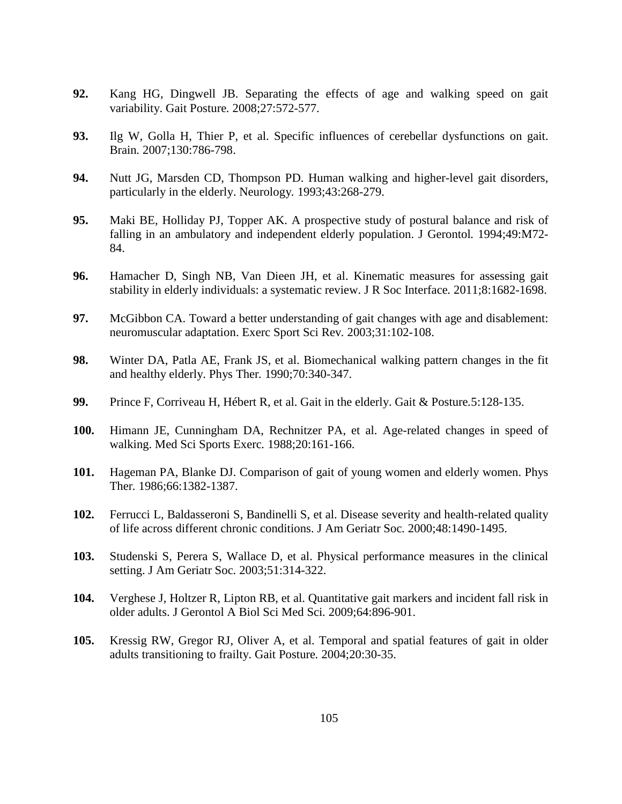- **92.** Kang HG, Dingwell JB. Separating the effects of age and walking speed on gait variability. Gait Posture*.* 2008;27:572-577.
- **93.** Ilg W, Golla H, Thier P, et al. Specific influences of cerebellar dysfunctions on gait. Brain*.* 2007;130:786-798.
- **94.** Nutt JG, Marsden CD, Thompson PD. Human walking and higher-level gait disorders, particularly in the elderly. Neurology*.* 1993;43:268-279.
- **95.** Maki BE, Holliday PJ, Topper AK. A prospective study of postural balance and risk of falling in an ambulatory and independent elderly population. J Gerontol*.* 1994;49:M72- 84.
- **96.** Hamacher D, Singh NB, Van Dieen JH, et al. Kinematic measures for assessing gait stability in elderly individuals: a systematic review. J R Soc Interface*.* 2011;8:1682-1698.
- **97.** McGibbon CA. Toward a better understanding of gait changes with age and disablement: neuromuscular adaptation. Exerc Sport Sci Rev*.* 2003;31:102-108.
- **98.** Winter DA, Patla AE, Frank JS, et al. Biomechanical walking pattern changes in the fit and healthy elderly. Phys Ther*.* 1990;70:340-347.
- **99.** Prince F, Corriveau H, Hébert R, et al. Gait in the elderly. Gait & Posture*.*5:128-135.
- **100.** Himann JE, Cunningham DA, Rechnitzer PA, et al. Age-related changes in speed of walking. Med Sci Sports Exerc*.* 1988;20:161-166.
- **101.** Hageman PA, Blanke DJ. Comparison of gait of young women and elderly women. Phys Ther*.* 1986;66:1382-1387.
- **102.** Ferrucci L, Baldasseroni S, Bandinelli S, et al. Disease severity and health-related quality of life across different chronic conditions. J Am Geriatr Soc*.* 2000;48:1490-1495.
- **103.** Studenski S, Perera S, Wallace D, et al. Physical performance measures in the clinical setting. J Am Geriatr Soc*.* 2003;51:314-322.
- **104.** Verghese J, Holtzer R, Lipton RB, et al. Quantitative gait markers and incident fall risk in older adults. J Gerontol A Biol Sci Med Sci*.* 2009;64:896-901.
- **105.** Kressig RW, Gregor RJ, Oliver A, et al. Temporal and spatial features of gait in older adults transitioning to frailty. Gait Posture*.* 2004;20:30-35.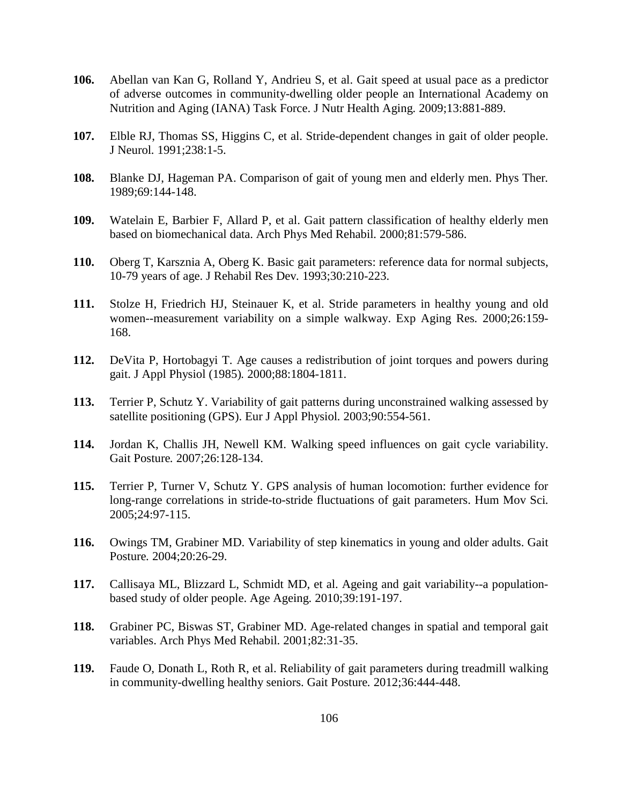- **106.** Abellan van Kan G, Rolland Y, Andrieu S, et al. Gait speed at usual pace as a predictor of adverse outcomes in community-dwelling older people an International Academy on Nutrition and Aging (IANA) Task Force. J Nutr Health Aging*.* 2009;13:881-889.
- **107.** Elble RJ, Thomas SS, Higgins C, et al. Stride-dependent changes in gait of older people. J Neurol*.* 1991;238:1-5.
- **108.** Blanke DJ, Hageman PA. Comparison of gait of young men and elderly men. Phys Ther*.*  1989;69:144-148.
- **109.** Watelain E, Barbier F, Allard P, et al. Gait pattern classification of healthy elderly men based on biomechanical data. Arch Phys Med Rehabil*.* 2000;81:579-586.
- **110.** Oberg T, Karsznia A, Oberg K. Basic gait parameters: reference data for normal subjects, 10-79 years of age. J Rehabil Res Dev*.* 1993;30:210-223.
- **111.** Stolze H, Friedrich HJ, Steinauer K, et al. Stride parameters in healthy young and old women--measurement variability on a simple walkway. Exp Aging Res*.* 2000;26:159- 168.
- **112.** DeVita P, Hortobagyi T. Age causes a redistribution of joint torques and powers during gait. J Appl Physiol (1985)*.* 2000;88:1804-1811.
- **113.** Terrier P, Schutz Y. Variability of gait patterns during unconstrained walking assessed by satellite positioning (GPS). Eur J Appl Physiol*.* 2003;90:554-561.
- **114.** Jordan K, Challis JH, Newell KM. Walking speed influences on gait cycle variability. Gait Posture*.* 2007;26:128-134.
- **115.** Terrier P, Turner V, Schutz Y. GPS analysis of human locomotion: further evidence for long-range correlations in stride-to-stride fluctuations of gait parameters. Hum Mov Sci*.*  2005;24:97-115.
- **116.** Owings TM, Grabiner MD. Variability of step kinematics in young and older adults. Gait Posture*.* 2004;20:26-29.
- **117.** Callisaya ML, Blizzard L, Schmidt MD, et al. Ageing and gait variability--a populationbased study of older people. Age Ageing*.* 2010;39:191-197.
- **118.** Grabiner PC, Biswas ST, Grabiner MD. Age-related changes in spatial and temporal gait variables. Arch Phys Med Rehabil*.* 2001;82:31-35.
- **119.** Faude O, Donath L, Roth R, et al. Reliability of gait parameters during treadmill walking in community-dwelling healthy seniors. Gait Posture*.* 2012;36:444-448.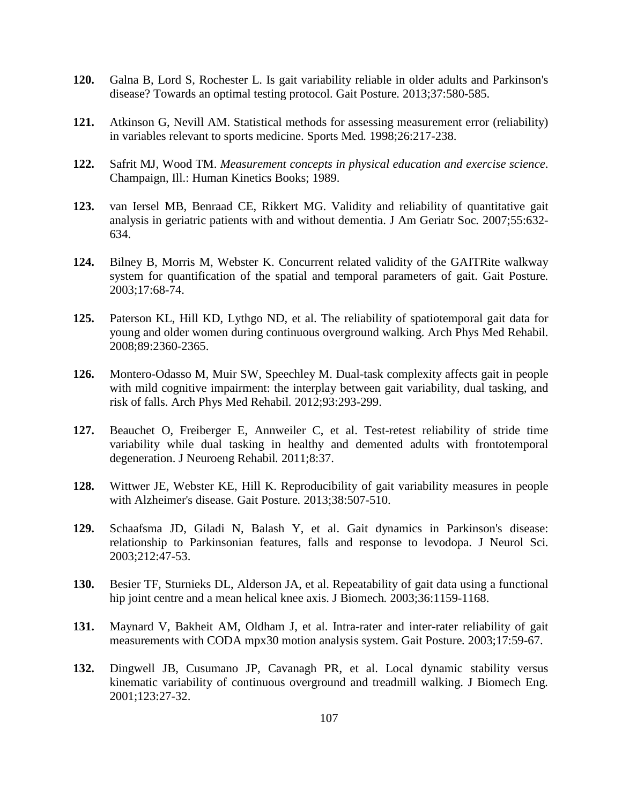- <span id="page-126-0"></span>**120.** Galna B, Lord S, Rochester L. Is gait variability reliable in older adults and Parkinson's disease? Towards an optimal testing protocol. Gait Posture*.* 2013;37:580-585.
- **121.** Atkinson G, Nevill AM. Statistical methods for assessing measurement error (reliability) in variables relevant to sports medicine. Sports Med*.* 1998;26:217-238.
- **122.** Safrit MJ, Wood TM. *Measurement concepts in physical education and exercise science*. Champaign, Ill.: Human Kinetics Books; 1989.
- **123.** van Iersel MB, Benraad CE, Rikkert MG. Validity and reliability of quantitative gait analysis in geriatric patients with and without dementia. J Am Geriatr Soc*.* 2007;55:632- 634.
- **124.** Bilney B, Morris M, Webster K. Concurrent related validity of the GAITRite walkway system for quantification of the spatial and temporal parameters of gait. Gait Posture*.*  2003;17:68-74.
- **125.** Paterson KL, Hill KD, Lythgo ND, et al. The reliability of spatiotemporal gait data for young and older women during continuous overground walking. Arch Phys Med Rehabil*.*  2008;89:2360-2365.
- **126.** Montero-Odasso M, Muir SW, Speechley M. Dual-task complexity affects gait in people with mild cognitive impairment: the interplay between gait variability, dual tasking, and risk of falls. Arch Phys Med Rehabil*.* 2012;93:293-299.
- **127.** Beauchet O, Freiberger E, Annweiler C, et al. Test-retest reliability of stride time variability while dual tasking in healthy and demented adults with frontotemporal degeneration. J Neuroeng Rehabil*.* 2011;8:37.
- **128.** Wittwer JE, Webster KE, Hill K. Reproducibility of gait variability measures in people with Alzheimer's disease. Gait Posture*.* 2013;38:507-510.
- **129.** Schaafsma JD, Giladi N, Balash Y, et al. Gait dynamics in Parkinson's disease: relationship to Parkinsonian features, falls and response to levodopa. J Neurol Sci*.*  2003;212:47-53.
- **130.** Besier TF, Sturnieks DL, Alderson JA, et al. Repeatability of gait data using a functional hip joint centre and a mean helical knee axis. J Biomech*.* 2003;36:1159-1168.
- **131.** Maynard V, Bakheit AM, Oldham J, et al. Intra-rater and inter-rater reliability of gait measurements with CODA mpx30 motion analysis system. Gait Posture*.* 2003;17:59-67.
- **132.** Dingwell JB, Cusumano JP, Cavanagh PR, et al. Local dynamic stability versus kinematic variability of continuous overground and treadmill walking. J Biomech Eng*.*  2001;123:27-32.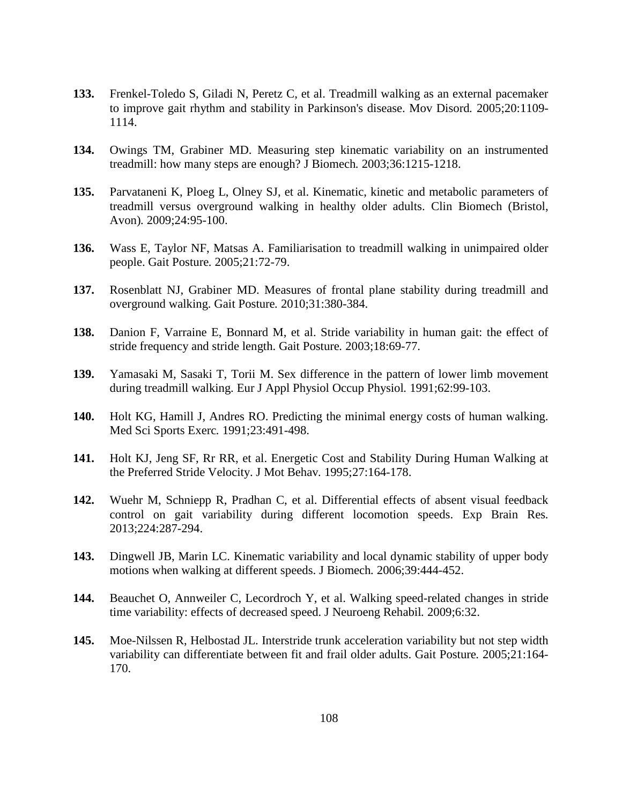- **133.** Frenkel-Toledo S, Giladi N, Peretz C, et al. Treadmill walking as an external pacemaker to improve gait rhythm and stability in Parkinson's disease. Mov Disord*.* 2005;20:1109- 1114.
- **134.** Owings TM, Grabiner MD. Measuring step kinematic variability on an instrumented treadmill: how many steps are enough? J Biomech*.* 2003;36:1215-1218.
- **135.** Parvataneni K, Ploeg L, Olney SJ, et al. Kinematic, kinetic and metabolic parameters of treadmill versus overground walking in healthy older adults. Clin Biomech (Bristol, Avon)*.* 2009;24:95-100.
- **136.** Wass E, Taylor NF, Matsas A. Familiarisation to treadmill walking in unimpaired older people. Gait Posture*.* 2005;21:72-79.
- **137.** Rosenblatt NJ, Grabiner MD. Measures of frontal plane stability during treadmill and overground walking. Gait Posture*.* 2010;31:380-384.
- **138.** Danion F, Varraine E, Bonnard M, et al. Stride variability in human gait: the effect of stride frequency and stride length. Gait Posture*.* 2003;18:69-77.
- **139.** Yamasaki M, Sasaki T, Torii M. Sex difference in the pattern of lower limb movement during treadmill walking. Eur J Appl Physiol Occup Physiol*.* 1991;62:99-103.
- **140.** Holt KG, Hamill J, Andres RO. Predicting the minimal energy costs of human walking. Med Sci Sports Exerc*.* 1991;23:491-498.
- **141.** Holt KJ, Jeng SF, Rr RR, et al. Energetic Cost and Stability During Human Walking at the Preferred Stride Velocity. J Mot Behav*.* 1995;27:164-178.
- **142.** Wuehr M, Schniepp R, Pradhan C, et al. Differential effects of absent visual feedback control on gait variability during different locomotion speeds. Exp Brain Res*.*  2013;224:287-294.
- **143.** Dingwell JB, Marin LC. Kinematic variability and local dynamic stability of upper body motions when walking at different speeds. J Biomech*.* 2006;39:444-452.
- **144.** Beauchet O, Annweiler C, Lecordroch Y, et al. Walking speed-related changes in stride time variability: effects of decreased speed. J Neuroeng Rehabil*.* 2009;6:32.
- **145.** Moe-Nilssen R, Helbostad JL. Interstride trunk acceleration variability but not step width variability can differentiate between fit and frail older adults. Gait Posture*.* 2005;21:164- 170.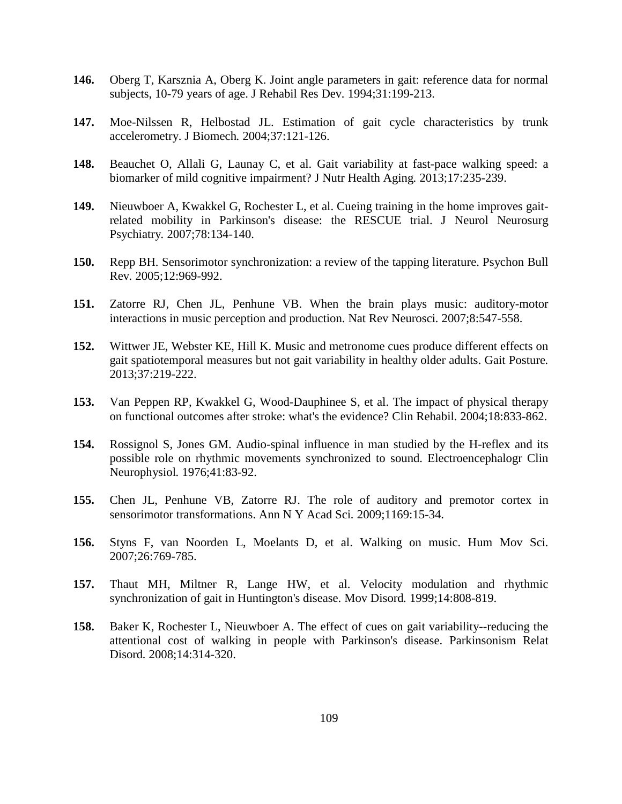- **146.** Oberg T, Karsznia A, Oberg K. Joint angle parameters in gait: reference data for normal subjects, 10-79 years of age. J Rehabil Res Dev*.* 1994;31:199-213.
- **147.** Moe-Nilssen R, Helbostad JL. Estimation of gait cycle characteristics by trunk accelerometry. J Biomech*.* 2004;37:121-126.
- **148.** Beauchet O, Allali G, Launay C, et al. Gait variability at fast-pace walking speed: a biomarker of mild cognitive impairment? J Nutr Health Aging*.* 2013;17:235-239.
- **149.** Nieuwboer A, Kwakkel G, Rochester L, et al. Cueing training in the home improves gaitrelated mobility in Parkinson's disease: the RESCUE trial. J Neurol Neurosurg Psychiatry*.* 2007;78:134-140.
- **150.** Repp BH. Sensorimotor synchronization: a review of the tapping literature. Psychon Bull Rev*.* 2005;12:969-992.
- **151.** Zatorre RJ, Chen JL, Penhune VB. When the brain plays music: auditory-motor interactions in music perception and production. Nat Rev Neurosci*.* 2007;8:547-558.
- **152.** Wittwer JE, Webster KE, Hill K. Music and metronome cues produce different effects on gait spatiotemporal measures but not gait variability in healthy older adults. Gait Posture*.*  2013;37:219-222.
- **153.** Van Peppen RP, Kwakkel G, Wood-Dauphinee S, et al. The impact of physical therapy on functional outcomes after stroke: what's the evidence? Clin Rehabil*.* 2004;18:833-862.
- **154.** Rossignol S, Jones GM. Audio-spinal influence in man studied by the H-reflex and its possible role on rhythmic movements synchronized to sound. Electroencephalogr Clin Neurophysiol*.* 1976;41:83-92.
- **155.** Chen JL, Penhune VB, Zatorre RJ. The role of auditory and premotor cortex in sensorimotor transformations. Ann N Y Acad Sci*.* 2009;1169:15-34.
- **156.** Styns F, van Noorden L, Moelants D, et al. Walking on music. Hum Mov Sci*.*  2007;26:769-785.
- **157.** Thaut MH, Miltner R, Lange HW, et al. Velocity modulation and rhythmic synchronization of gait in Huntington's disease. Mov Disord*.* 1999;14:808-819.
- **158.** Baker K, Rochester L, Nieuwboer A. The effect of cues on gait variability--reducing the attentional cost of walking in people with Parkinson's disease. Parkinsonism Relat Disord*.* 2008;14:314-320.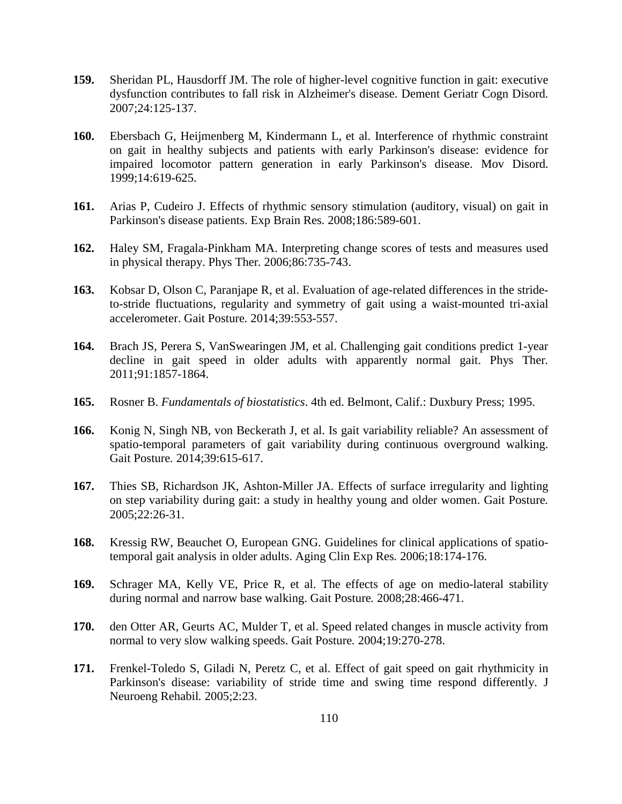- **159.** Sheridan PL, Hausdorff JM. The role of higher-level cognitive function in gait: executive dysfunction contributes to fall risk in Alzheimer's disease. Dement Geriatr Cogn Disord*.*  2007;24:125-137.
- **160.** Ebersbach G, Heijmenberg M, Kindermann L, et al. Interference of rhythmic constraint on gait in healthy subjects and patients with early Parkinson's disease: evidence for impaired locomotor pattern generation in early Parkinson's disease. Mov Disord*.*  1999;14:619-625.
- **161.** Arias P, Cudeiro J. Effects of rhythmic sensory stimulation (auditory, visual) on gait in Parkinson's disease patients. Exp Brain Res*.* 2008;186:589-601.
- **162.** Haley SM, Fragala-Pinkham MA. Interpreting change scores of tests and measures used in physical therapy. Phys Ther*.* 2006;86:735-743.
- **163.** Kobsar D, Olson C, Paranjape R, et al. Evaluation of age-related differences in the strideto-stride fluctuations, regularity and symmetry of gait using a waist-mounted tri-axial accelerometer. Gait Posture*.* 2014;39:553-557.
- **164.** Brach JS, Perera S, VanSwearingen JM, et al. Challenging gait conditions predict 1-year decline in gait speed in older adults with apparently normal gait. Phys Ther*.*  2011;91:1857-1864.
- **165.** Rosner B. *Fundamentals of biostatistics*. 4th ed. Belmont, Calif.: Duxbury Press; 1995.
- **166.** Konig N, Singh NB, von Beckerath J, et al. Is gait variability reliable? An assessment of spatio-temporal parameters of gait variability during continuous overground walking. Gait Posture*.* 2014;39:615-617.
- **167.** Thies SB, Richardson JK, Ashton-Miller JA. Effects of surface irregularity and lighting on step variability during gait: a study in healthy young and older women. Gait Posture*.*  2005;22:26-31.
- **168.** Kressig RW, Beauchet O, European GNG. Guidelines for clinical applications of spatiotemporal gait analysis in older adults. Aging Clin Exp Res*.* 2006;18:174-176.
- **169.** Schrager MA, Kelly VE, Price R, et al. The effects of age on medio-lateral stability during normal and narrow base walking. Gait Posture*.* 2008;28:466-471.
- **170.** den Otter AR, Geurts AC, Mulder T, et al. Speed related changes in muscle activity from normal to very slow walking speeds. Gait Posture*.* 2004;19:270-278.
- **171.** Frenkel-Toledo S, Giladi N, Peretz C, et al. Effect of gait speed on gait rhythmicity in Parkinson's disease: variability of stride time and swing time respond differently. J Neuroeng Rehabil*.* 2005;2:23.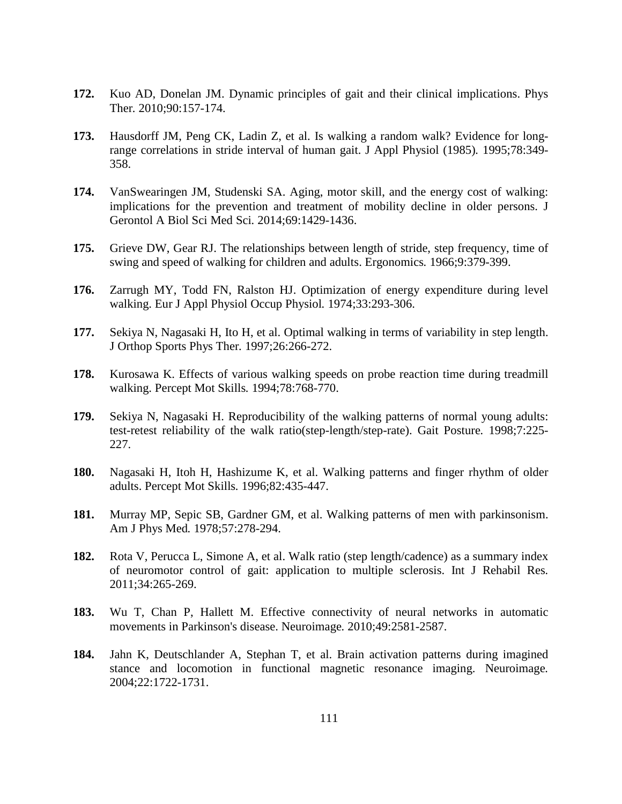- **172.** Kuo AD, Donelan JM. Dynamic principles of gait and their clinical implications. Phys Ther*.* 2010;90:157-174.
- **173.** Hausdorff JM, Peng CK, Ladin Z, et al. Is walking a random walk? Evidence for longrange correlations in stride interval of human gait. J Appl Physiol (1985)*.* 1995;78:349- 358.
- **174.** VanSwearingen JM, Studenski SA. Aging, motor skill, and the energy cost of walking: implications for the prevention and treatment of mobility decline in older persons. J Gerontol A Biol Sci Med Sci*.* 2014;69:1429-1436.
- **175.** Grieve DW, Gear RJ. The relationships between length of stride, step frequency, time of swing and speed of walking for children and adults. Ergonomics*.* 1966;9:379-399.
- **176.** Zarrugh MY, Todd FN, Ralston HJ. Optimization of energy expenditure during level walking. Eur J Appl Physiol Occup Physiol*.* 1974;33:293-306.
- **177.** Sekiya N, Nagasaki H, Ito H, et al. Optimal walking in terms of variability in step length. J Orthop Sports Phys Ther*.* 1997;26:266-272.
- **178.** Kurosawa K. Effects of various walking speeds on probe reaction time during treadmill walking. Percept Mot Skills*.* 1994;78:768-770.
- **179.** Sekiya N, Nagasaki H. Reproducibility of the walking patterns of normal young adults: test-retest reliability of the walk ratio(step-length/step-rate). Gait Posture*.* 1998;7:225- 227.
- **180.** Nagasaki H, Itoh H, Hashizume K, et al. Walking patterns and finger rhythm of older adults. Percept Mot Skills*.* 1996;82:435-447.
- **181.** Murray MP, Sepic SB, Gardner GM, et al. Walking patterns of men with parkinsonism. Am J Phys Med*.* 1978;57:278-294.
- **182.** Rota V, Perucca L, Simone A, et al. Walk ratio (step length/cadence) as a summary index of neuromotor control of gait: application to multiple sclerosis. Int J Rehabil Res*.*  2011;34:265-269.
- **183.** Wu T, Chan P, Hallett M. Effective connectivity of neural networks in automatic movements in Parkinson's disease. Neuroimage*.* 2010;49:2581-2587.
- **184.** Jahn K, Deutschlander A, Stephan T, et al. Brain activation patterns during imagined stance and locomotion in functional magnetic resonance imaging. Neuroimage*.*  2004;22:1722-1731.